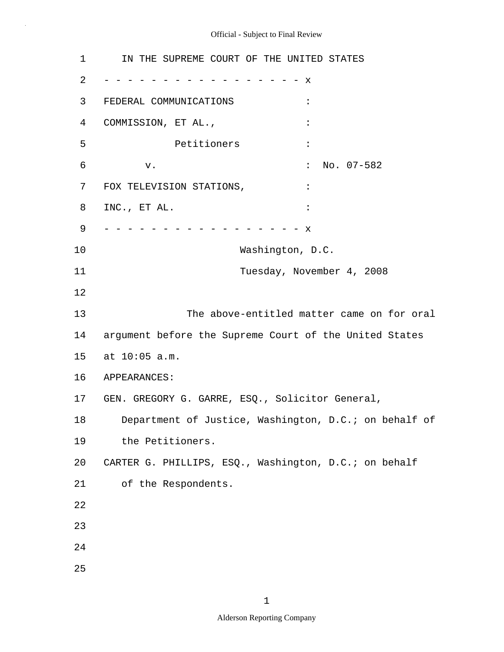1 2 3 4 5 6 7 8 9 10 11 12 13 14 15 16 APPEARANCES: 17 GEN. GREGORY G. GARRE, ESQ., Solicitor General, 18 19 20 21 22 23 24 25 IN THE SUPREME COURT OF THE UNITED STATES - - - - - - - - - - - - - - - - - x FEDERAL COMMUNICATIONS : COMMISSION, ET AL.,  $\cdot$  Petitioners : v.  $\qquad \qquad$  : No. 07-582 FOX TELEVISION STATIONS,  $\qquad \qquad :$ INC., ET AL. : - - - - - - - - - - - - - - - - - x Washington, D.C. Tuesday, November 4, 2008 The above-entitled matter came on for oral argument before the Supreme Court of the United States at 10:05 a.m. Department of Justice, Washington, D.C.; on behalf of the Petitioners. CARTER G. PHILLIPS, ESQ., Washington, D.C.; on behalf of the Respondents.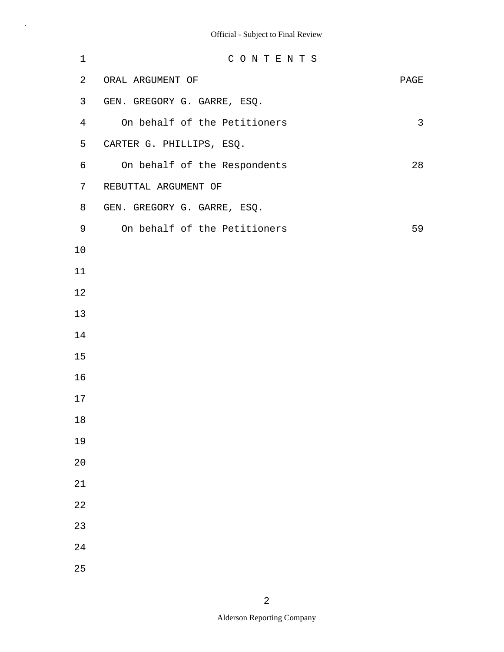| 1              | CONTENTS                     |      |
|----------------|------------------------------|------|
| 2              | ORAL ARGUMENT OF             | PAGE |
| 3              | GEN. GREGORY G. GARRE, ESQ.  |      |
| $\overline{4}$ | On behalf of the Petitioners | 3    |
| 5              | CARTER G. PHILLIPS, ESQ.     |      |
| 6              | On behalf of the Respondents | 28   |
| 7              | REBUTTAL ARGUMENT OF         |      |
| 8              | GEN. GREGORY G. GARRE, ESQ.  |      |
| 9              | On behalf of the Petitioners | 59   |
| 10             |                              |      |
| 11             |                              |      |
| 12             |                              |      |
| 13             |                              |      |
| 14             |                              |      |
| 15             |                              |      |
| 16             |                              |      |
| 17             |                              |      |
| 18             |                              |      |
| 19             |                              |      |
| 20             |                              |      |
| 21             |                              |      |
| 22             |                              |      |
| 23             |                              |      |
| 24             |                              |      |
| 25             |                              |      |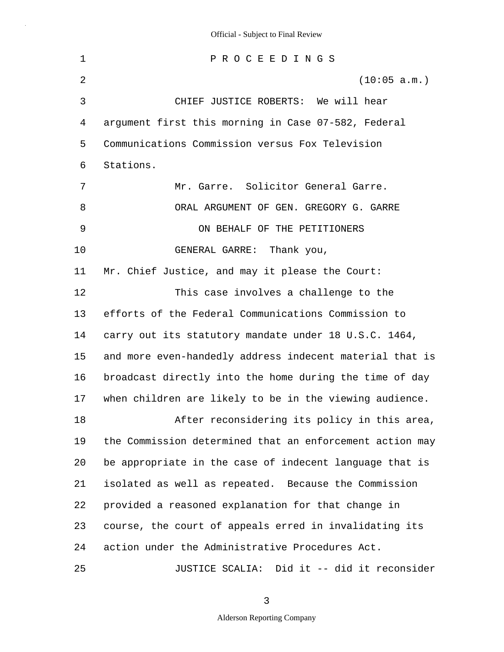1 2 3 4 5 6 7 8 9 10 11 12 13 14 15 16 17 18 19 20 21 22 23 24 25 P R O C E E D I N G S (10:05 a.m.) CHIEF JUSTICE ROBERTS: We will hear argument first this morning in Case 07-582, Federal Communications Commission versus Fox Television Stations. Mr. Garre. Solicitor General Garre. ORAL ARGUMENT OF GEN. GREGORY G. GARRE ON BEHALF OF THE PETITIONERS GENERAL GARRE: Thank you, Mr. Chief Justice, and may it please the Court: This case involves a challenge to the efforts of the Federal Communications Commission to carry out its statutory mandate under 18 U.S.C. 1464, and more even-handedly address indecent material that is broadcast directly into the home during the time of day when children are likely to be in the viewing audience. After reconsidering its policy in this area, the Commission determined that an enforcement action may be appropriate in the case of indecent language that is isolated as well as repeated. Because the Commission provided a reasoned explanation for that change in course, the court of appeals erred in invalidating its action under the Administrative Procedures Act. JUSTICE SCALIA: Did it -- did it reconsider

3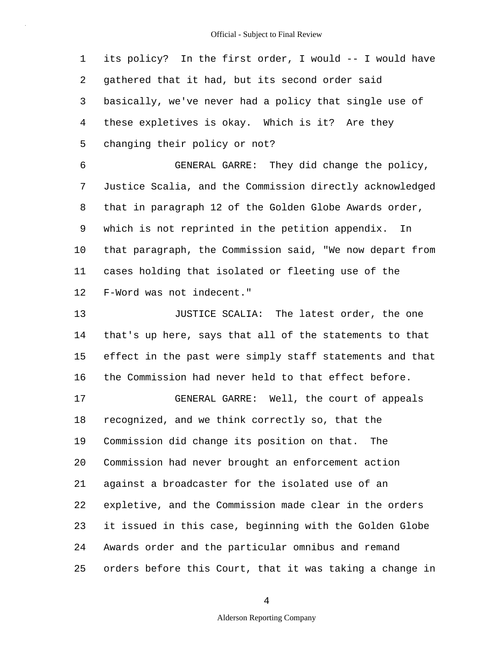1 2 3 4 5 its policy? In the first order, I would -- I would have gathered that it had, but its second order said basically, we've never had a policy that single use of these expletives is okay. Which is it? Are they changing their policy or not?

6 7 8 9 10 11 12 GENERAL GARRE: They did change the policy, Justice Scalia, and the Commission directly acknowledged that in paragraph 12 of the Golden Globe Awards order, which is not reprinted in the petition appendix. In that paragraph, the Commission said, "We now depart from cases holding that isolated or fleeting use of the F-Word was not indecent."

13 14 15 16 17 18 19 20 21 22 23 24 25 JUSTICE SCALIA: The latest order, the one that's up here, says that all of the statements to that effect in the past were simply staff statements and that the Commission had never held to that effect before. GENERAL GARRE: Well, the court of appeals recognized, and we think correctly so, that the Commission did change its position on that. The Commission had never brought an enforcement action against a broadcaster for the isolated use of an expletive, and the Commission made clear in the orders it issued in this case, beginning with the Golden Globe Awards order and the particular omnibus and remand orders before this Court, that it was taking a change in

4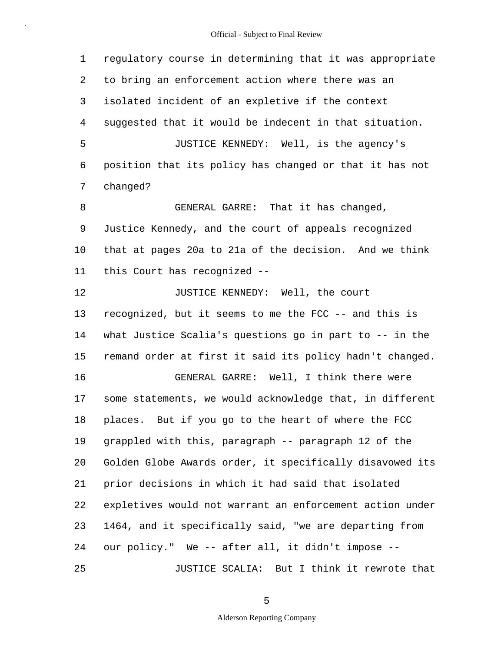1 2 3 4 5 6 7 8 9 10 11 12 13 14 15 16 17 18 19 20 21 22 23 24 25 regulatory course in determining that it was appropriate to bring an enforcement action where there was an isolated incident of an expletive if the context suggested that it would be indecent in that situation. JUSTICE KENNEDY: Well, is the agency's position that its policy has changed or that it has not changed? GENERAL GARRE: That it has changed, Justice Kennedy, and the court of appeals recognized that at pages 20a to 21a of the decision. And we think this Court has recognized -- JUSTICE KENNEDY: Well, the court recognized, but it seems to me the FCC -- and this is what Justice Scalia's questions go in part to -- in the remand order at first it said its policy hadn't changed. GENERAL GARRE: Well, I think there were some statements, we would acknowledge that, in different places. But if you go to the heart of where the FCC grappled with this, paragraph -- paragraph 12 of the Golden Globe Awards order, it specifically disavowed its prior decisions in which it had said that isolated expletives would not warrant an enforcement action under 1464, and it specifically said, "we are departing from our policy." We -- after all, it didn't impose -- JUSTICE SCALIA: But I think it rewrote that

5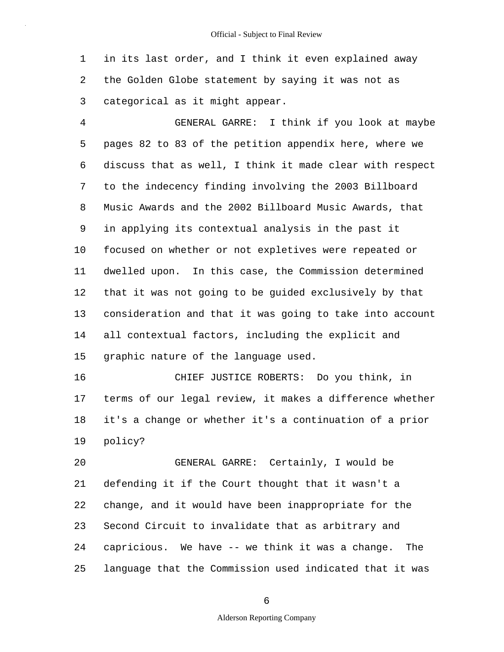1 2 3 in its last order, and I think it even explained away the Golden Globe statement by saying it was not as categorical as it might appear.

4 5 6 7 8 9 10 11 12 13 14 15 GENERAL GARRE: I think if you look at maybe pages 82 to 83 of the petition appendix here, where we discuss that as well, I think it made clear with respect to the indecency finding involving the 2003 Billboard Music Awards and the 2002 Billboard Music Awards, that in applying its contextual analysis in the past it focused on whether or not expletives were repeated or dwelled upon. In this case, the Commission determined that it was not going to be guided exclusively by that consideration and that it was going to take into account all contextual factors, including the explicit and graphic nature of the language used.

16 17 18 19 CHIEF JUSTICE ROBERTS: Do you think, in terms of our legal review, it makes a difference whether it's a change or whether it's a continuation of a prior policy?

20 21 22 23 24 25 GENERAL GARRE: Certainly, I would be defending it if the Court thought that it wasn't a change, and it would have been inappropriate for the Second Circuit to invalidate that as arbitrary and capricious. We have -- we think it was a change. The language that the Commission used indicated that it was

6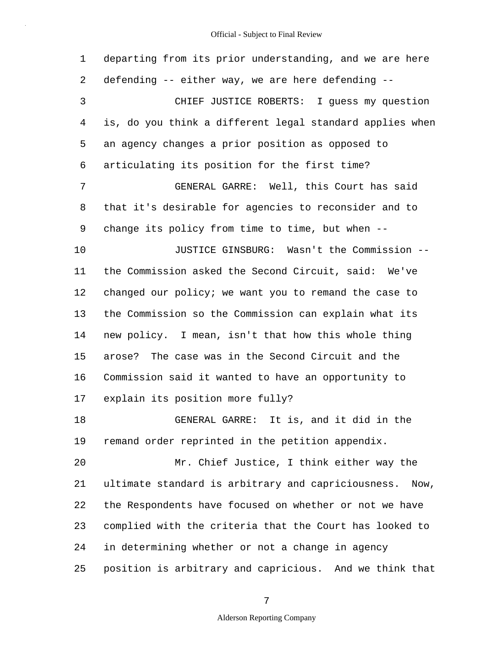1 2 3 4 5 6 7 8 9 10 11 12 13 14 15 16 17 18 19 20 21 22 23 24 25 departing from its prior understanding, and we are here defending -- either way, we are here defending -- CHIEF JUSTICE ROBERTS: I guess my question is, do you think a different legal standard applies when an agency changes a prior position as opposed to articulating its position for the first time? GENERAL GARRE: Well, this Court has said that it's desirable for agencies to reconsider and to change its policy from time to time, but when -- JUSTICE GINSBURG: Wasn't the Commission - the Commission asked the Second Circuit, said: We've changed our policy; we want you to remand the case to the Commission so the Commission can explain what its new policy. I mean, isn't that how this whole thing arose? The case was in the Second Circuit and the Commission said it wanted to have an opportunity to explain its position more fully? GENERAL GARRE: It is, and it did in the remand order reprinted in the petition appendix. Mr. Chief Justice, I think either way the ultimate standard is arbitrary and capriciousness. Now, the Respondents have focused on whether or not we have complied with the criteria that the Court has looked to in determining whether or not a change in agency position is arbitrary and capricious. And we think that

7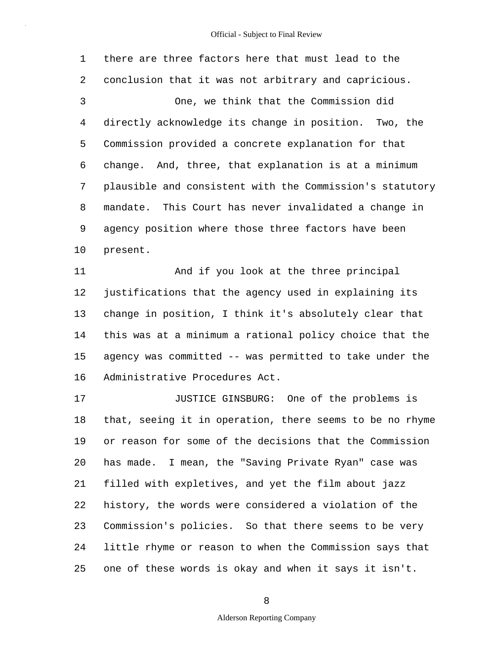1 2 3 4 5 6 7 8 9 10 there are three factors here that must lead to the conclusion that it was not arbitrary and capricious. One, we think that the Commission did directly acknowledge its change in position. Two, the Commission provided a concrete explanation for that change. And, three, that explanation is at a minimum plausible and consistent with the Commission's statutory mandate. This Court has never invalidated a change in agency position where those three factors have been present.

11 12 13 14 15 16 And if you look at the three principal justifications that the agency used in explaining its change in position, I think it's absolutely clear that this was at a minimum a rational policy choice that the agency was committed -- was permitted to take under the Administrative Procedures Act.

17 18 19 20 21 22 23 24 25 JUSTICE GINSBURG: One of the problems is that, seeing it in operation, there seems to be no rhyme or reason for some of the decisions that the Commission has made. I mean, the "Saving Private Ryan" case was filled with expletives, and yet the film about jazz history, the words were considered a violation of the Commission's policies. So that there seems to be very little rhyme or reason to when the Commission says that one of these words is okay and when it says it isn't.

8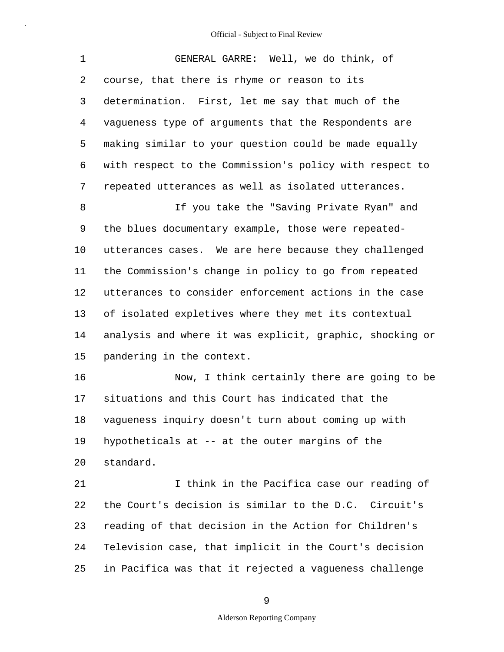| 1              | GENERAL GARRE: Well, we do think, of                     |
|----------------|----------------------------------------------------------|
| $\overline{2}$ | course, that there is rhyme or reason to its             |
| 3              | determination. First, let me say that much of the        |
| $\overline{4}$ | vagueness type of arguments that the Respondents are     |
| 5              | making similar to your question could be made equally    |
| 6              | with respect to the Commission's policy with respect to  |
| 7              | repeated utterances as well as isolated utterances.      |
| 8              | If you take the "Saving Private Ryan" and                |
| 9              | the blues documentary example, those were repeated-      |
| 10             | utterances cases. We are here because they challenged    |
| 11             | the Commission's change in policy to go from repeated    |
| 12             | utterances to consider enforcement actions in the case   |
| 13             | of isolated expletives where they met its contextual     |
| 14             | analysis and where it was explicit, graphic, shocking or |
| 15             | pandering in the context.                                |
| 16             | Now, I think certainly there are going to be             |
| 17             | situations and this Court has indicated that the         |
| 18             | vagueness inquiry doesn't turn about coming up with      |
| 19             | hypotheticals at -- at the outer margins of the          |

20 standard.

21 22 23 24 25 I think in the Pacifica case our reading of the Court's decision is similar to the D.C. Circuit's reading of that decision in the Action for Children's Television case, that implicit in the Court's decision in Pacifica was that it rejected a vagueness challenge

9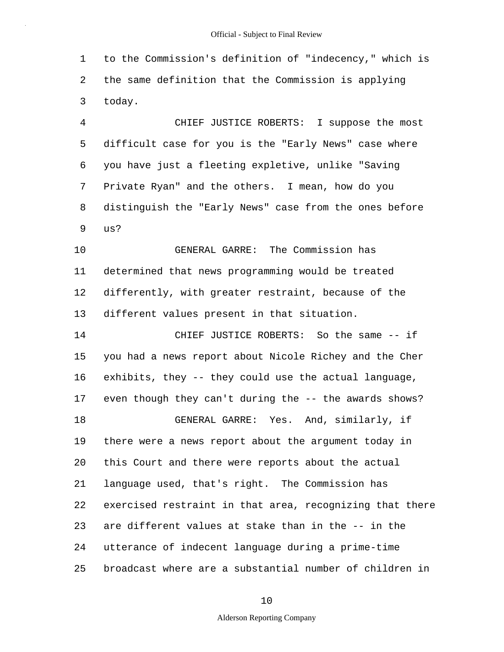1 2 3 to the Commission's definition of "indecency," which is the same definition that the Commission is applying today.

4 5 6 7 8 9 CHIEF JUSTICE ROBERTS: I suppose the most difficult case for you is the "Early News" case where you have just a fleeting expletive, unlike "Saving Private Ryan" and the others. I mean, how do you distinguish the "Early News" case from the ones before us?

10 11 12 13 GENERAL GARRE: The Commission has determined that news programming would be treated differently, with greater restraint, because of the different values present in that situation.

14 15 16 17 18 19 20 21 22 23 24 25 CHIEF JUSTICE ROBERTS: So the same -- if you had a news report about Nicole Richey and the Cher exhibits, they -- they could use the actual language, even though they can't during the -- the awards shows? GENERAL GARRE: Yes. And, similarly, if there were a news report about the argument today in this Court and there were reports about the actual language used, that's right. The Commission has exercised restraint in that area, recognizing that there are different values at stake than in the -- in the utterance of indecent language during a prime-time broadcast where are a substantial number of children in

10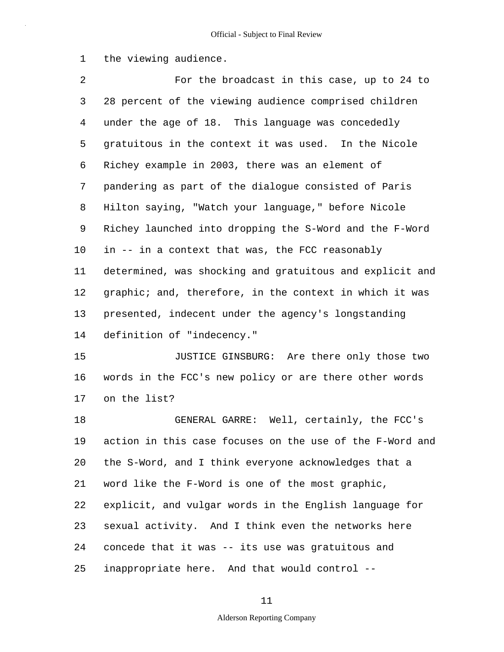1 the viewing audience.

2 3 4 5 6 7 8 9 10 11 12 13 14 For the broadcast in this case, up to 24 to 28 percent of the viewing audience comprised children under the age of 18. This language was concededly gratuitous in the context it was used. In the Nicole Richey example in 2003, there was an element of pandering as part of the dialogue consisted of Paris Hilton saying, "Watch your language," before Nicole Richey launched into dropping the S-Word and the F-Word in -- in a context that was, the FCC reasonably determined, was shocking and gratuitous and explicit and graphic; and, therefore, in the context in which it was presented, indecent under the agency's longstanding definition of "indecency."

15 16 17 JUSTICE GINSBURG: Are there only those two words in the FCC's new policy or are there other words on the list?

18 19 20 21 22 23 24 25 GENERAL GARRE: Well, certainly, the FCC's action in this case focuses on the use of the F-Word and the S-Word, and I think everyone acknowledges that a word like the F-Word is one of the most graphic, explicit, and vulgar words in the English language for sexual activity. And I think even the networks here concede that it was -- its use was gratuitous and inappropriate here. And that would control --

### 11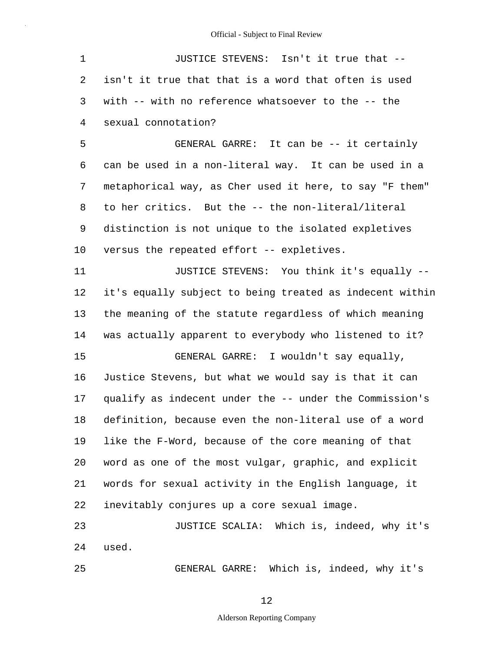| 1       | JUSTICE STEVENS: Isn't it true that --                   |
|---------|----------------------------------------------------------|
| 2       | isn't it true that that is a word that often is used     |
| 3       | with -- with no reference whatsoever to the -- the       |
| 4       | sexual connotation?                                      |
| 5       | GENERAL GARRE: It can be -- it certainly                 |
| 6       | can be used in a non-literal way. It can be used in a    |
| 7       | metaphorical way, as Cher used it here, to say "F them"  |
| 8       | to her critics. But the -- the non-literal/literal       |
| 9       | distinction is not unique to the isolated expletives     |
| $10 \,$ | versus the repeated effort -- expletives.                |
| 11      | JUSTICE STEVENS: You think it's equally --               |
| 12      | it's equally subject to being treated as indecent within |
| 13      | the meaning of the statute regardless of which meaning   |
| 14      | was actually apparent to everybody who listened to it?   |
| 15      | GENERAL GARRE: I wouldn't say equally,                   |
| 16      | Justice Stevens, but what we would say is that it can    |
| 17      | qualify as indecent under the -- under the Commission's  |
| 18      | definition, because even the non-literal use of a word   |
| 19      | like the F-Word, because of the core meaning of that     |
| 20      | word as one of the most vulgar, graphic, and explicit    |
| 21      | words for sexual activity in the English language, it    |
| 22      | inevitably conjures up a core sexual image.              |
| 23      | JUSTICE SCALIA: Which is, indeed, why it's               |
| 24      | used.                                                    |
| 25      | GENERAL GARRE: Which is, indeed, why it's                |

12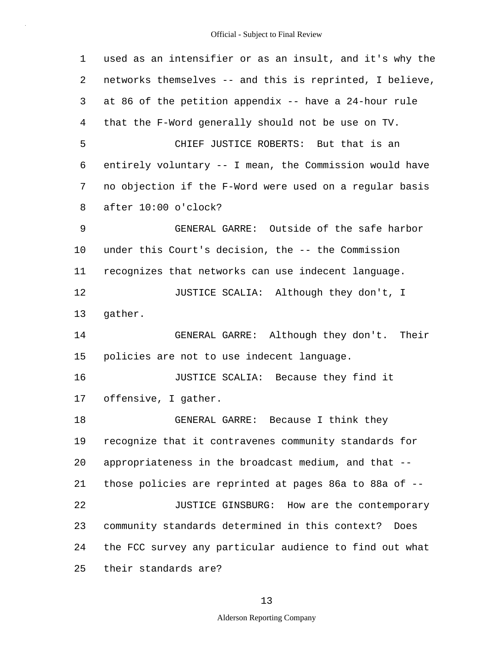| 1  | used as an intensifier or as an insult, and it's why the |
|----|----------------------------------------------------------|
| 2  | networks themselves -- and this is reprinted, I believe, |
| 3  | at 86 of the petition appendix -- have a 24-hour rule    |
| 4  | that the F-Word generally should not be use on TV.       |
| 5  | CHIEF JUSTICE ROBERTS: But that is an                    |
| 6  | entirely voluntary -- I mean, the Commission would have  |
| 7  | no objection if the F-Word were used on a regular basis  |
| 8  | after 10:00 o'clock?                                     |
| 9  | GENERAL GARRE: Outside of the safe harbor                |
| 10 | under this Court's decision, the -- the Commission       |
| 11 | recognizes that networks can use indecent language.      |
| 12 | JUSTICE SCALIA: Although they don't, I                   |
| 13 | gather.                                                  |
| 14 | GENERAL GARRE: Although they don't. Their                |
| 15 | policies are not to use indecent language.               |
| 16 | JUSTICE SCALIA: Because they find it                     |
| 17 | offensive, I gather.                                     |
| 18 | Because I think they<br>GENERAL GARRE:                   |
| 19 | recognize that it contravenes community standards for    |
| 20 | appropriateness in the broadcast medium, and that --     |
| 21 | those policies are reprinted at pages 86a to 88a of --   |
| 22 | JUSTICE GINSBURG: How are the contemporary               |
| 23 | community standards determined in this context?<br>Does  |
| 24 | the FCC survey any particular audience to find out what  |
| 25 | their standards are?                                     |

13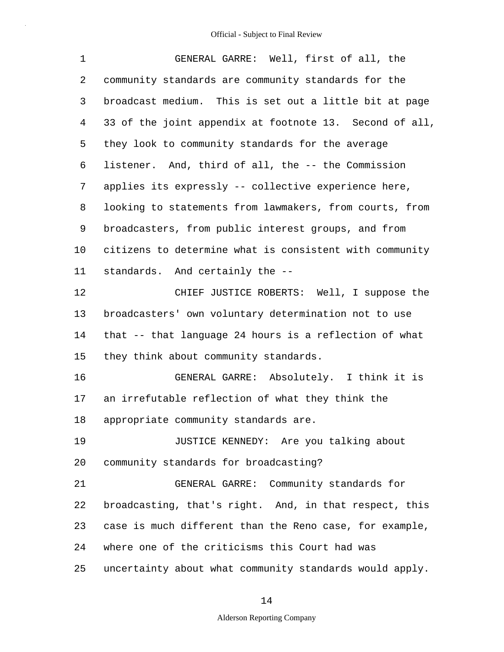| $\mathbf 1$ | GENERAL GARRE: Well, first of all, the                  |
|-------------|---------------------------------------------------------|
| 2           | community standards are community standards for the     |
| 3           | broadcast medium. This is set out a little bit at page  |
| 4           | 33 of the joint appendix at footnote 13. Second of all, |
| 5           | they look to community standards for the average        |
| 6           | listener. And, third of all, the -- the Commission      |
| 7           | applies its expressly -- collective experience here,    |
| 8           | looking to statements from lawmakers, from courts, from |
| 9           | broadcasters, from public interest groups, and from     |
| $10 \,$     | citizens to determine what is consistent with community |
| 11          | standards. And certainly the --                         |
| 12          | CHIEF JUSTICE ROBERTS: Well, I suppose the              |
| 13          | broadcasters' own voluntary determination not to use    |
| 14          | that -- that language 24 hours is a reflection of what  |
| 15          | they think about community standards.                   |
| 16          | GENERAL GARRE: Absolutely. I think it is                |
| 17          | an irrefutable reflection of what they think the        |
| 18          | appropriate community standards are.                    |
| 19          | JUSTICE KENNEDY: Are you talking about                  |
| 20          | community standards for broadcasting?                   |
| 21          | GENERAL GARRE: Community standards for                  |
| 22          | broadcasting, that's right. And, in that respect, this  |
| 23          | case is much different than the Reno case, for example, |
| 24          | where one of the criticisms this Court had was          |
| 25          | uncertainty about what community standards would apply. |

# 14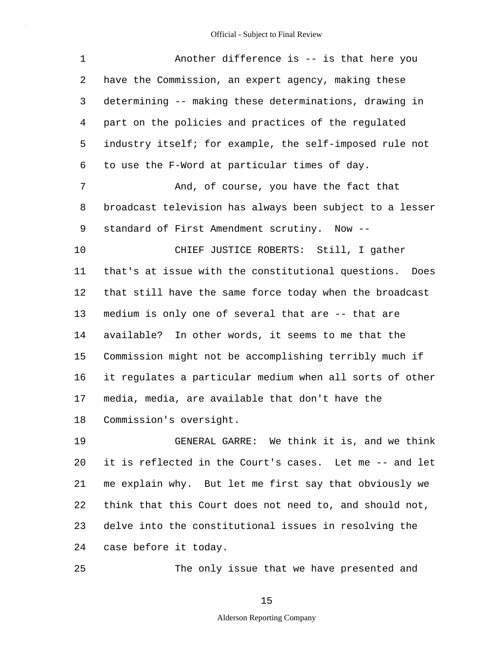| 1  | Another difference is -- is that here you                |
|----|----------------------------------------------------------|
| 2  | have the Commission, an expert agency, making these      |
| 3  | determining -- making these determinations, drawing in   |
| 4  | part on the policies and practices of the regulated      |
| 5  | industry itself; for example, the self-imposed rule not  |
| 6  | to use the F-Word at particular times of day.            |
| 7  | And, of course, you have the fact that                   |
| 8  | broadcast television has always been subject to a lesser |
| 9  | standard of First Amendment scrutiny. Now --             |
| 10 | CHIEF JUSTICE ROBERTS: Still, I gather                   |
| 11 | that's at issue with the constitutional questions. Does  |
| 12 | that still have the same force today when the broadcast  |
| 13 | medium is only one of several that are -- that are       |
| 14 | available? In other words, it seems to me that the       |
| 15 | Commission might not be accomplishing terribly much if   |
| 16 | it regulates a particular medium when all sorts of other |
| 17 | media, media, are available that don't have the          |
| 18 | Commission's oversight.                                  |
| 19 | GENERAL GARRE: We think it is, and we think              |
| 20 | it is reflected in the Court's cases. Let me -- and let  |
| 21 | me explain why. But let me first say that obviously we   |

22 23 24 think that this Court does not need to, and should not, delve into the constitutional issues in resolving the case before it today.

25

The only issue that we have presented and

15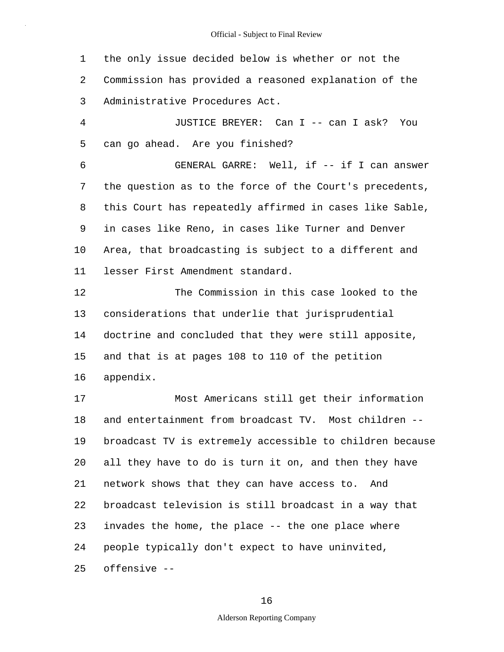1 2 3 the only issue decided below is whether or not the Commission has provided a reasoned explanation of the Administrative Procedures Act.

4 5 JUSTICE BREYER: Can I -- can I ask? You can go ahead. Are you finished?

6 7 8 9 10 11 GENERAL GARRE: Well, if -- if I can answer the question as to the force of the Court's precedents, this Court has repeatedly affirmed in cases like Sable, in cases like Reno, in cases like Turner and Denver Area, that broadcasting is subject to a different and lesser First Amendment standard.

12 13 14 15 16 The Commission in this case looked to the considerations that underlie that jurisprudential doctrine and concluded that they were still apposite, and that is at pages 108 to 110 of the petition appendix.

17 18 19 20 21 22 23 24 25 Most Americans still get their information and entertainment from broadcast TV. Most children - broadcast TV is extremely accessible to children because all they have to do is turn it on, and then they have network shows that they can have access to. And broadcast television is still broadcast in a way that invades the home, the place -- the one place where people typically don't expect to have uninvited, offensive --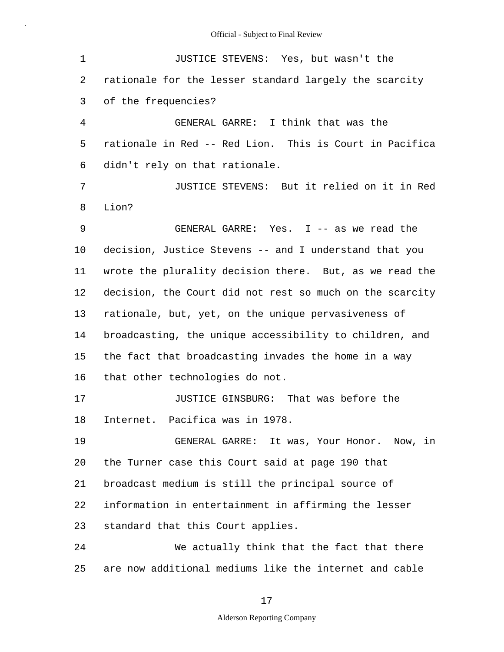| $\mathbf 1$    | JUSTICE STEVENS: Yes, but wasn't the                     |
|----------------|----------------------------------------------------------|
| 2              | rationale for the lesser standard largely the scarcity   |
| 3              | of the frequencies?                                      |
| $\overline{4}$ | GENERAL GARRE: I think that was the                      |
| 5              | rationale in Red -- Red Lion. This is Court in Pacifica  |
| 6              | didn't rely on that rationale.                           |
| 7              | JUSTICE STEVENS: But it relied on it in Red              |
| 8              | Lion?                                                    |
| 9              | GENERAL GARRE: Yes. I -- as we read the                  |
| 10             | decision, Justice Stevens -- and I understand that you   |
| 11             | wrote the plurality decision there. But, as we read the  |
| 12             | decision, the Court did not rest so much on the scarcity |
| 13             | rationale, but, yet, on the unique pervasiveness of      |
| 14             | broadcasting, the unique accessibility to children, and  |
| 15             | the fact that broadcasting invades the home in a way     |
| 16             | that other technologies do not.                          |
| 17             | JUSTICE GINSBURG: That was before the                    |
| 18             | Internet. Pacifica was in 1978.                          |
| 19             | GENERAL GARRE: It was, Your Honor. Now, in               |
| 20             | the Turner case this Court said at page 190 that         |
| 21             | broadcast medium is still the principal source of        |
| 22             | information in entertainment in affirming the lesser     |
| 23             | standard that this Court applies.                        |
| 24             | We actually think that the fact that there               |
| 25             | are now additional mediums like the internet and cable   |

17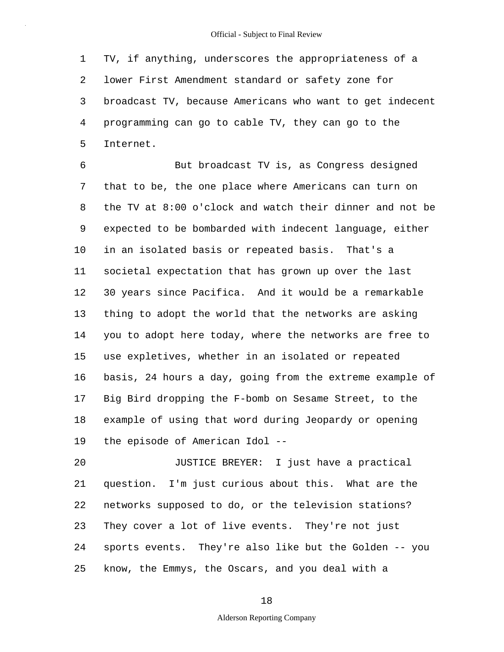1 2 3 4 5 TV, if anything, underscores the appropriateness of a lower First Amendment standard or safety zone for broadcast TV, because Americans who want to get indecent programming can go to cable TV, they can go to the Internet.

6 7 8 9 10 11 12 13 14 15 16 17 18 19 But broadcast TV is, as Congress designed that to be, the one place where Americans can turn on the TV at 8:00 o'clock and watch their dinner and not be expected to be bombarded with indecent language, either in an isolated basis or repeated basis. That's a societal expectation that has grown up over the last 30 years since Pacifica. And it would be a remarkable thing to adopt the world that the networks are asking you to adopt here today, where the networks are free to use expletives, whether in an isolated or repeated basis, 24 hours a day, going from the extreme example of Big Bird dropping the F-bomb on Sesame Street, to the example of using that word during Jeopardy or opening the episode of American Idol --

20 21 22 23 24 25 JUSTICE BREYER: I just have a practical question. I'm just curious about this. What are the networks supposed to do, or the television stations? They cover a lot of live events. They're not just sports events. They're also like but the Golden -- you know, the Emmys, the Oscars, and you deal with a

18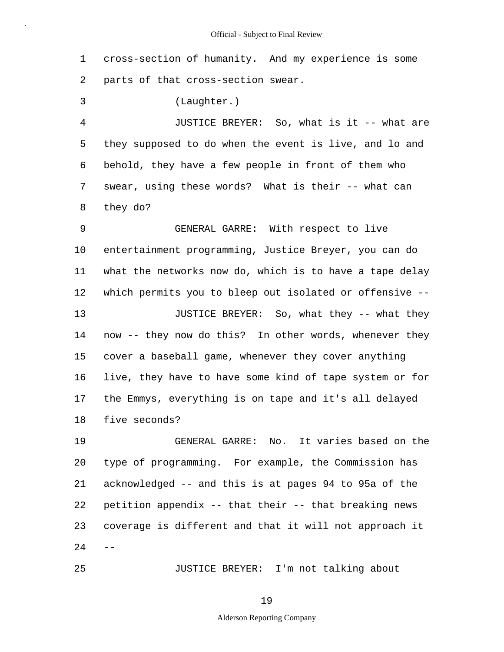1 2 cross-section of humanity. And my experience is some parts of that cross-section swear.

3 (Laughter.)

25

4 5 6 7 8 JUSTICE BREYER: So, what is it -- what are they supposed to do when the event is live, and lo and behold, they have a few people in front of them who swear, using these words? What is their -- what can they do?

9 10 11 12 13 14 15 16 17 18 GENERAL GARRE: With respect to live entertainment programming, Justice Breyer, you can do what the networks now do, which is to have a tape delay which permits you to bleep out isolated or offensive -- JUSTICE BREYER: So, what they -- what they now -- they now do this? In other words, whenever they cover a baseball game, whenever they cover anything live, they have to have some kind of tape system or for the Emmys, everything is on tape and it's all delayed five seconds?

19 20 21 22 23  $24$  GENERAL GARRE: No. It varies based on the type of programming. For example, the Commission has acknowledged -- and this is at pages 94 to 95a of the petition appendix -- that their -- that breaking news coverage is different and that it will not approach it

JUSTICE BREYER: I'm not talking about

19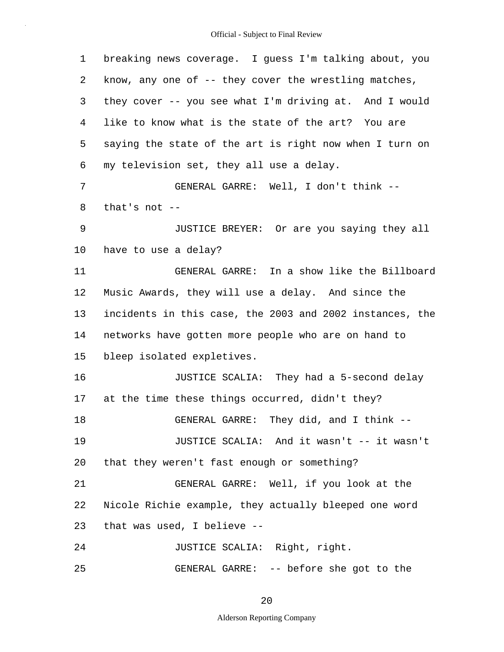1 2 3 4 5 6 7 8 9 10 11 12 13 14 15 16 17 18 19 20 21 22 23 24 25 breaking news coverage. I guess I'm talking about, you know, any one of -- they cover the wrestling matches, they cover -- you see what I'm driving at. And I would like to know what is the state of the art? You are saying the state of the art is right now when I turn on my television set, they all use a delay. GENERAL GARRE: Well, I don't think - that's not -- JUSTICE BREYER: Or are you saying they all have to use a delay? GENERAL GARRE: In a show like the Billboard Music Awards, they will use a delay. And since the incidents in this case, the 2003 and 2002 instances, the networks have gotten more people who are on hand to bleep isolated expletives. JUSTICE SCALIA: They had a 5-second delay at the time these things occurred, didn't they? GENERAL GARRE: They did, and I think -- JUSTICE SCALIA: And it wasn't -- it wasn't that they weren't fast enough or something? GENERAL GARRE: Well, if you look at the Nicole Richie example, they actually bleeped one word that was used, I believe -- JUSTICE SCALIA: Right, right. GENERAL GARRE: -- before she got to the

20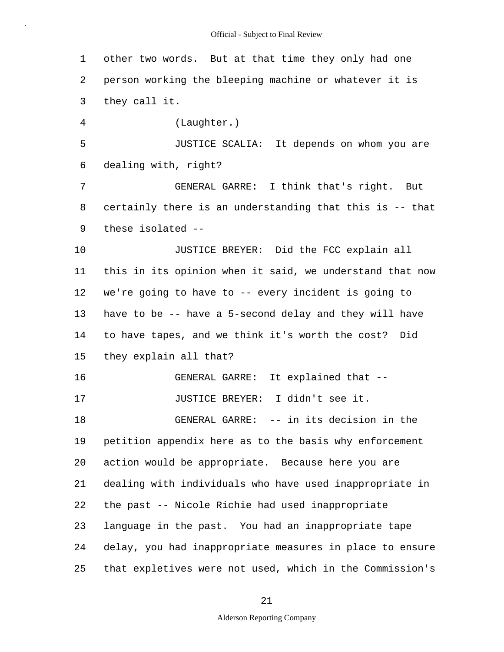| 1  | other two words. But at that time they only had one      |
|----|----------------------------------------------------------|
| 2  | person working the bleeping machine or whatever it is    |
| 3  | they call it.                                            |
| 4  | (Laughter.)                                              |
| 5  | JUSTICE SCALIA: It depends on whom you are               |
| 6  | dealing with, right?                                     |
| 7  | GENERAL GARRE: I think that's right. But                 |
| 8  | certainly there is an understanding that this is -- that |
| 9  | these isolated --                                        |
| 10 | JUSTICE BREYER: Did the FCC explain all                  |
| 11 | this in its opinion when it said, we understand that now |
| 12 | we're going to have to -- every incident is going to     |
| 13 | have to be -- have a 5-second delay and they will have   |
| 14 | to have tapes, and we think it's worth the cost? Did     |
| 15 | they explain all that?                                   |
| 16 | GENERAL GARRE: It explained that --                      |
| 17 | JUSTICE BREYER: I didn't see it.                         |
| 18 | GENERAL GARRE: -- in its decision in the                 |
| 19 | petition appendix here as to the basis why enforcement   |
| 20 | action would be appropriate. Because here you are        |
| 21 | dealing with individuals who have used inappropriate in  |
| 22 | the past -- Nicole Richie had used inappropriate         |
| 23 | language in the past. You had an inappropriate tape      |
| 24 | delay, you had inappropriate measures in place to ensure |
| 25 | that expletives were not used, which in the Commission's |

21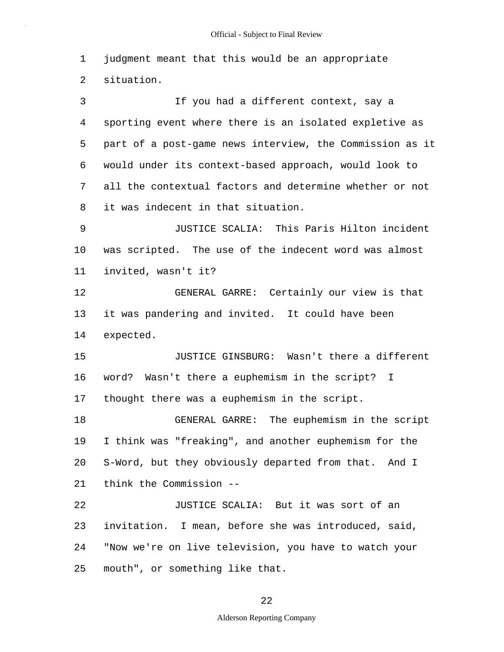1 2 3 4 5 6 7 8 9 10 11 12 13 14 15 16 17 18 19 20 21 22 23 24 25 judgment meant that this would be an appropriate situation. If you had a different context, say a sporting event where there is an isolated expletive as part of a post-game news interview, the Commission as it would under its context-based approach, would look to all the contextual factors and determine whether or not it was indecent in that situation. JUSTICE SCALIA: This Paris Hilton incident was scripted. The use of the indecent word was almost invited, wasn't it? GENERAL GARRE: Certainly our view is that it was pandering and invited. It could have been expected. JUSTICE GINSBURG: Wasn't there a different word? Wasn't there a euphemism in the script? I thought there was a euphemism in the script. GENERAL GARRE: The euphemism in the script I think was "freaking", and another euphemism for the S-Word, but they obviously departed from that. And I think the Commission -- JUSTICE SCALIA: But it was sort of an invitation. I mean, before she was introduced, said, "Now we're on live television, you have to watch your mouth", or something like that.

22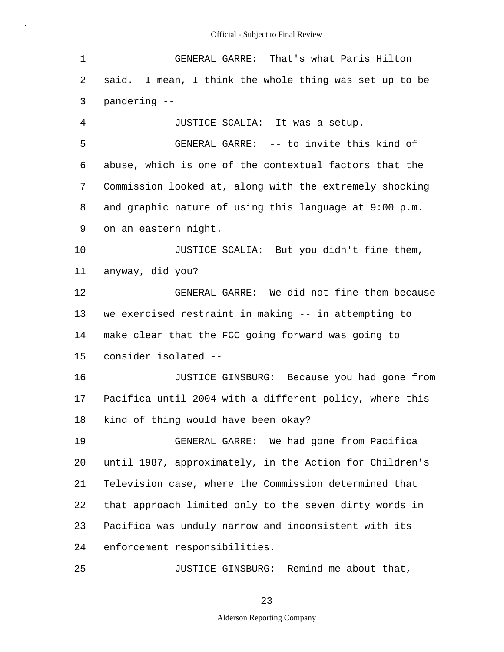| $\mathbf 1$    | GENERAL GARRE: That's what Paris Hilton                          |
|----------------|------------------------------------------------------------------|
| 2              | said. I mean, I think the whole thing was set up to be           |
| 3              | pandering --                                                     |
| $\overline{4}$ | JUSTICE SCALIA: It was a setup.                                  |
| 5              | GENERAL GARRE: -- to invite this kind of                         |
| 6              | abuse, which is one of the contextual factors that the           |
| 7              | Commission looked at, along with the extremely shocking          |
| 8              | and graphic nature of using this language at $9:00 \text{ p.m.}$ |
| 9              | on an eastern night.                                             |
| 10             | JUSTICE SCALIA: But you didn't fine them,                        |
| 11             | anyway, did you?                                                 |
| 12             | GENERAL GARRE: We did not fine them because                      |
| 13             | we exercised restraint in making -- in attempting to             |
| 14             | make clear that the FCC going forward was going to               |
| 15             | consider isolated --                                             |
| 16             | JUSTICE GINSBURG: Because you had gone from                      |
| 17             | Pacifica until 2004 with a different policy, where this          |
| 18             | kind of thing would have been okay?                              |
| 19             | GENERAL GARRE: We had gone from Pacifica                         |
| 20             | until 1987, approximately, in the Action for Children's          |
| 21             | Television case, where the Commission determined that            |
| 22             | that approach limited only to the seven dirty words in           |
| 23             | Pacifica was unduly narrow and inconsistent with its             |
| 24             | enforcement responsibilities.                                    |
| 25             | JUSTICE GINSBURG: Remind me about that,                          |

23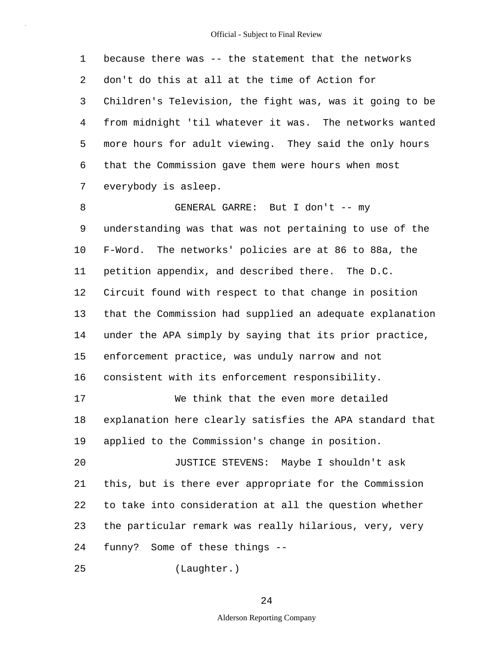1 2 3 4 5 6 7 8 9 10 11 12 13 14 15 16 17 18 19 20 21 22 23 24 25 because there was -- the statement that the networks don't do this at all at the time of Action for Children's Television, the fight was, was it going to be from midnight 'til whatever it was. The networks wanted more hours for adult viewing. They said the only hours that the Commission gave them were hours when most everybody is asleep. GENERAL GARRE: But I don't -- my understanding was that was not pertaining to use of the F-Word. The networks' policies are at 86 to 88a, the petition appendix, and described there. The D.C. Circuit found with respect to that change in position that the Commission had supplied an adequate explanation under the APA simply by saying that its prior practice, enforcement practice, was unduly narrow and not consistent with its enforcement responsibility. We think that the even more detailed explanation here clearly satisfies the APA standard that applied to the Commission's change in position. JUSTICE STEVENS: Maybe I shouldn't ask this, but is there ever appropriate for the Commission to take into consideration at all the question whether the particular remark was really hilarious, very, very funny? Some of these things --

(Laughter.)

## 24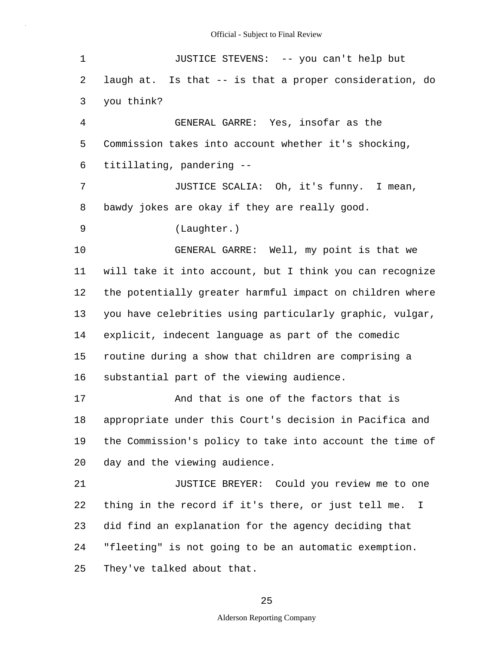| $\mathbf 1$ | JUSTICE STEVENS: -- you can't help but                   |
|-------------|----------------------------------------------------------|
| 2           | laugh at. Is that -- is that a proper consideration, do  |
| 3           | you think?                                               |
| 4           | GENERAL GARRE: Yes, insofar as the                       |
| 5           | Commission takes into account whether it's shocking,     |
| 6           | titillating, pandering --                                |
| 7           | JUSTICE SCALIA: Oh, it's funny. I mean,                  |
| 8           | bawdy jokes are okay if they are really good.            |
| 9           | (Laughter.)                                              |
| 10          | GENERAL GARRE: Well, my point is that we                 |
| 11          | will take it into account, but I think you can recognize |
| 12          | the potentially greater harmful impact on children where |
| 13          | you have celebrities using particularly graphic, vulgar, |
| 14          | explicit, indecent language as part of the comedic       |
| 15          | routine during a show that children are comprising a     |
| 16          | substantial part of the viewing audience.                |
| 17          | And that is one of the factors that is                   |
| 18          | appropriate under this Court's decision in Pacifica and  |
| 19          | the Commission's policy to take into account the time of |
| 20          | day and the viewing audience.                            |
| 21          | JUSTICE BREYER: Could you review me to one               |
| 22          | thing in the record if it's there, or just tell me. I    |
| 23          | did find an explanation for the agency deciding that     |
| 24          | "fleeting" is not going to be an automatic exemption.    |
| 25          | They've talked about that.                               |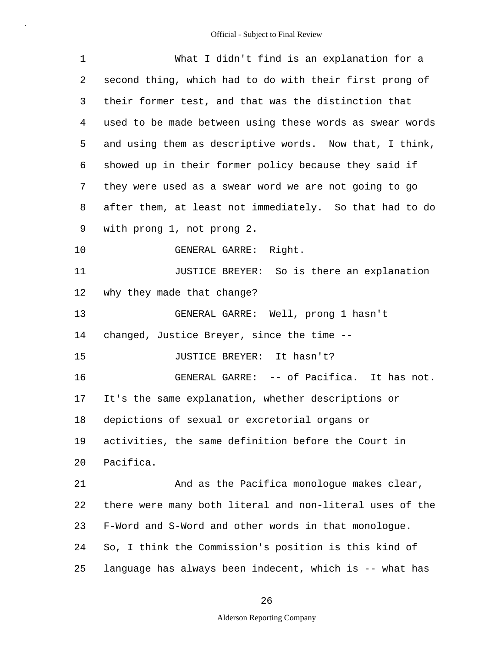| 1  | What I didn't find is an explanation for a               |
|----|----------------------------------------------------------|
| 2  | second thing, which had to do with their first prong of  |
| 3  | their former test, and that was the distinction that     |
| 4  | used to be made between using these words as swear words |
| 5  | and using them as descriptive words. Now that, I think,  |
| 6  | showed up in their former policy because they said if    |
| 7  | they were used as a swear word we are not going to go    |
| 8  | after them, at least not immediately. So that had to do  |
| 9  | with prong 1, not prong 2.                               |
| 10 | GENERAL GARRE: Right.                                    |
| 11 | JUSTICE BREYER: So is there an explanation               |
| 12 | why they made that change?                               |
| 13 | GENERAL GARRE: Well, prong 1 hasn't                      |
| 14 | changed, Justice Breyer, since the time --               |
| 15 | JUSTICE BREYER: It hasn't?                               |
| 16 | GENERAL GARRE: -- of Pacifica. It has not.               |
| 17 | It's the same explanation, whether descriptions or       |
| 18 | depictions of sexual or excretorial organs or            |
| 19 | activities, the same definition before the Court in      |
| 20 | Pacifica.                                                |
| 21 | And as the Pacifica monologue makes clear,               |
| 22 | there were many both literal and non-literal uses of the |
| 23 | F-Word and S-Word and other words in that monologue.     |
| 24 | So, I think the Commission's position is this kind of    |
| 25 | language has always been indecent, which is -- what has  |

26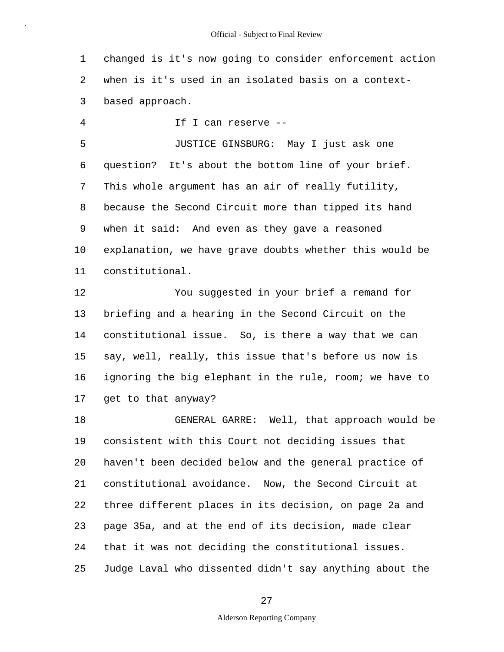1 2 3 changed is it's now going to consider enforcement action when is it's used in an isolated basis on a contextbased approach.

4 If I can reserve --

5 6 7 8 9 10 11 JUSTICE GINSBURG: May I just ask one question? It's about the bottom line of your brief. This whole argument has an air of really futility, because the Second Circuit more than tipped its hand when it said: And even as they gave a reasoned explanation, we have grave doubts whether this would be constitutional.

12 13 14 15 16 17 You suggested in your brief a remand for briefing and a hearing in the Second Circuit on the constitutional issue. So, is there a way that we can say, well, really, this issue that's before us now is ignoring the big elephant in the rule, room; we have to get to that anyway?

18 19 20 21 22 23 24 25 GENERAL GARRE: Well, that approach would be consistent with this Court not deciding issues that haven't been decided below and the general practice of constitutional avoidance. Now, the Second Circuit at three different places in its decision, on page 2a and page 35a, and at the end of its decision, made clear that it was not deciding the constitutional issues. Judge Laval who dissented didn't say anything about the

27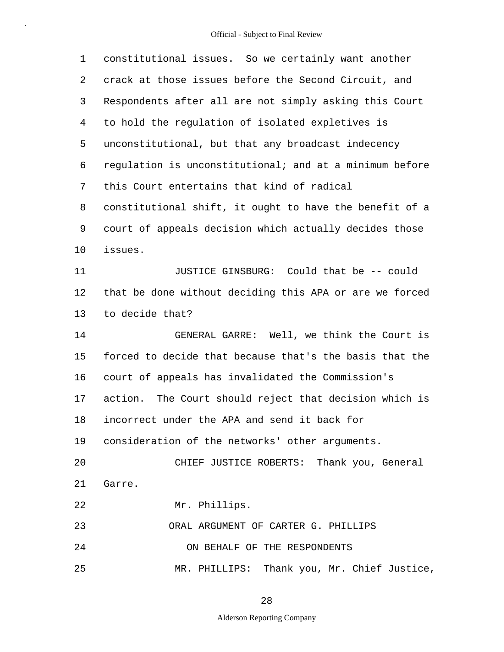| 1  | constitutional issues. So we certainly want another     |
|----|---------------------------------------------------------|
| 2  | crack at those issues before the Second Circuit, and    |
| 3  | Respondents after all are not simply asking this Court  |
| 4  | to hold the regulation of isolated expletives is        |
| 5  | unconstitutional, but that any broadcast indecency      |
| 6  | regulation is unconstitutional; and at a minimum before |
| 7  | this Court entertains that kind of radical              |
| 8  | constitutional shift, it ought to have the benefit of a |
| 9  | court of appeals decision which actually decides those  |
| 10 | issues.                                                 |
| 11 | JUSTICE GINSBURG: Could that be -- could                |
| 12 | that be done without deciding this APA or are we forced |
| 13 | to decide that?                                         |
| 14 | GENERAL GARRE: Well, we think the Court is              |
| 15 | forced to decide that because that's the basis that the |
| 16 | court of appeals has invalidated the Commission's       |
| 17 | action. The Court should reject that decision which is  |
| 18 | incorrect under the APA and send it back for            |
|    | 19 consideration of the networks' other arguments.      |
| 20 | CHIEF JUSTICE ROBERTS: Thank you, General               |
| 21 | Garre.                                                  |
| 22 | Mr. Phillips.                                           |
| 23 | ORAL ARGUMENT OF CARTER G. PHILLIPS                     |
| 24 | ON BEHALF OF THE RESPONDENTS                            |
| 25 | MR. PHILLIPS: Thank you, Mr. Chief Justice,             |

28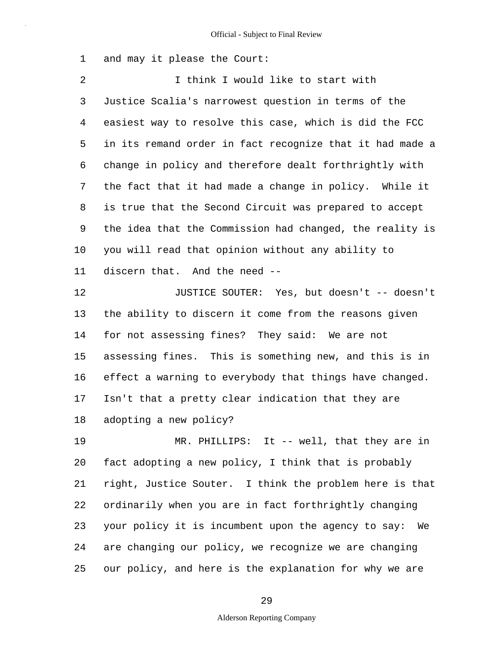1 and may it please the Court:

2 3 4 5 6 7 8 9 10 11 12 13 14 15 16 17 18 19 I think I would like to start with Justice Scalia's narrowest question in terms of the easiest way to resolve this case, which is did the FCC in its remand order in fact recognize that it had made a change in policy and therefore dealt forthrightly with the fact that it had made a change in policy. While it is true that the Second Circuit was prepared to accept the idea that the Commission had changed, the reality is you will read that opinion without any ability to discern that. And the need -- JUSTICE SOUTER: Yes, but doesn't -- doesn't the ability to discern it come from the reasons given for not assessing fines? They said: We are not assessing fines. This is something new, and this is in effect a warning to everybody that things have changed. Isn't that a pretty clear indication that they are adopting a new policy? MR. PHILLIPS: It -- well, that they are in

20 21 22 23 24 25 fact adopting a new policy, I think that is probably right, Justice Souter. I think the problem here is that ordinarily when you are in fact forthrightly changing your policy it is incumbent upon the agency to say: We are changing our policy, we recognize we are changing our policy, and here is the explanation for why we are

29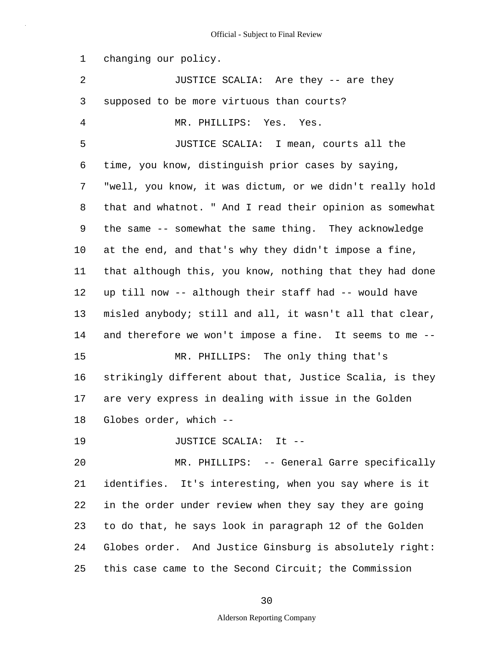1 2 3 4 5 6 7 8 9 10 11 12 13 14 15 16 17 18 19 20 21 22 23 24 25 changing our policy. JUSTICE SCALIA: Are they -- are they supposed to be more virtuous than courts? MR. PHILLIPS: Yes. Yes. JUSTICE SCALIA: I mean, courts all the time, you know, distinguish prior cases by saying, "well, you know, it was dictum, or we didn't really hold that and whatnot. " And I read their opinion as somewhat the same -- somewhat the same thing. They acknowledge at the end, and that's why they didn't impose a fine, that although this, you know, nothing that they had done up till now -- although their staff had -- would have misled anybody; still and all, it wasn't all that clear, and therefore we won't impose a fine. It seems to me -- MR. PHILLIPS: The only thing that's strikingly different about that, Justice Scalia, is they are very express in dealing with issue in the Golden Globes order, which -- JUSTICE SCALIA: It -- MR. PHILLIPS: -- General Garre specifically identifies. It's interesting, when you say where is it in the order under review when they say they are going to do that, he says look in paragraph 12 of the Golden Globes order. And Justice Ginsburg is absolutely right: this case came to the Second Circuit; the Commission

30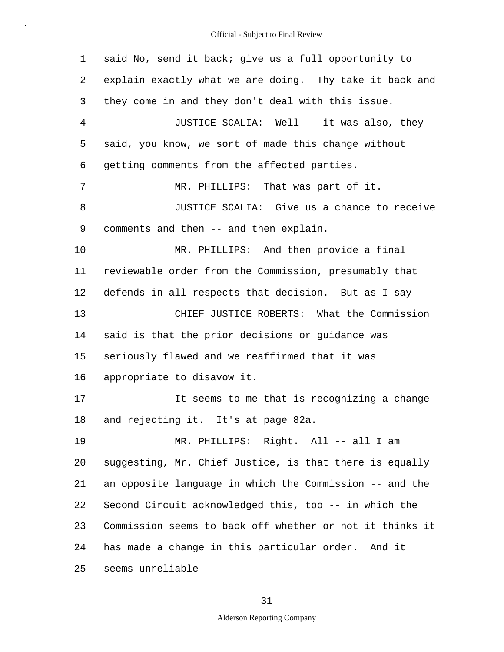1 2 3 4 5 6 7 8 9 10 11 12 13 14 15 16 17 18 19 20 21 22 23 24 25 said No, send it back; give us a full opportunity to explain exactly what we are doing. Thy take it back and they come in and they don't deal with this issue. JUSTICE SCALIA: Well -- it was also, they said, you know, we sort of made this change without getting comments from the affected parties. MR. PHILLIPS: That was part of it. JUSTICE SCALIA: Give us a chance to receive comments and then -- and then explain. MR. PHILLIPS: And then provide a final reviewable order from the Commission, presumably that defends in all respects that decision. But as I say -- CHIEF JUSTICE ROBERTS: What the Commission said is that the prior decisions or guidance was seriously flawed and we reaffirmed that it was appropriate to disavow it. It seems to me that is recognizing a change and rejecting it. It's at page 82a. MR. PHILLIPS: Right. All -- all I am suggesting, Mr. Chief Justice, is that there is equally an opposite language in which the Commission -- and the Second Circuit acknowledged this, too -- in which the Commission seems to back off whether or not it thinks it has made a change in this particular order. And it seems unreliable --

### 31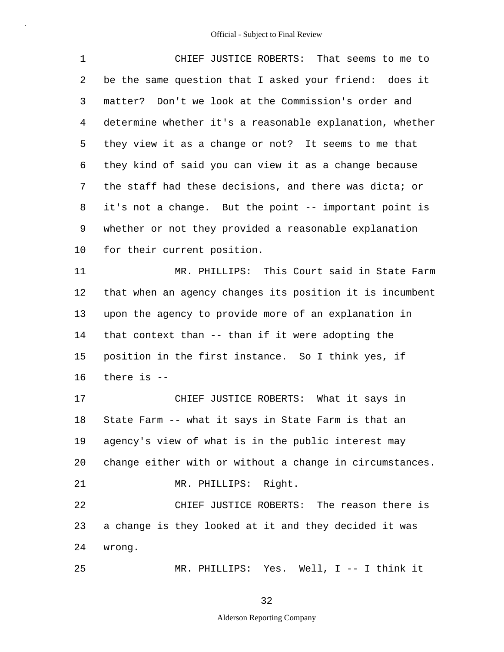1 2 3 4 5 6 7 8 9 10 11 12 13 14 15 16 17 18 19 20 21 CHIEF JUSTICE ROBERTS: That seems to me to be the same question that I asked your friend: does it matter? Don't we look at the Commission's order and determine whether it's a reasonable explanation, whether they view it as a change or not? It seems to me that they kind of said you can view it as a change because the staff had these decisions, and there was dicta; or it's not a change. But the point -- important point is whether or not they provided a reasonable explanation for their current position. MR. PHILLIPS: This Court said in State Farm that when an agency changes its position it is incumbent upon the agency to provide more of an explanation in that context than -- than if it were adopting the position in the first instance. So I think yes, if there is -- CHIEF JUSTICE ROBERTS: What it says in State Farm -- what it says in State Farm is that an agency's view of what is in the public interest may change either with or without a change in circumstances. MR. PHILLIPS: Right.

22 23 24 CHIEF JUSTICE ROBERTS: The reason there is a change is they looked at it and they decided it was wrong.

25

MR. PHILLIPS: Yes. Well, I -- I think it

32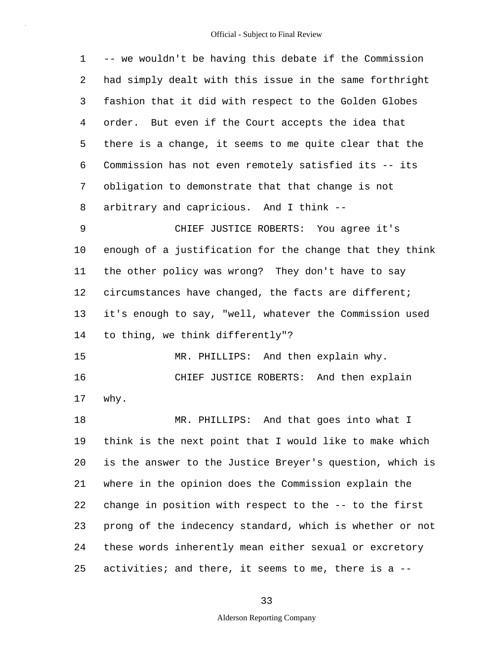| $\mathbf 1$ | -- we wouldn't be having this debate if the Commission   |
|-------------|----------------------------------------------------------|
| 2           | had simply dealt with this issue in the same forthright  |
| 3           | fashion that it did with respect to the Golden Globes    |
| 4           | order. But even if the Court accepts the idea that       |
| 5           | there is a change, it seems to me quite clear that the   |
| 6           | Commission has not even remotely satisfied its -- its    |
| 7           | obligation to demonstrate that that change is not        |
| 8           | arbitrary and capricious. And I think --                 |
| 9           | CHIEF JUSTICE ROBERTS: You agree it's                    |
| 10          | enough of a justification for the change that they think |
| 11          | the other policy was wrong? They don't have to say       |
| 12          | circumstances have changed, the facts are different;     |
| 13          | it's enough to say, "well, whatever the Commission used  |
| 14          | to thing, we think differently"?                         |
| 15          | MR. PHILLIPS: And then explain why.                      |
| 16          | CHIEF JUSTICE ROBERTS: And then explain                  |
| 17          | why.                                                     |
| 18          | And that goes into what I<br>MR. PHILLIPS:               |
| 19          | think is the next point that I would like to make which  |
| 20          | is the answer to the Justice Breyer's question, which is |
| 21          | where in the opinion does the Commission explain the     |
| 22          | change in position with respect to the -- to the first   |
| 23          | prong of the indecency standard, which is whether or not |
| 24          | these words inherently mean either sexual or excretory   |
| 25          | activities; and there, it seems to me, there is a --     |

# 33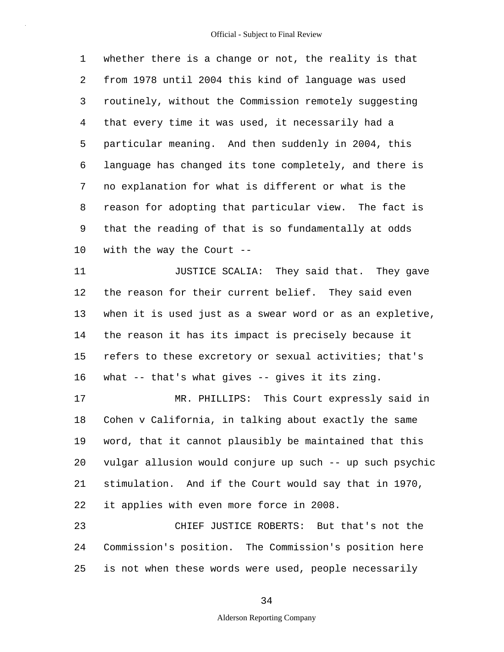1 2 3 4 5 6 7 8 9 10 whether there is a change or not, the reality is that from 1978 until 2004 this kind of language was used routinely, without the Commission remotely suggesting that every time it was used, it necessarily had a particular meaning. And then suddenly in 2004, this language has changed its tone completely, and there is no explanation for what is different or what is the reason for adopting that particular view. The fact is that the reading of that is so fundamentally at odds with the way the Court --

11 12 13 14 15 16 JUSTICE SCALIA: They said that. They gave the reason for their current belief. They said even when it is used just as a swear word or as an expletive, the reason it has its impact is precisely because it refers to these excretory or sexual activities; that's what -- that's what gives -- gives it its zing.

17 18 19 20 21 22 MR. PHILLIPS: This Court expressly said in Cohen v California, in talking about exactly the same word, that it cannot plausibly be maintained that this vulgar allusion would conjure up such -- up such psychic stimulation. And if the Court would say that in 1970, it applies with even more force in 2008.

23 24 25 CHIEF JUSTICE ROBERTS: But that's not the Commission's position. The Commission's position here is not when these words were used, people necessarily

34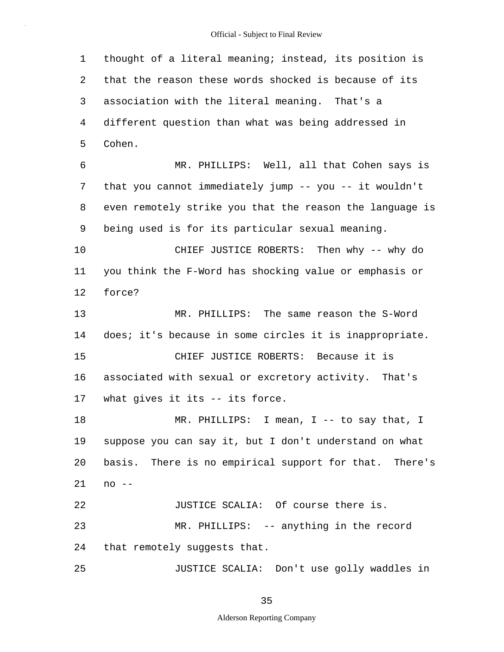1 2 3 4 5 6 7 8 9 10 11 12 13 14 15 16 17 18 19 20 21 22 23 24 25 thought of a literal meaning; instead, its position is that the reason these words shocked is because of its association with the literal meaning. That's a different question than what was being addressed in Cohen. MR. PHILLIPS: Well, all that Cohen says is that you cannot immediately jump -- you -- it wouldn't even remotely strike you that the reason the language is being used is for its particular sexual meaning. CHIEF JUSTICE ROBERTS: Then why -- why do you think the F-Word has shocking value or emphasis or force? MR. PHILLIPS: The same reason the S-Word does; it's because in some circles it is inappropriate. CHIEF JUSTICE ROBERTS: Because it is associated with sexual or excretory activity. That's what gives it its -- its force. MR. PHILLIPS: I mean, I -- to say that, I suppose you can say it, but I don't understand on what basis. There is no empirical support for that. There's no -- JUSTICE SCALIA: Of course there is. MR. PHILLIPS: -- anything in the record that remotely suggests that. JUSTICE SCALIA: Don't use golly waddles in

35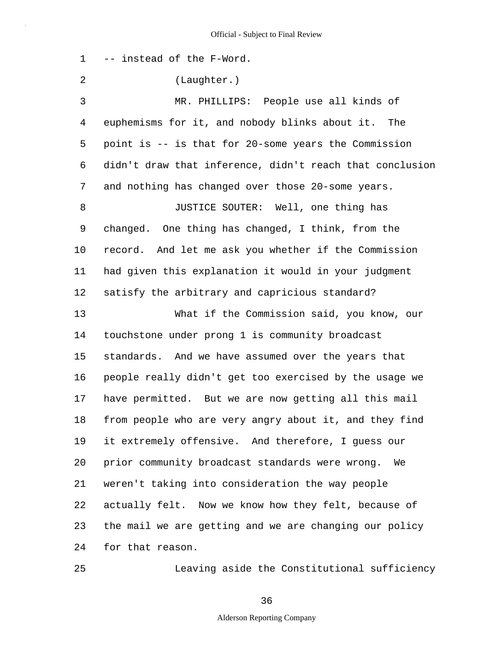1 -- instead of the F-Word.

2 (Laughter.)

3 4 5 6 7 8 9 10 11 12 13 14 15 16 17 18 19 20 21 22 23 24 MR. PHILLIPS: People use all kinds of euphemisms for it, and nobody blinks about it. The point is -- is that for 20-some years the Commission didn't draw that inference, didn't reach that conclusion and nothing has changed over those 20-some years. JUSTICE SOUTER: Well, one thing has changed. One thing has changed, I think, from the record. And let me ask you whether if the Commission had given this explanation it would in your judgment satisfy the arbitrary and capricious standard? What if the Commission said, you know, our touchstone under prong 1 is community broadcast standards. And we have assumed over the years that people really didn't get too exercised by the usage we have permitted. But we are now getting all this mail from people who are very angry about it, and they find it extremely offensive. And therefore, I guess our prior community broadcast standards were wrong. We weren't taking into consideration the way people actually felt. Now we know how they felt, because of the mail we are getting and we are changing our policy for that reason.

25

Leaving aside the Constitutional sufficiency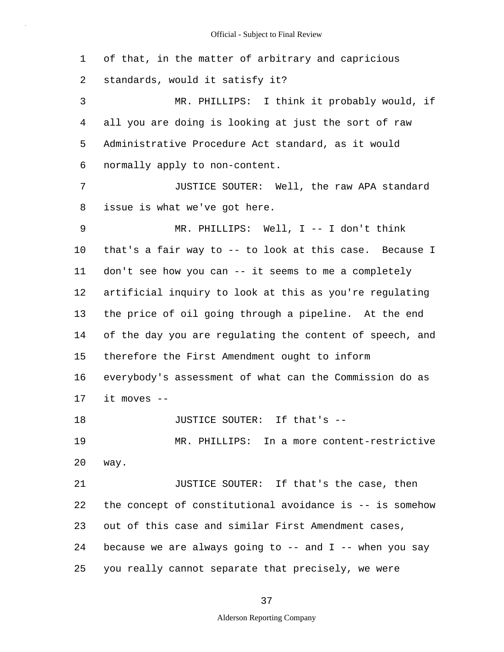1 2 3 4 5 6 7 8 9 10 11 12 13 14 15 16 17 18 19 20 21 22 23 24 25 of that, in the matter of arbitrary and capricious standards, would it satisfy it? MR. PHILLIPS: I think it probably would, if all you are doing is looking at just the sort of raw Administrative Procedure Act standard, as it would normally apply to non-content. JUSTICE SOUTER: Well, the raw APA standard issue is what we've got here. MR. PHILLIPS: Well, I -- I don't think that's a fair way to -- to look at this case. Because I don't see how you can -- it seems to me a completely artificial inquiry to look at this as you're regulating the price of oil going through a pipeline. At the end of the day you are regulating the content of speech, and therefore the First Amendment ought to inform everybody's assessment of what can the Commission do as it moves -- JUSTICE SOUTER: If that's -- MR. PHILLIPS: In a more content-restrictive way. JUSTICE SOUTER: If that's the case, then the concept of constitutional avoidance is -- is somehow out of this case and similar First Amendment cases, because we are always going to  $-$ - and I  $-$ - when you say you really cannot separate that precisely, we were

37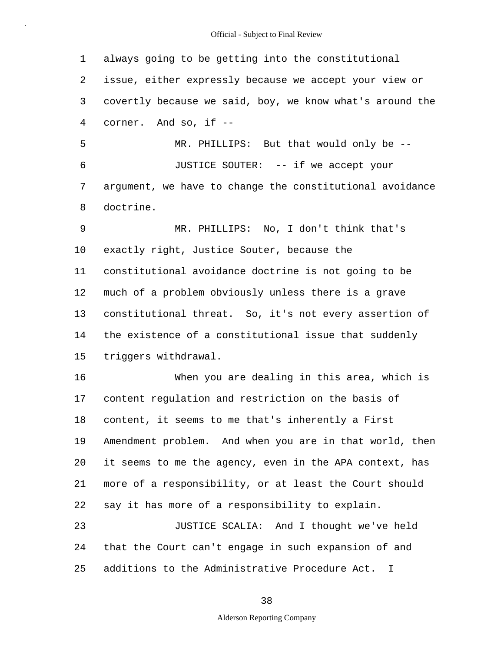1 2 3 4 always going to be getting into the constitutional issue, either expressly because we accept your view or covertly because we said, boy, we know what's around the corner. And so, if --

5 6 7 8 MR. PHILLIPS: But that would only be -- JUSTICE SOUTER: -- if we accept your argument, we have to change the constitutional avoidance doctrine.

9 10 11 12 13 14 15 MR. PHILLIPS: No, I don't think that's exactly right, Justice Souter, because the constitutional avoidance doctrine is not going to be much of a problem obviously unless there is a grave constitutional threat. So, it's not every assertion of the existence of a constitutional issue that suddenly triggers withdrawal.

16 17 18 19 20 21 22 When you are dealing in this area, which is content regulation and restriction on the basis of content, it seems to me that's inherently a First Amendment problem. And when you are in that world, then it seems to me the agency, even in the APA context, has more of a responsibility, or at least the Court should say it has more of a responsibility to explain.

23 24 25 JUSTICE SCALIA: And I thought we've held that the Court can't engage in such expansion of and additions to the Administrative Procedure Act. I

38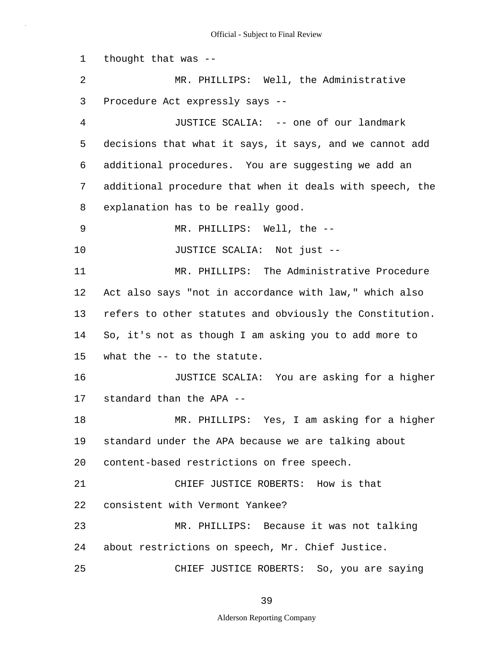1 2 3 4 5 6 7 8 9 10 11 12 13 14 15 16 17 18 19 20 21 22 23 24 25 thought that was -- MR. PHILLIPS: Well, the Administrative Procedure Act expressly says -- JUSTICE SCALIA: -- one of our landmark decisions that what it says, it says, and we cannot add additional procedures. You are suggesting we add an additional procedure that when it deals with speech, the explanation has to be really good. MR. PHILLIPS: Well, the -- JUSTICE SCALIA: Not just -- MR. PHILLIPS: The Administrative Procedure Act also says "not in accordance with law," which also refers to other statutes and obviously the Constitution. So, it's not as though I am asking you to add more to what the -- to the statute. JUSTICE SCALIA: You are asking for a higher standard than the APA -- MR. PHILLIPS: Yes, I am asking for a higher standard under the APA because we are talking about content-based restrictions on free speech. CHIEF JUSTICE ROBERTS: How is that consistent with Vermont Yankee? MR. PHILLIPS: Because it was not talking about restrictions on speech, Mr. Chief Justice. CHIEF JUSTICE ROBERTS: So, you are saying

39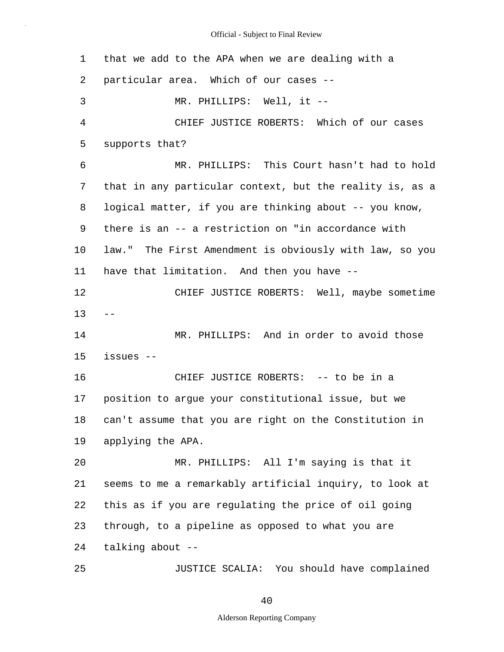| 1              | that we add to the APA when we are dealing with a        |
|----------------|----------------------------------------------------------|
| 2              | particular area. Which of our cases --                   |
| 3              | MR. PHILLIPS: Well, it --                                |
| $\overline{4}$ | CHIEF JUSTICE ROBERTS: Which of our cases                |
| 5              | supports that?                                           |
| 6              | MR. PHILLIPS: This Court hasn't had to hold              |
| 7              | that in any particular context, but the reality is, as a |
| 8              | logical matter, if you are thinking about -- you know,   |
| 9              | there is an -- a restriction on "in accordance with      |
| 10             | law." The First Amendment is obviously with law, so you  |
| 11             | have that limitation. And then you have --               |
| 12             | CHIEF JUSTICE ROBERTS: Well, maybe sometime              |
| 13             |                                                          |
| 14             | MR. PHILLIPS: And in order to avoid those                |
| 15             | issues --                                                |
| 16             | CHIEF JUSTICE ROBERTS: -- to be in a                     |
| 17             | position to argue your constitutional issue, but we      |
| 18             | can't assume that you are right on the Constitution in   |
| 19             | applying the APA.                                        |
| 20             | MR. PHILLIPS: All I'm saying is that it                  |
| 21             | seems to me a remarkably artificial inquiry, to look at  |
| 22             | this as if you are regulating the price of oil going     |
| 23             | through, to a pipeline as opposed to what you are        |
| 24             | talking about --                                         |
| 25             | JUSTICE SCALIA: You should have complained               |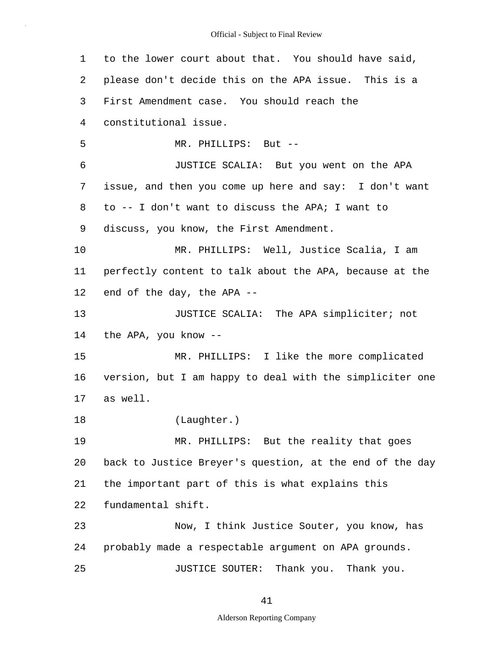1 2 3 4 5 6 7 8 9 10 11 12 13 14 15 16 17 18 19 20 21 22 23 24 25 to the lower court about that. You should have said, please don't decide this on the APA issue. This is a First Amendment case. You should reach the constitutional issue. MR. PHILLIPS: But -- JUSTICE SCALIA: But you went on the APA issue, and then you come up here and say: I don't want to -- I don't want to discuss the APA; I want to discuss, you know, the First Amendment. MR. PHILLIPS: Well, Justice Scalia, I am perfectly content to talk about the APA, because at the end of the day, the APA -- JUSTICE SCALIA: The APA simpliciter; not the APA, you know -- MR. PHILLIPS: I like the more complicated version, but I am happy to deal with the simpliciter one as well. (Laughter.) MR. PHILLIPS: But the reality that goes back to Justice Breyer's question, at the end of the day the important part of this is what explains this fundamental shift. Now, I think Justice Souter, you know, has probably made a respectable argument on APA grounds. JUSTICE SOUTER: Thank you. Thank you.

41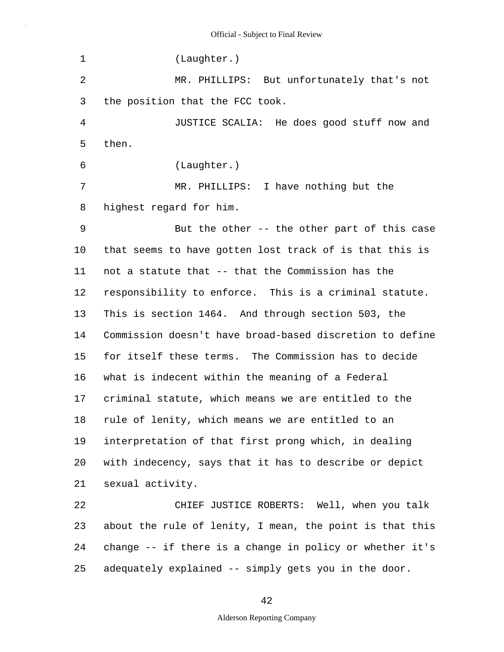1 2 3 4 5 6 7 8 9 10 11 12 13 14 15 16 17 18 19 20 21 22 23 24 25 (Laughter.) MR. PHILLIPS: But unfortunately that's not the position that the FCC took. JUSTICE SCALIA: He does good stuff now and then. (Laughter.) MR. PHILLIPS: I have nothing but the highest regard for him. But the other -- the other part of this case that seems to have gotten lost track of is that this is not a statute that -- that the Commission has the responsibility to enforce. This is a criminal statute. This is section 1464. And through section 503, the Commission doesn't have broad-based discretion to define for itself these terms. The Commission has to decide what is indecent within the meaning of a Federal criminal statute, which means we are entitled to the rule of lenity, which means we are entitled to an interpretation of that first prong which, in dealing with indecency, says that it has to describe or depict sexual activity. CHIEF JUSTICE ROBERTS: Well, when you talk about the rule of lenity, I mean, the point is that this change -- if there is a change in policy or whether it's adequately explained -- simply gets you in the door.

42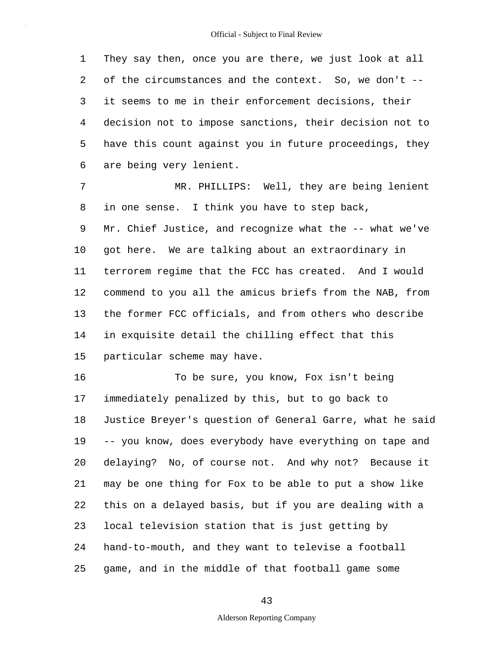1 2 3 4 5 6 They say then, once you are there, we just look at all of the circumstances and the context. So, we don't - it seems to me in their enforcement decisions, their decision not to impose sanctions, their decision not to have this count against you in future proceedings, they are being very lenient.

7 8 9 10 11 12 13 14 15 MR. PHILLIPS: Well, they are being lenient in one sense. I think you have to step back, Mr. Chief Justice, and recognize what the -- what we've got here. We are talking about an extraordinary in terrorem regime that the FCC has created. And I would commend to you all the amicus briefs from the NAB, from the former FCC officials, and from others who describe in exquisite detail the chilling effect that this particular scheme may have.

16 17 18 19 20 21 22 23 24 25 To be sure, you know, Fox isn't being immediately penalized by this, but to go back to Justice Breyer's question of General Garre, what he said -- you know, does everybody have everything on tape and delaying? No, of course not. And why not? Because it may be one thing for Fox to be able to put a show like this on a delayed basis, but if you are dealing with a local television station that is just getting by hand-to-mouth, and they want to televise a football game, and in the middle of that football game some

43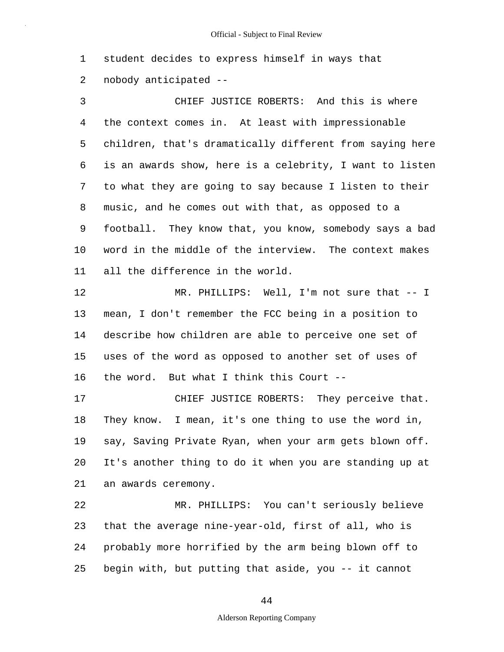1 2 student decides to express himself in ways that nobody anticipated --

3 4 5 6 7 8 9 10 11 CHIEF JUSTICE ROBERTS: And this is where the context comes in. At least with impressionable children, that's dramatically different from saying here is an awards show, here is a celebrity, I want to listen to what they are going to say because I listen to their music, and he comes out with that, as opposed to a football. They know that, you know, somebody says a bad word in the middle of the interview. The context makes all the difference in the world.

12 13 14 15 16 MR. PHILLIPS: Well, I'm not sure that -- I mean, I don't remember the FCC being in a position to describe how children are able to perceive one set of uses of the word as opposed to another set of uses of the word. But what I think this Court --

17 18 19 20 21 CHIEF JUSTICE ROBERTS: They perceive that. They know. I mean, it's one thing to use the word in, say, Saving Private Ryan, when your arm gets blown off. It's another thing to do it when you are standing up at an awards ceremony.

22 23 24 25 MR. PHILLIPS: You can't seriously believe that the average nine-year-old, first of all, who is probably more horrified by the arm being blown off to begin with, but putting that aside, you -- it cannot

44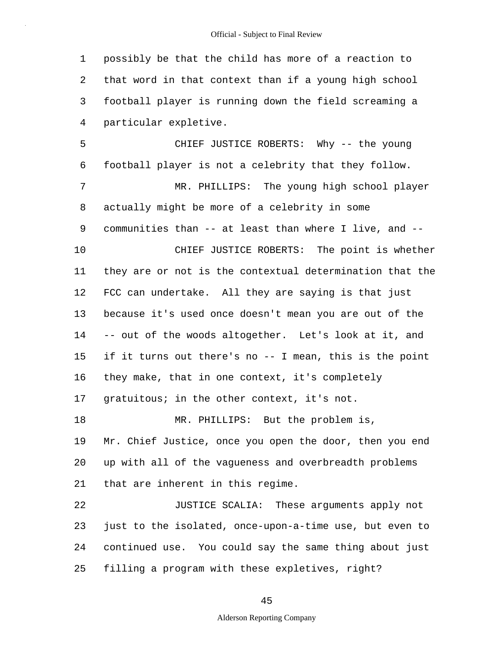|  | Official - Subject to Final Review |  |  |
|--|------------------------------------|--|--|
|--|------------------------------------|--|--|

1 2 3 4 possibly be that the child has more of a reaction to that word in that context than if a young high school football player is running down the field screaming a particular expletive.

5 6 7 8 9 10 11 12 13 14 15 16 17 18 19 20 21 22 23 24 CHIEF JUSTICE ROBERTS: Why -- the young football player is not a celebrity that they follow. MR. PHILLIPS: The young high school player actually might be more of a celebrity in some communities than -- at least than where I live, and -- CHIEF JUSTICE ROBERTS: The point is whether they are or not is the contextual determination that the FCC can undertake. All they are saying is that just because it's used once doesn't mean you are out of the -- out of the woods altogether. Let's look at it, and if it turns out there's no -- I mean, this is the point they make, that in one context, it's completely gratuitous; in the other context, it's not. MR. PHILLIPS: But the problem is, Mr. Chief Justice, once you open the door, then you end up with all of the vagueness and overbreadth problems that are inherent in this regime. JUSTICE SCALIA: These arguments apply not just to the isolated, once-upon-a-time use, but even to continued use. You could say the same thing about just

25 filling a program with these expletives, right?

45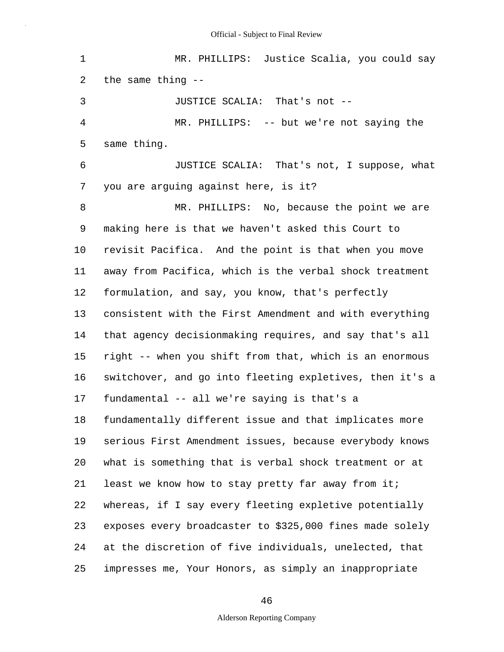1 2 3 4 5 6 7 8 9 10 11 12 13 14 15 16 17 18 19 20 21 22 23 24 25 MR. PHILLIPS: Justice Scalia, you could say the same thing -- JUSTICE SCALIA: That's not -- MR. PHILLIPS: -- but we're not saying the same thing. JUSTICE SCALIA: That's not, I suppose, what you are arguing against here, is it? MR. PHILLIPS: No, because the point we are making here is that we haven't asked this Court to revisit Pacifica. And the point is that when you move away from Pacifica, which is the verbal shock treatment formulation, and say, you know, that's perfectly consistent with the First Amendment and with everything that agency decisionmaking requires, and say that's all right -- when you shift from that, which is an enormous switchover, and go into fleeting expletives, then it's a fundamental -- all we're saying is that's a fundamentally different issue and that implicates more serious First Amendment issues, because everybody knows what is something that is verbal shock treatment or at least we know how to stay pretty far away from it; whereas, if I say every fleeting expletive potentially exposes every broadcaster to \$325,000 fines made solely at the discretion of five individuals, unelected, that impresses me, Your Honors, as simply an inappropriate

46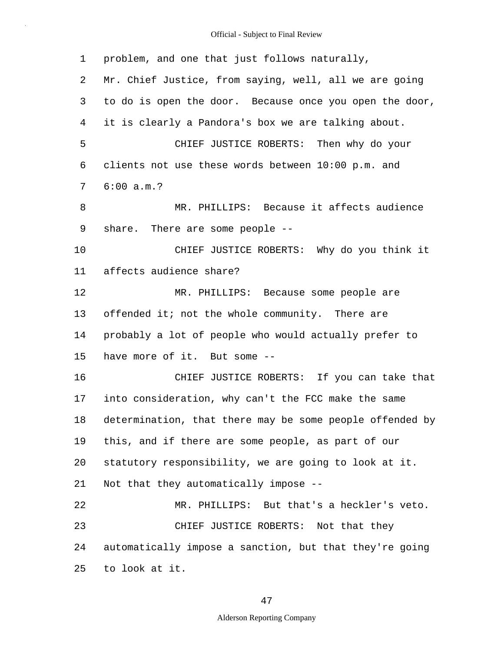| 1  | problem, and one that just follows naturally,            |
|----|----------------------------------------------------------|
| 2  | Mr. Chief Justice, from saying, well, all we are going   |
| 3  | to do is open the door. Because once you open the door,  |
| 4  | it is clearly a Pandora's box we are talking about.      |
| 5  | CHIEF JUSTICE ROBERTS: Then why do your                  |
| 6  | clients not use these words between 10:00 p.m. and       |
| 7  | 6:00 a.m.?                                               |
| 8  | MR. PHILLIPS: Because it affects audience                |
| 9  | share. There are some people --                          |
| 10 | CHIEF JUSTICE ROBERTS: Why do you think it               |
| 11 | affects audience share?                                  |
| 12 | MR. PHILLIPS: Because some people are                    |
| 13 | offended it; not the whole community. There are          |
| 14 | probably a lot of people who would actually prefer to    |
| 15 | have more of it. But some --                             |
| 16 | CHIEF JUSTICE ROBERTS: If you can take that              |
| 17 | into consideration, why can't the FCC make the same      |
| 18 | determination, that there may be some people offended by |
| 19 | this, and if there are some people, as part of our       |
| 20 | statutory responsibility, we are going to look at it.    |
| 21 | Not that they automatically impose --                    |
| 22 | MR. PHILLIPS: But that's a heckler's veto.               |
| 23 | CHIEF JUSTICE ROBERTS: Not that they                     |
| 24 | automatically impose a sanction, but that they're going  |
| 25 | to look at it.                                           |

47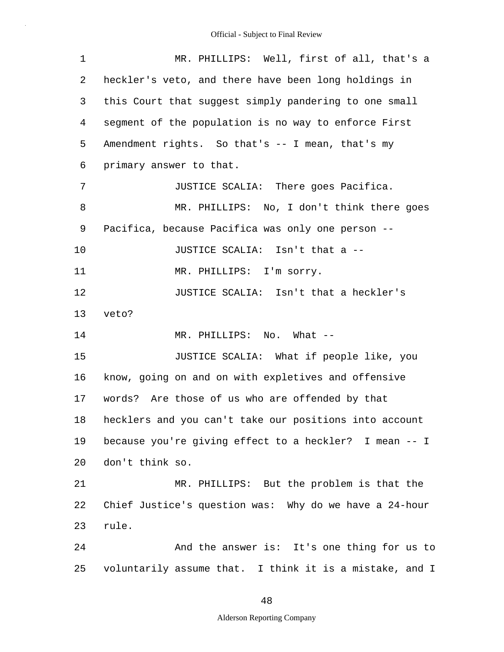| $\mathbf 1$ | MR. PHILLIPS: Well, first of all, that's a              |
|-------------|---------------------------------------------------------|
| 2           | heckler's veto, and there have been long holdings in    |
| 3           | this Court that suggest simply pandering to one small   |
| 4           | segment of the population is no way to enforce First    |
| 5           | Amendment rights. So that's -- I mean, that's my        |
| 6           | primary answer to that.                                 |
| 7           | JUSTICE SCALIA: There goes Pacifica.                    |
| 8           | MR. PHILLIPS: No, I don't think there goes              |
| 9           | Pacifica, because Pacifica was only one person --       |
| 10          | JUSTICE SCALIA: Isn't that a --                         |
| 11          | MR. PHILLIPS: I'm sorry.                                |
| 12          | JUSTICE SCALIA: Isn't that a heckler's                  |
| 13          | veto?                                                   |
| 14          | MR. PHILLIPS: No. What --                               |
| 15          | JUSTICE SCALIA: What if people like, you                |
| 16          | know, going on and on with expletives and offensive     |
| 17          | words? Are those of us who are offended by that         |
| 18          | hecklers and you can't take our positions into account  |
| 19          | because you're giving effect to a heckler? I mean -- I  |
| 20          | don't think so.                                         |
| 21          | MR. PHILLIPS: But the problem is that the               |
| 22          | Chief Justice's question was: Why do we have a 24-hour  |
| 23          | rule.                                                   |
| 24          | And the answer is: It's one thing for us to             |
| 25          | voluntarily assume that. I think it is a mistake, and I |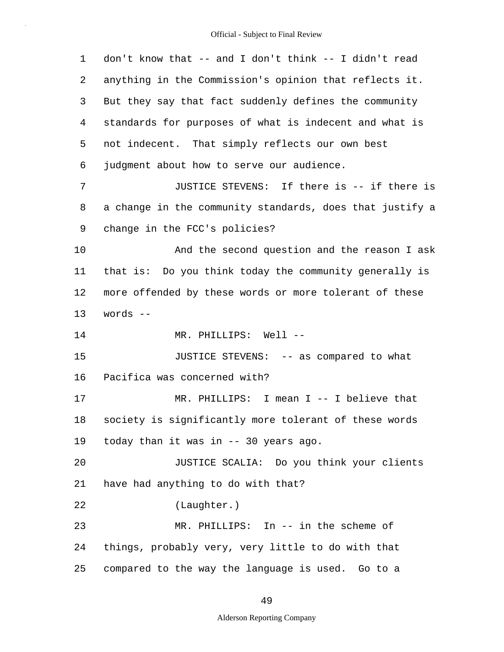| 1  | don't know that -- and I don't think -- I didn't read    |
|----|----------------------------------------------------------|
| 2  | anything in the Commission's opinion that reflects it.   |
| 3  | But they say that fact suddenly defines the community    |
| 4  | standards for purposes of what is indecent and what is   |
| 5  | not indecent. That simply reflects our own best          |
| 6  | judgment about how to serve our audience.                |
| 7  | JUSTICE STEVENS: If there is -- if there is              |
| 8  | a change in the community standards, does that justify a |
| 9  | change in the FCC's policies?                            |
| 10 | And the second question and the reason I ask             |
| 11 | that is: Do you think today the community generally is   |
| 12 | more offended by these words or more tolerant of these   |
| 13 | words --                                                 |
| 14 | MR. PHILLIPS: Well --                                    |
| 15 | JUSTICE STEVENS: -- as compared to what                  |
| 16 | Pacifica was concerned with?                             |
| 17 |                                                          |
|    | MR. PHILLIPS: I mean I -- I believe that                 |
| 18 | society is significantly more tolerant of these words    |
| 19 | today than it was in -- 30 years ago.                    |
| 20 | JUSTICE SCALIA: Do you think your clients                |
| 21 | have had anything to do with that?                       |
| 22 | (Laughter.)                                              |
| 23 | MR. PHILLIPS: In -- in the scheme of                     |
| 24 | things, probably very, very little to do with that       |

## 49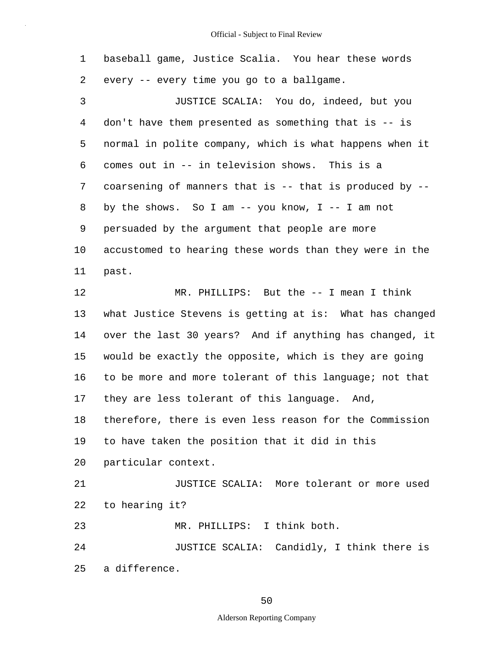|    | baseball game, Justice Scalia. You hear these words     |
|----|---------------------------------------------------------|
|    | 2 every -- every time you go to a ballgame.             |
| -3 | JUSTICE SCALIA: You do, indeed, but you                 |
|    | 4 don't have them presented as something that is -- is  |
| 5  | normal in polite company, which is what happens when it |

6 7 8 9 10 comes out in -- in television shows. This is a coarsening of manners that is  $--$  that is produced by  $-$ by the shows. So I am  $-$ - you know, I  $-$ - I am not persuaded by the argument that people are more accustomed to hearing these words than they were in the

11 past.

12 13 14 15 16 17 18 19 20 21 22 23 24 25 MR. PHILLIPS: But the -- I mean I think what Justice Stevens is getting at is: What has changed over the last 30 years? And if anything has changed, it would be exactly the opposite, which is they are going to be more and more tolerant of this language; not that they are less tolerant of this language. And, therefore, there is even less reason for the Commission to have taken the position that it did in this particular context. JUSTICE SCALIA: More tolerant or more used to hearing it? MR. PHILLIPS: I think both. JUSTICE SCALIA: Candidly, I think there is a difference.

50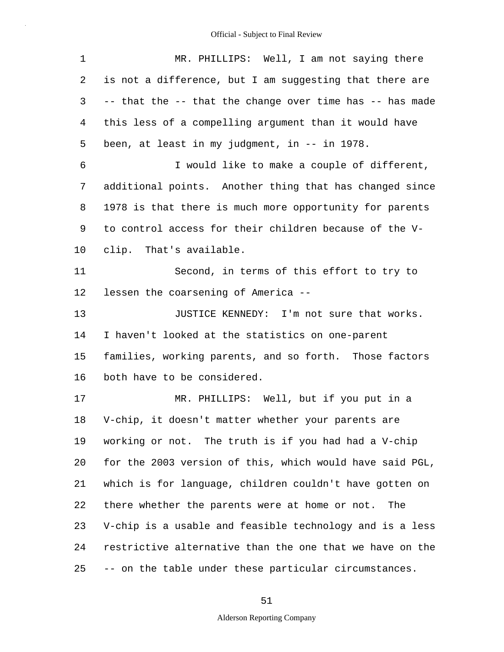| $\mathbf 1$ | MR. PHILLIPS: Well, I am not saying there                |
|-------------|----------------------------------------------------------|
| 2           | is not a difference, but I am suggesting that there are  |
| 3           | -- that the -- that the change over time has -- has made |
| 4           | this less of a compelling argument than it would have    |
| 5           | been, at least in my judgment, in -- in 1978.            |
| 6           | I would like to make a couple of different,              |
| 7           | additional points. Another thing that has changed since  |
| 8           | 1978 is that there is much more opportunity for parents  |
| 9           | to control access for their children because of the V-   |
| 10          | clip. That's available.                                  |
| 11          | Second, in terms of this effort to try to                |
| 12          | lessen the coarsening of America --                      |
| 13          | JUSTICE KENNEDY: I'm not sure that works.                |
| 14          | I haven't looked at the statistics on one-parent         |
| 15          | families, working parents, and so forth. Those factors   |
| 16          | both have to be considered.                              |
| 17          | MR. PHILLIPS: Well, but if you put in a                  |
| 18          | V-chip, it doesn't matter whether your parents are       |
| 19          | working or not. The truth is if you had had a V-chip     |
| 20          | for the 2003 version of this, which would have said PGL, |
| 21          | which is for language, children couldn't have gotten on  |
| 22          | there whether the parents were at home or not.<br>The    |
| 23          | V-chip is a usable and feasible technology and is a less |
| 24          | restrictive alternative than the one that we have on the |
| 25          | -- on the table under these particular circumstances.    |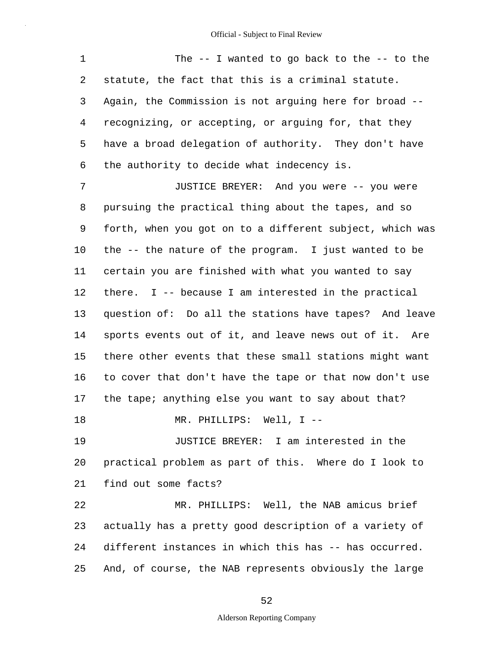1 2 3 4 5 6 7 8 9 10 11 12 13 14 15 16 17 18 19 20 21 22 23 24 25 The -- I wanted to go back to the -- to the statute, the fact that this is a criminal statute. Again, the Commission is not arguing here for broad - recognizing, or accepting, or arguing for, that they have a broad delegation of authority. They don't have the authority to decide what indecency is. JUSTICE BREYER: And you were -- you were pursuing the practical thing about the tapes, and so forth, when you got on to a different subject, which was the -- the nature of the program. I just wanted to be certain you are finished with what you wanted to say there. I -- because I am interested in the practical question of: Do all the stations have tapes? And leave sports events out of it, and leave news out of it. Are there other events that these small stations might want to cover that don't have the tape or that now don't use the tape; anything else you want to say about that? MR. PHILLIPS: Well, I -- JUSTICE BREYER: I am interested in the practical problem as part of this. Where do I look to find out some facts? MR. PHILLIPS: Well, the NAB amicus brief actually has a pretty good description of a variety of different instances in which this has -- has occurred. And, of course, the NAB represents obviously the large

52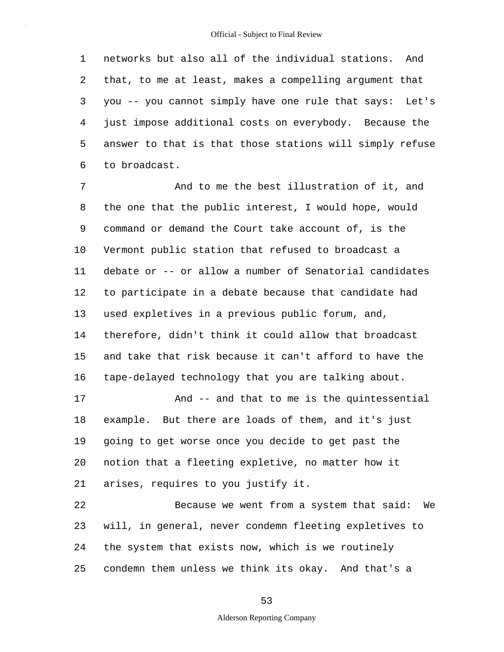1 2 3 4 5 6 networks but also all of the individual stations. And that, to me at least, makes a compelling argument that you -- you cannot simply have one rule that says: Let's just impose additional costs on everybody. Because the answer to that is that those stations will simply refuse to broadcast.

7 8 9 10 11 12 13 14 15 16 17 18 19 20 21 22 23 And to me the best illustration of it, and the one that the public interest, I would hope, would command or demand the Court take account of, is the Vermont public station that refused to broadcast a debate or -- or allow a number of Senatorial candidates to participate in a debate because that candidate had used expletives in a previous public forum, and, therefore, didn't think it could allow that broadcast and take that risk because it can't afford to have the tape-delayed technology that you are talking about. And -- and that to me is the quintessential example. But there are loads of them, and it's just going to get worse once you decide to get past the notion that a fleeting expletive, no matter how it arises, requires to you justify it. Because we went from a system that said: We will, in general, never condemn fleeting expletives to

the system that exists now, which is we routinely

condemn them unless we think its okay. And that's a

24

25

53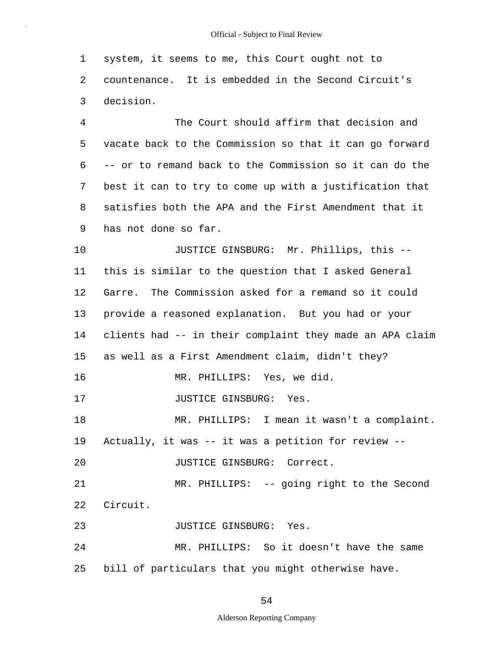| 1  | system, it seems to me, this Court ought not to          |
|----|----------------------------------------------------------|
| 2  | countenance. It is embedded in the Second Circuit's      |
| 3  | decision.                                                |
| 4  | The Court should affirm that decision and                |
| 5  | vacate back to the Commission so that it can go forward  |
| 6  | -- or to remand back to the Commission so it can do the  |
| 7  | best it can to try to come up with a justification that  |
| 8  | satisfies both the APA and the First Amendment that it   |
| 9  | has not done so far.                                     |
| 10 | JUSTICE GINSBURG: Mr. Phillips, this --                  |
| 11 | this is similar to the question that I asked General     |
| 12 | Garre. The Commission asked for a remand so it could     |
| 13 | provide a reasoned explanation. But you had or your      |
| 14 | clients had -- in their complaint they made an APA claim |
| 15 | as well as a First Amendment claim, didn't they?         |
| 16 | MR. PHILLIPS: Yes, we did.                               |
| 17 | JUSTICE GINSBURG: Yes.                                   |
| 18 | MR. PHILLIPS: I mean it wasn't a complaint.              |
| 19 | Actually, it was -- it was a petition for review --      |
| 20 | JUSTICE GINSBURG: Correct.                               |
| 21 | MR. PHILLIPS: -- going right to the Second               |
| 22 | Circuit.                                                 |
| 23 | JUSTICE GINSBURG: Yes.                                   |
| 24 | MR. PHILLIPS: So it doesn't have the same                |
| 25 | bill of particulars that you might otherwise have.       |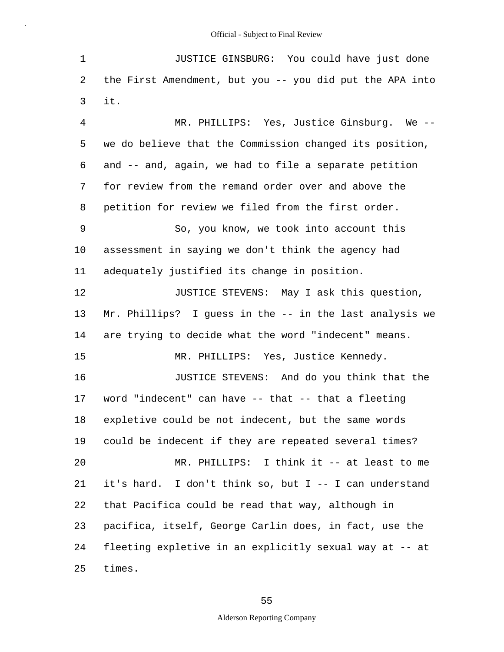| 1              | JUSTICE GINSBURG: You could have just done               |
|----------------|----------------------------------------------------------|
| 2              | the First Amendment, but you -- you did put the APA into |
| 3              | it.                                                      |
| $\overline{4}$ | MR. PHILLIPS: Yes, Justice Ginsburg. We --               |
| 5              | we do believe that the Commission changed its position,  |
| 6              | and -- and, again, we had to file a separate petition    |
| 7              | for review from the remand order over and above the      |
| 8              | petition for review we filed from the first order.       |
| 9              | So, you know, we took into account this                  |
| 10             | assessment in saying we don't think the agency had       |
| 11             | adequately justified its change in position.             |
| 12             | JUSTICE STEVENS: May I ask this question,                |
| 13             | Mr. Phillips? I guess in the -- in the last analysis we  |
| 14             | are trying to decide what the word "indecent" means.     |
| 15             | MR. PHILLIPS: Yes, Justice Kennedy.                      |
| 16             | JUSTICE STEVENS: And do you think that the               |
| 17             | word "indecent" can have -- that -- that a fleeting      |
| 18             | expletive could be not indecent, but the same words      |
| 19             | could be indecent if they are repeated several times?    |
| 20             | MR. PHILLIPS: I think it -- at least to me               |
| 21             | it's hard. I don't think so, but I -- I can understand   |
| 22             | that Pacifica could be read that way, although in        |
| 23             | pacifica, itself, George Carlin does, in fact, use the   |
| 24             | fleeting expletive in an explicitly sexual way at -- at  |
| 25             | times.                                                   |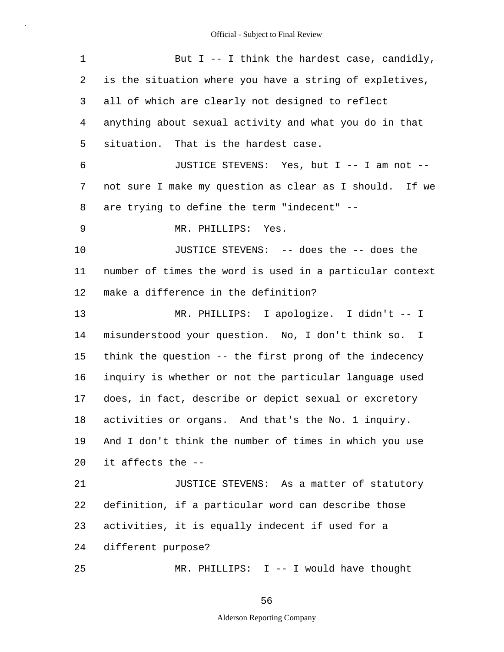| $\mathbf 1$ | But I -- I think the hardest case, candidly,             |
|-------------|----------------------------------------------------------|
| 2           | is the situation where you have a string of expletives,  |
| 3           | all of which are clearly not designed to reflect         |
| 4           | anything about sexual activity and what you do in that   |
| 5           | situation. That is the hardest case.                     |
| 6           | JUSTICE STEVENS: Yes, but I -- I am not --               |
| 7           | not sure I make my question as clear as I should. If we  |
| 8           | are trying to define the term "indecent" --              |
| 9           | MR. PHILLIPS: Yes.                                       |
| 10          | JUSTICE STEVENS: -- does the -- does the                 |
| 11          | number of times the word is used in a particular context |
| 12          | make a difference in the definition?                     |
| 13          | MR. PHILLIPS: I apologize. I didn't -- I                 |
| 14          | misunderstood your question. No, I don't think so. I     |
| 15          | think the question -- the first prong of the indecency   |
| 16          | inquiry is whether or not the particular language used   |
| 17          | does, in fact, describe or depict sexual or excretory    |
| 18          | activities or organs. And that's the No. 1 inquiry.      |
| 19          | And I don't think the number of times in which you use   |
| 20          | it affects the --                                        |
| 21          | JUSTICE STEVENS: As a matter of statutory                |
| 22          | definition, if a particular word can describe those      |
| 23          | activities, it is equally indecent if used for a         |
| 24          | different purpose?                                       |
| 25          | MR. PHILLIPS: I -- I would have thought                  |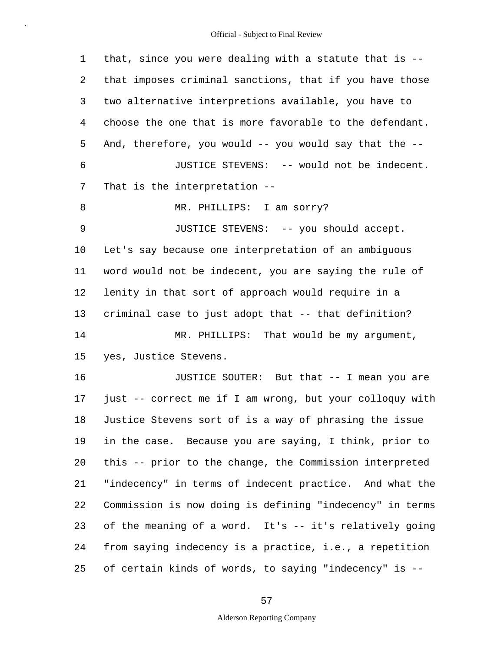1 2 3 4 5 6 7 8 9 10 11 12 13 14 15 16 17 18 19 20 21 22 23 24 25 that, since you were dealing with a statute that is - that imposes criminal sanctions, that if you have those two alternative interpretions available, you have to choose the one that is more favorable to the defendant. And, therefore, you would -- you would say that the -- JUSTICE STEVENS: -- would not be indecent. That is the interpretation -- MR. PHILLIPS: I am sorry? JUSTICE STEVENS: -- you should accept. Let's say because one interpretation of an ambiguous word would not be indecent, you are saying the rule of lenity in that sort of approach would require in a criminal case to just adopt that -- that definition? MR. PHILLIPS: That would be my argument, yes, Justice Stevens. JUSTICE SOUTER: But that -- I mean you are just -- correct me if I am wrong, but your colloquy with Justice Stevens sort of is a way of phrasing the issue in the case. Because you are saying, I think, prior to this -- prior to the change, the Commission interpreted "indecency" in terms of indecent practice. And what the Commission is now doing is defining "indecency" in terms of the meaning of a word. It's -- it's relatively going from saying indecency is a practice, i.e., a repetition of certain kinds of words, to saying "indecency" is --

#### 57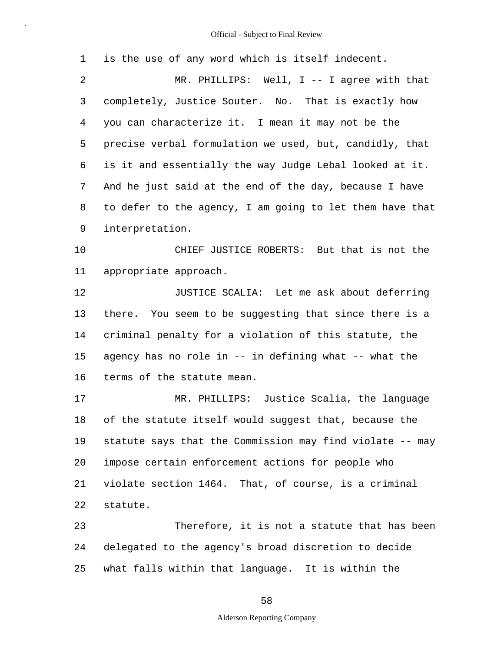| $\mathbf 1$    | is the use of any word which is itself indecent.         |
|----------------|----------------------------------------------------------|
| $\overline{2}$ | MR. PHILLIPS: Well, $I$ -- I agree with that             |
| 3              | completely, Justice Souter. No. That is exactly how      |
| 4              | you can characterize it. I mean it may not be the        |
| 5              | precise verbal formulation we used, but, candidly, that  |
| 6              | is it and essentially the way Judge Lebal looked at it.  |
| 7              | And he just said at the end of the day, because I have   |
| 8              | to defer to the agency, I am going to let them have that |
| 9              | interpretation.                                          |
| 10             | CHIEF JUSTICE ROBERTS: But that is not the               |
| 11             | appropriate approach.                                    |
| 12             | JUSTICE SCALIA: Let me ask about deferring               |
| 13             | there. You seem to be suggesting that since there is a   |
| 14             | criminal penalty for a violation of this statute, the    |
| 15             | agency has no role in -- in defining what -- what the    |
| 16             | terms of the statute mean.                               |
| 17             | MR. PHILLIPS: Justice Scalia, the language               |
| 18             | of the statute itself would suggest that, because the    |
| 19             | statute says that the Commission may find violate -- may |
| 20             | impose certain enforcement actions for people who        |
| 21             | violate section 1464. That, of course, is a criminal     |
| 22             | statute.                                                 |
| 23             | Therefore, it is not a statute that has been             |
| 24             | delegated to the agency's broad discretion to decide     |
| 25             | what falls within that language. It is within the        |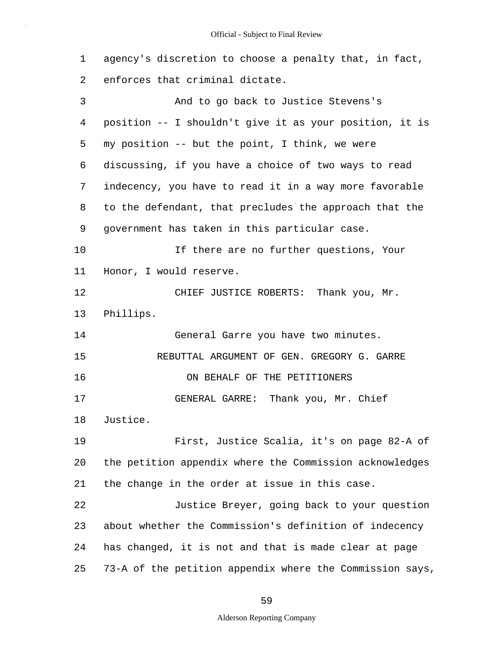| $\mathbf 1$ | agency's discretion to choose a penalty that, in fact,   |
|-------------|----------------------------------------------------------|
| 2           | enforces that criminal dictate.                          |
| 3           | And to go back to Justice Stevens's                      |
| 4           | position -- I shouldn't give it as your position, it is  |
| 5           | my position -- but the point, I think, we were           |
| 6           | discussing, if you have a choice of two ways to read     |
| 7           | indecency, you have to read it in a way more favorable   |
| 8           | to the defendant, that precludes the approach that the   |
| 9           | government has taken in this particular case.            |
| 10          | If there are no further questions, Your                  |
| 11          | Honor, I would reserve.                                  |
| 12          | CHIEF JUSTICE ROBERTS: Thank you, Mr.                    |
| 13          | Phillips.                                                |
| 14          | General Garre you have two minutes.                      |
| 15          | REBUTTAL ARGUMENT OF GEN. GREGORY G. GARRE               |
| 16          | ON BEHALF OF THE PETITIONERS                             |
| 17          | GENERAL GARRE: Thank you, Mr. Chief                      |
| 18          | Justice.                                                 |
| 19          | First, Justice Scalia, it's on page 82-A of              |
| 20          | the petition appendix where the Commission acknowledges  |
| 21          | the change in the order at issue in this case.           |
| 22          | Justice Breyer, going back to your question              |
| 23          | about whether the Commission's definition of indecency   |
| 24          | has changed, it is not and that is made clear at page    |
| 25          | 73-A of the petition appendix where the Commission says, |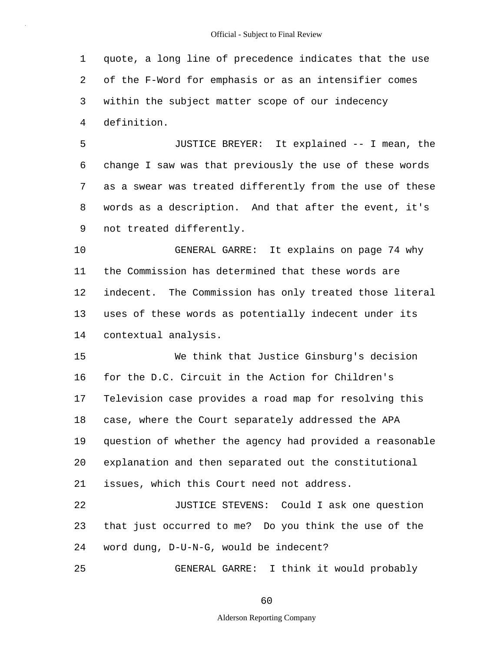1 2 3 4 quote, a long line of precedence indicates that the use of the F-Word for emphasis or as an intensifier comes within the subject matter scope of our indecency definition.

5 6 7 8 9 JUSTICE BREYER: It explained -- I mean, the change I saw was that previously the use of these words as a swear was treated differently from the use of these words as a description. And that after the event, it's not treated differently.

10 11 12 13 14 GENERAL GARRE: It explains on page 74 why the Commission has determined that these words are indecent. The Commission has only treated those literal uses of these words as potentially indecent under its contextual analysis.

15 16 17 18 19 20 21 We think that Justice Ginsburg's decision for the D.C. Circuit in the Action for Children's Television case provides a road map for resolving this case, where the Court separately addressed the APA question of whether the agency had provided a reasonable explanation and then separated out the constitutional issues, which this Court need not address.

22 23 24 JUSTICE STEVENS: Could I ask one question that just occurred to me? Do you think the use of the word dung, D-U-N-G, would be indecent?

25

GENERAL GARRE: I think it would probably

60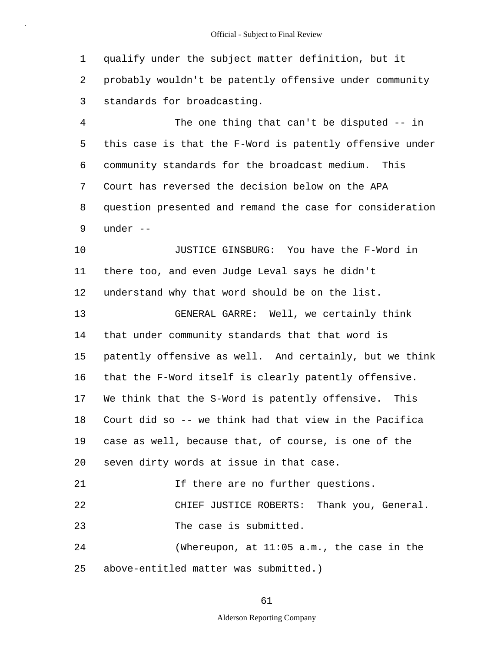1 2 3 qualify under the subject matter definition, but it probably wouldn't be patently offensive under community standards for broadcasting.

4 5 6 7 8 9 The one thing that can't be disputed -- in this case is that the F-Word is patently offensive under community standards for the broadcast medium. This Court has reversed the decision below on the APA question presented and remand the case for consideration under --

10 11 12 13 14 15 16 17 18 19 20 21 22 JUSTICE GINSBURG: You have the F-Word in there too, and even Judge Leval says he didn't understand why that word should be on the list. GENERAL GARRE: Well, we certainly think that under community standards that that word is patently offensive as well. And certainly, but we think that the F-Word itself is clearly patently offensive. We think that the S-Word is patently offensive. This Court did so -- we think had that view in the Pacifica case as well, because that, of course, is one of the seven dirty words at issue in that case. If there are no further questions. CHIEF JUSTICE ROBERTS: Thank you, General.

23 The case is submitted.

24 25 (Whereupon, at 11:05 a.m., the case in the above-entitled matter was submitted.)

#### 61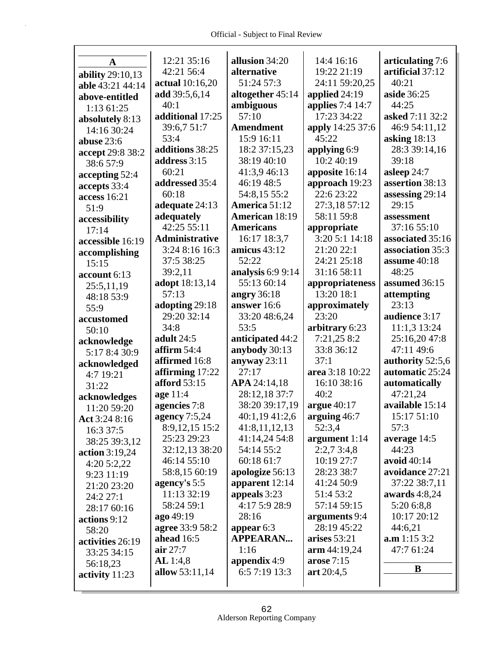Г

| A                | 12:21 35:16           | allusion 34:20                 | 14:4 16:16                    | articulating 7:6 |
|------------------|-----------------------|--------------------------------|-------------------------------|------------------|
| ability 29:10,13 | 42:21 56:4            | alternative                    | 19:22 21:19                   | artificial 37:12 |
| able 43:21 44:14 | actual 10:16,20       | 51:24 57:3                     | 24:11 59:20,25                | 40:21            |
| above-entitled   | add 39:5,6,14         | altogether 45:14               | applied 24:19                 | aside 36:25      |
| 1:13 61:25       | 40:1                  | ambiguous                      | applies 7:4 14:7              | 44:25            |
| absolutely 8:13  | additional 17:25      | 57:10                          | 17:23 34:22                   | asked 7:11 32:2  |
| 14:16 30:24      | 39:6,7 51:7           | <b>Amendment</b>               | apply 14:25 37:6              | 46:9 54:11,12    |
| abuse $23:6$     | 53:4                  | 15:9 16:11                     | 45:22                         | asking $18:13$   |
| accept 29:8 38:2 | additions 38:25       | 18:2 37:15,23                  | applying 6:9                  | 28:3 39:14,16    |
| 38:6 57:9        | address 3:15          | 38:19 40:10                    | 10:2 40:19                    | 39:18            |
|                  | 60:21                 | 41:3,9 46:13                   | apposite 16:14                | asleep 24:7      |
| accepting 52:4   | addressed 35:4        | 46:19 48:5                     | approach 19:23                | assertion 38:13  |
| accepts 33:4     | 60:18                 | 54:8,15 55:2                   | 22:6 23:22                    | assessing 29:14  |
| access 16:21     | adequate 24:13        | America 51:12                  | 27:3,18 57:12                 | 29:15            |
| 51:9             | adequately            | American 18:19                 | 58:11 59:8                    | assessment       |
| accessibility    | 42:25 55:11           | <b>Americans</b>               |                               | 37:16 55:10      |
| 17:14            | <b>Administrative</b> |                                | appropriate<br>3:20 5:1 14:18 |                  |
| accessible 16:19 |                       | 16:17 18:3,7<br>amicus $43:12$ |                               | associated 35:16 |
| accomplishing    | 3:24 8:16 16:3        |                                | 21:20 22:1                    | association 35:3 |
| 15:15            | 37:5 38:25            | 52:22                          | 24:21 25:18                   | assume 40:18     |
| account 6:13     | 39:2,11               | analysis $6:99:14$             | 31:16 58:11                   | 48:25            |
| 25:5,11,19       | adopt 18:13,14        | 55:13 60:14                    | appropriateness               | assumed 36:15    |
| 48:18 53:9       | 57:13                 | angry $36:18$                  | 13:20 18:1                    | attempting       |
| 55:9             | adopting 29:18        | answer 16:6                    | approximately                 | 23:13            |
| accustomed       | 29:20 32:14           | 33:20 48:6,24                  | 23:20                         | audience 3:17    |
| 50:10            | 34:8                  | 53:5                           | arbitrary 6:23                | 11:1,3 13:24     |
| acknowledge      | adult 24:5            | anticipated 44:2               | 7:21,25 8:2                   | 25:16,20 47:8    |
| 5:17 8:4 30:9    | affirm $54:4$         | anybody 30:13                  | 33:8 36:12                    | 47:11 49:6       |
| acknowledged     | affirmed 16:8         | anyway $23:11$                 | 37:1                          | authority 52:5,6 |
| 4:7 19:21        | affirming $17:22$     | 27:17                          | area 3:18 10:22               | automatic 25:24  |
| 31:22            | <b>afford</b> 53:15   | APA 24:14,18                   | 16:10 38:16                   | automatically    |
| acknowledges     | age 11:4              | 28:12,18 37:7                  | 40:2                          | 47:21,24         |
| 11:20 59:20      | agencies 7:8          | 38:20 39:17,19                 | argue $40:17$                 | available 15:14  |
| Act 3:24 8:16    | agency 7:5,24         | 40:1,19 41:2,6                 | arguing 46:7                  | 15:17 51:10      |
| 16:3 37:5        | 8:9,12,15 15:2        | 41:8,11,12,13                  | 52:3,4                        | 57:3             |
| 38:25 39:3,12    | 25:23 29:23           | 41:14,24 54:8                  | argument $1:14$               | average 14:5     |
| action 3:19,24   | 32:12,13 38:20        | 54:14 55:2                     | 2:2,73:4,8                    | 44:23            |
| 4:20 5:2,22      | 46:14 55:10           | 60:18 61:7                     | 10:19 27:7                    | avoid 40:14      |
| 9:23 11:19       | 58:8,15 60:19         | apologize 56:13                | 28:23 38:7                    | avoidance 27:21  |
| 21:20 23:20      | agency's 5:5          | apparent $12:14$               | 41:24 50:9                    | 37:22 38:7,11    |
| 24:2 27:1        | 11:13 32:19           | appeals 3:23                   | 51:4 53:2                     | awards $4:8,24$  |
| 28:17 60:16      | 58:24 59:1            | 4:17 5:9 28:9                  | 57:14 59:15                   | 5:20 6:8,8       |
| actions 9:12     | ago 49:19             | 28:16                          | arguments 9:4                 | 10:17 20:12      |
|                  | agree 33:9 58:2       | appear $6:3$                   | 28:19 45:22                   | 44:6,21          |
| 58:20            | ahead 16:5            | <b>APPEARAN</b>                | arises $53:21$                | a.m 1:15 3:2     |
| activities 26:19 | air $27:7$            | 1:16                           | arm 44:19,24                  | 47:7 61:24       |
| 33:25 34:15      |                       |                                |                               |                  |
|                  |                       |                                |                               |                  |
| 56:18,23         | AL 1:4,8              | appendix $4:9$                 | arose $7:15$                  | B                |
| activity $11:23$ | allow 53:11,14        | 6:5 7:19 13:3                  | art 20:4,5                    |                  |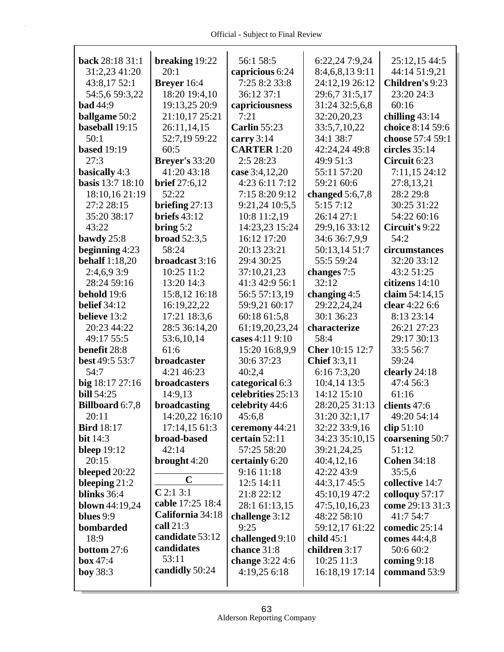| back 28:18 31:1        | breaking 19:22        | 56:1 58:5           | 6:22,24 7:9,24      | 25:12,15 44:5      |
|------------------------|-----------------------|---------------------|---------------------|--------------------|
| 31:2,23 41:20          | 20:1                  | capricious 6:24     | 8:4,6,8,13 9:11     | 44:14 51:9,21      |
| 43:8,17 52:1           | Breyer 16:4           | 7:25 8:2 33:8       | 24:12,19 26:12      | Children's 9:23    |
| 54:5,6 59:3,22         | 18:20 19:4,10         | 36:12 37:1          | 29:6,7 31:5,17      | 23:20 24:3         |
| <b>bad</b> 44:9        | 19:13,25 20:9         | capriciousness      | 31:24 32:5,6,8      | 60:16              |
| <b>ballgame</b> 50:2   | 21:10,17 25:21        | 7:21                | 32:20,20,23         | chilling $43:14$   |
| baseball 19:15         | 26:11,14,15           | <b>Carlin 55:23</b> | 33:5,7,10,22        | choice 8:14 59:6   |
| 50:1                   | 52:7,19 59:22         | carry $3:14$        | 34:1 38:7           | choose 57:4 59:1   |
| <b>based</b> 19:19     | 60:5                  | <b>CARTER 1:20</b>  | 42:24,24 49:8       | circles $35:14$    |
| 27:3                   | <b>Breyer's 33:20</b> | 2:5 28:23           | 49:9 51:3           | Circuit 6:23       |
| basically 4:3          | 41:20 43:18           | case 3:4,12,20      | 55:11 57:20         | 7:11,15 24:12      |
| basis 13:7 18:10       | brief $27:6,12$       | 4:23 6:11 7:12      | 59:21 60:6          | 27:8,13,21         |
| 18:10,16 21:19         | 52:22                 | 7:15 8:20 9:12      | changed $5:6,7,8$   | 28:2 29:8          |
| 27:2 28:15             | briefing $27:13$      | 9:21,24 10:5,5      | 5:15 7:12           | 30:25 31:22        |
| 35:20 38:17            | briefs $43:12$        | 10:8 11:2,19        | 26:14 27:1          | 54:22 60:16        |
| 43:22                  | bring $5:2$           | 14:23,23 15:24      | 29:9,16 33:12       | Circuit's 9:22     |
| bawdy $25:8$           | broad $52:3,5$        | 16:12 17:20         | 34:6 36:7,9,9       | 54:2               |
| beginning 4:23         | 58:24                 | 20:13 23:21         | 50:13,14 51:7       | circumstances      |
| <b>behalf</b> 1:18,20  | broadcast 3:16        | 29:4 30:25          | 55:5 59:24          | 32:20 33:12        |
| 2:4,6,9 3:9            | 10:25 11:2            | 37:10,21,23         | changes 7:5         | 43:2 51:25         |
| 28:24 59:16            | 13:20 14:3            | 41:3 42:9 56:1      | 32:12               | citizens 14:10     |
| behold 19:6            | 15:8,12 16:18         | 56:5 57:13,19       | changing $4:5$      | claim 54:14,15     |
| <b>belief</b> 34:12    |                       |                     | 29:22,24,24         | clear 4:22 6:6     |
|                        | 16:19,22,22           | 59:9,21 60:17       |                     |                    |
| believe 13:2           | 17:21 18:3,6          | 60:18 61:5,8        | 30:1 36:23          | 8:13 23:14         |
| 20:23 44:22            | 28:5 36:14,20         | 61:19,20,23,24      | characterize        | 26:21 27:23        |
| 49:17 55:5             | 53:6,10,14            | cases 4:11 9:10     | 58:4                | 29:17 30:13        |
| benefit 28:8           | 61:6                  | 15:20 16:8,9,9      | Cher 10:15 12:7     | 33:5 56:7          |
| best 49:5 53:7         | broadcaster           | 30:6 37:23          | <b>Chief</b> 3:3,11 | 59:24              |
| 54:7                   | 4:21 46:23            | 40:2,4              | 6:16 7:3,20         | clearly 24:18      |
| big 18:17 27:16        | broadcasters          | categorical 6:3     | 10:4,14 13:5        | 47:4 56:3          |
| <b>bill</b> 54:25      | 14:9,13               | celebrities 25:13   | 14:12 15:10         | 61:16              |
| <b>Billboard 6:7,8</b> | broadcasting          | celebrity 44:6      | 28:20,25 31:13      | clients 47:6       |
| 20:11                  | 14:20,22 16:10        | 45:6,8              | 31:20 32:1,17       | 49:20 54:14        |
| <b>Bird</b> 18:17      | 17:14,15 61:3         | ceremony 44:21      | 32:22 33:9,16       | clip 51:10         |
| <b>bit</b> 14:3        | broad-based           | certain 52:11       | 34:23 35:10,15      | coarsening 50:7    |
| bleep $19:12$          | 42:14                 | 57:25 58:20         | 39:21,24,25         | 51:12              |
| 20:15                  | brought $4:20$        | certainly 6:20      | 40:4,12,16          | <b>Cohen 34:18</b> |
| bleeped $20:22$        |                       | 9:16 11:18          | 42:22 43:9          | 35:5,6             |
| bleeping $21:2$        | $\mathbf C$           | 12:5 14:11          | 44:3,17 45:5        | collective 14:7    |
| blinks 36:4            | C2:13:1               | 21:8 22:12          | 45:10,19 47:2       | colloquy 57:17     |
| <b>blown</b> 44:19,24  | cable 17:25 18:4      | 28:1 61:13,15       | 47:5,10,16,23       | come 29:13 31:3    |
| blues 9:9              | California 34:18      | challenge 3:12      | 48:22 58:10         | 41:7 54:7          |
| bombarded              | call $21:3$           | 9:25                | 59:12,17 61:22      | comedic 25:14      |
| 18:9                   | candidate 53:12       | challenged 9:10     | child $45:1$        | comes 44:4,8       |
| bottom 27:6            | candidates            | chance 31:8         | children 3:17       | 50:6 60:2          |
| box 47:4               | 53:11                 | change 3:22 4:6     | 10:25 11:3          | coming $9:18$      |
| <b>boy</b> 38:3        | candidly 50:24        | 4:19,25 6:18        | 16:18,19 17:14      | command 53:9       |
|                        |                       |                     |                     |                    |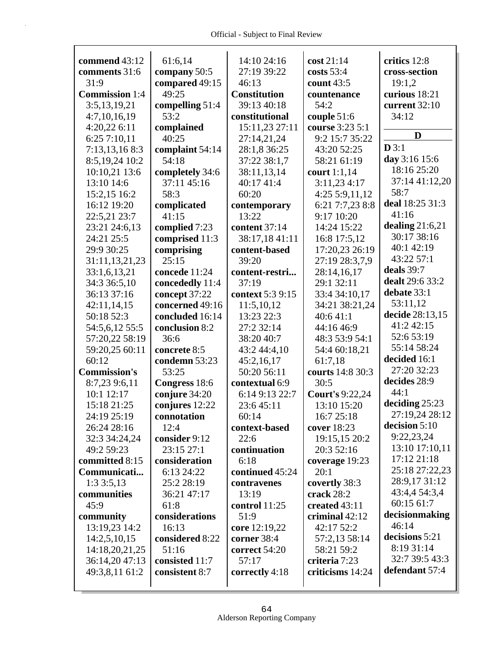Г

| commend 43:12<br>comments 31:6<br>31:9<br><b>Commission</b> 1:4<br>3:5,13,19,21<br>4:7,10,16,19<br>4:20,22 6:11 | 61:6,14<br>company 50:5<br>compared 49:15<br>49:25<br>compelling 51:4<br>53:2<br>complained | 14:10 24:16<br>27:19 39:22<br>46:13<br><b>Constitution</b><br>39:13 40:18<br>constitutional<br>15:11,23 27:11 | $\cos t 21:14$<br>costs $53:4$<br>count 43:5<br>countenance<br>54:2<br>couple $51:6$<br>course 3:23 5:1 | critics 12:8<br>cross-section<br>19:1,2<br>curious 18:21<br>current 32:10<br>34:12 |
|-----------------------------------------------------------------------------------------------------------------|---------------------------------------------------------------------------------------------|---------------------------------------------------------------------------------------------------------------|---------------------------------------------------------------------------------------------------------|------------------------------------------------------------------------------------|
| 6:25 7:10,11                                                                                                    | 40:25                                                                                       | 27:14,21,24                                                                                                   | 9:2 15:7 35:22                                                                                          | D                                                                                  |
| 7:13,13,168:3                                                                                                   | complaint 54:14                                                                             | 28:1,8 36:25                                                                                                  | 43:20 52:25                                                                                             | D3:1                                                                               |
| 8:5,19,24 10:2                                                                                                  | 54:18                                                                                       | 37:22 38:1,7                                                                                                  | 58:21 61:19                                                                                             | day 3:16 15:6                                                                      |
| 10:10,21 13:6                                                                                                   | completely 34:6                                                                             | 38:11,13,14                                                                                                   | court $1:1,14$                                                                                          | 18:16 25:20                                                                        |
| 13:10 14:6                                                                                                      | 37:11 45:16                                                                                 | 40:17 41:4                                                                                                    | 3:11,234:17                                                                                             | 37:14 41:12,20                                                                     |
| 15:2,15 16:2                                                                                                    | 58:3                                                                                        | 60:20                                                                                                         | 4:25 5:9,11,12                                                                                          | 58:7                                                                               |
| 16:12 19:20                                                                                                     | complicated                                                                                 | contemporary                                                                                                  | 6:21 7:7,23 8:8                                                                                         | deal 18:25 31:3                                                                    |
| 22:5,21 23:7                                                                                                    | 41:15                                                                                       | 13:22                                                                                                         | 9:17 10:20                                                                                              | 41:16                                                                              |
| 23:21 24:6,13                                                                                                   | complied 7:23                                                                               | content 37:14                                                                                                 | 14:24 15:22                                                                                             | dealing $21:6,21$                                                                  |
| 24:21 25:5                                                                                                      | comprised 11:3                                                                              | 38:17,18 41:11                                                                                                | 16:8 17:5,12                                                                                            | 30:17 38:16                                                                        |
| 29:9 30:25                                                                                                      | comprising                                                                                  | content-based                                                                                                 | 17:20,23 26:19                                                                                          | 40:1 42:19<br>43:22 57:1                                                           |
| 31:11,13,21,23                                                                                                  | 25:15                                                                                       | 39:20                                                                                                         | 27:19 28:3,7,9                                                                                          | deals 39:7                                                                         |
| 33:1,6,13,21                                                                                                    | concede 11:24                                                                               | content-restri                                                                                                | 28:14,16,17                                                                                             | dealt 29:6 33:2                                                                    |
| 34:3 36:5,10                                                                                                    | concededly 11:4                                                                             | 37:19                                                                                                         | 29:1 32:11                                                                                              | debate 33:1                                                                        |
| 36:13 37:16                                                                                                     | concept 37:22                                                                               | context 5:3 9:15                                                                                              | 33:4 34:10,17                                                                                           | 53:11,12                                                                           |
| 42:11,14,15                                                                                                     | concerned 49:16                                                                             | 11:5,10,12                                                                                                    | 34:21 38:21,24                                                                                          | decide 28:13,15                                                                    |
| 50:18 52:3                                                                                                      | concluded 16:14                                                                             | 13:23 22:3                                                                                                    | 40:641:1                                                                                                | 41:2 42:15                                                                         |
| 54:5,6,12 55:5                                                                                                  | conclusion 8:2                                                                              | 27:2 32:14                                                                                                    | 44:16 46:9                                                                                              | 52:6 53:19                                                                         |
| 57:20,22 58:19                                                                                                  | 36:6                                                                                        | 38:20 40:7                                                                                                    | 48:3 53:9 54:1                                                                                          | 55:14 58:24                                                                        |
| 59:20,25 60:11                                                                                                  | concrete 8:5                                                                                | 43:2 44:4,10                                                                                                  | 54:4 60:18,21                                                                                           |                                                                                    |
| 60:12                                                                                                           | condemn 53:23                                                                               | 45:2,16,17                                                                                                    | 61:7,18                                                                                                 | decided 16:1<br>27:20 32:23                                                        |
| <b>Commission's</b>                                                                                             | 53:25                                                                                       | 50:20 56:11                                                                                                   | courts 14:8 30:3                                                                                        | decides 28:9                                                                       |
| 8:7,23 9:6,11                                                                                                   | Congress 18:6                                                                               | contextual 6:9                                                                                                | 30:5                                                                                                    | 44:1                                                                               |
| 10:1 12:17                                                                                                      | conjure 34:20                                                                               | 6:14 9:13 22:7                                                                                                | <b>Court's 9:22,24</b>                                                                                  | deciding $25:23$                                                                   |
| 15:18 21:25                                                                                                     | conjures 12:22                                                                              | 23:6 45:11                                                                                                    | 13:10 15:20                                                                                             | 27:19,24 28:12                                                                     |
| 24:19 25:19                                                                                                     | connotation                                                                                 | 60:14                                                                                                         | 16:7 25:18                                                                                              | decision $5:10$                                                                    |
| 26:24 28:16                                                                                                     | 12:4                                                                                        | context-based                                                                                                 | cover 18:23                                                                                             | 9:22,23,24                                                                         |
| 32:3 34:24,24                                                                                                   | consider 9:12                                                                               | 22:6                                                                                                          | 19:15,15 20:2                                                                                           | 13:10 17:10,11                                                                     |
| 49:2 59:23                                                                                                      | 23:15 27:1                                                                                  | continuation                                                                                                  | 20:3 52:16                                                                                              | 17:12 21:18                                                                        |
| committed 8:15                                                                                                  | consideration                                                                               | 6:18                                                                                                          | coverage 19:23                                                                                          | 25:18 27:22,23                                                                     |
| Communicati                                                                                                     | 6:13 24:22                                                                                  | continued 45:24                                                                                               | 20:1                                                                                                    | 28:9,17 31:12                                                                      |
| 1:33:5,13                                                                                                       | 25:2 28:19                                                                                  | contravenes                                                                                                   | covertly 38:3                                                                                           | 43:4,4 54:3,4                                                                      |
| communities<br>45:9                                                                                             | 36:21 47:17                                                                                 | 13:19                                                                                                         | crack 28:2                                                                                              | 60:15 61:7                                                                         |
|                                                                                                                 | 61:8                                                                                        | <b>control</b> 11:25                                                                                          | created 43:11                                                                                           | decisionmaking                                                                     |
| community<br>13:19,23 14:2                                                                                      | considerations<br>16:13                                                                     | 51:9                                                                                                          | criminal 42:12<br>42:17 52:2                                                                            | 46:14                                                                              |
|                                                                                                                 | considered 8:22                                                                             | core 12:19,22<br>corner 38:4                                                                                  |                                                                                                         | decisions 5:21                                                                     |
| 14:2,5,10,15<br>14:18,20,21,25                                                                                  | 51:16                                                                                       | correct 54:20                                                                                                 | 57:2,13 58:14<br>58:21 59:2                                                                             | 8:19 31:14                                                                         |
| 36:14,20 47:13                                                                                                  | consisted 11:7                                                                              | 57:17                                                                                                         | criteria 7:23                                                                                           | 32:7 39:5 43:3                                                                     |
| 49:3,8,11 61:2                                                                                                  | consistent 8:7                                                                              | correctly 4:18                                                                                                | criticisms 14:24                                                                                        | defendant 57:4                                                                     |
|                                                                                                                 |                                                                                             |                                                                                                               |                                                                                                         |                                                                                    |
|                                                                                                                 |                                                                                             |                                                                                                               |                                                                                                         |                                                                                    |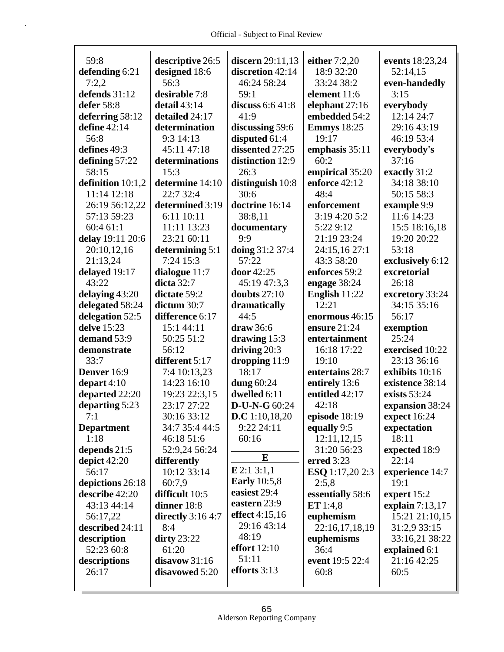| 59:8                | descriptive 26:5   | discern 29:11,13    | either 7:2,20      | events 18:23,24   |
|---------------------|--------------------|---------------------|--------------------|-------------------|
| defending 6:21      | designed 18:6      | discretion 42:14    | 18:9 32:20         | 52:14,15          |
| 7:2,2               | 56:3               | 46:24 58:24         | 33:24 38:2         | even-handedly     |
| defends 31:12       | desirable 7:8      | 59:1                | element 11:6       | 3:15              |
| defer 58:8          | detail 43:14       | discuss $6:641:8$   | elephant 27:16     | everybody         |
| deferring 58:12     | detailed 24:17     | 41:9                | embedded 54:2      | 12:14 24:7        |
| define 42:14        | determination      | discussing 59:6     | <b>Emmys</b> 18:25 | 29:16 43:19       |
| 56:8                | 9:3 14:13          | disputed 61:4       | 19:17              | 46:19 53:4        |
| defines 49:3        | 45:11 47:18        | dissented 27:25     | emphasis 35:11     | everybody's       |
| defining 57:22      | determinations     | distinction 12:9    | 60:2               | 37:16             |
| 58:15               | 15:3               | 26:3                | empirical 35:20    | exactly 31:2      |
| definition $10:1,2$ | determine 14:10    | distinguish 10:8    | enforce 42:12      | 34:18 38:10       |
| 11:14 12:18         | 22:7 32:4          | 30:6                | 48:4               | 50:15 58:3        |
| 26:19 56:12,22      | determined 3:19    | doctrine 16:14      | enforcement        | example 9:9       |
| 57:13 59:23         | 6:11 10:11         | 38:8,11             | 3:19 4:20 5:2      | 11:6 14:23        |
| 60:4 61:1           | 11:11 13:23        | documentary         | 5:22 9:12          | 15:5 18:16,18     |
| delay 19:11 20:6    | 23:21 60:11        | 9:9                 | 21:19 23:24        | 19:20 20:22       |
| 20:10,12,16         | determining 5:1    | doing 31:2 37:4     | 24:15,16 27:1      | 53:18             |
| 21:13,24            | 7:24 15:3          | 57:22               | 43:3 58:20         | exclusively 6:12  |
| delayed 19:17       | dialogue 11:7      | door 42:25          | enforces 59:2      | excretorial       |
| 43:22               | dicta 32:7         | 45:19 47:3,3        | engage 38:24       | 26:18             |
| delaying 43:20      | dictate 59:2       | doubts $27:10$      | English 11:22      | excretory 33:24   |
| delegated 58:24     | dictum 30:7        | dramatically        | 12:21              | 34:15 35:16       |
| delegation 52:5     | difference 6:17    | 44:5                | enormous 46:15     | 56:17             |
| delve 15:23         | 15:1 44:11         | draw 36:6           | ensure 21:24       | exemption         |
| demand 53:9         | 50:25 51:2         | drawing $15:3$      | entertainment      | 25:24             |
| demonstrate         | 56:12              | driving $20:3$      | 16:18 17:22        | exercised 10:22   |
| 33:7                | different 5:17     | dropping $11:9$     | 19:10              | 23:13 36:16       |
|                     |                    |                     |                    |                   |
|                     |                    |                     |                    |                   |
| Denver 16:9         | 7:4 10:13,23       | 18:17               | entertains 28:7    | exhibits 10:16    |
| depart $4:10$       | 14:23 16:10        | dung 60:24          | entirely 13:6      | existence 38:14   |
| departed 22:20      | 19:23 22:3,15      | dwelled 6:11        | entitled 42:17     | exists 53:24      |
| departing 5:23      | 23:17 27:22        | D-U-N-G 60:24       | 42:18              | expansion 38:24   |
| 7:1                 | 30:16 33:12        | D.C 1:10,18,20      | episode 18:19      | expect 16:24      |
| <b>Department</b>   | 34:7 35:4 44:5     | 9:22 24:11          | equally 9:5        | expectation       |
| 1:18                | 46:18 51:6         | 60:16               | 12:11,12,15        | 18:11             |
| depends 21:5        | 52:9,24 56:24      |                     | 31:20 56:23        | expected 18:9     |
| depict $42:20$      | differently        | E                   | erred 3:23         | 22:14             |
| 56:17               | 10:12 33:14        | E 2:1 3:1,1         | ESQ 1:17,20 2:3    | experience 14:7   |
| depictions 26:18    | 60:7,9             | <b>Early</b> 10:5,8 | 2:5,8              | 19:1              |
| describe 42:20      | difficult 10:5     | easiest 29:4        | essentially 58:6   | expert $15:2$     |
| 43:13 44:14         | dinner 18:8        | eastern 23:9        | ET $1:4,8$         | explain $7:13,17$ |
| 56:17,22            | directly $3:164:7$ | effect 4:15,16      | euphemism          | 15:21 21:10,15    |
| described 24:11     | 8:4                | 29:16 43:14         | 22:16,17,18,19     | 31:2,9 33:15      |
| description         | dirty $23:22$      | 48:19               | euphemisms         | 33:16,21 38:22    |
| 52:23 60:8          | 61:20              | effort $12:10$      | 36:4               | explained 6:1     |
| descriptions        | disavow 31:16      | 51:11               | event 19:5 22:4    | 21:16 42:25       |
| 26:17               | disavowed 5:20     | efforts 3:13        | 60:8               | 60:5              |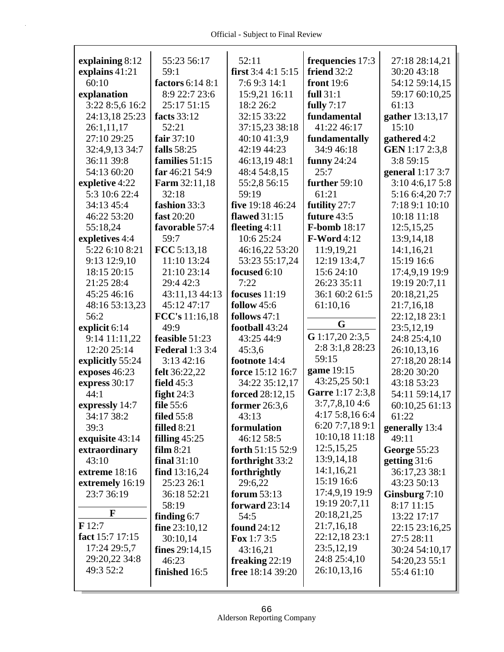| explaining 8:12   | 55:23 56:17            | 52:11                  | frequencies 17:3                  | 27:18 28:14,21      |
|-------------------|------------------------|------------------------|-----------------------------------|---------------------|
| explains 41:21    | 59:1                   | first $3:44:15:15$     | friend $32:2$                     | 30:20 43:18         |
| 60:10             | factors 6:14 8:1       | 7:6 9:3 14:1           | <b>front</b> 19:6                 | 54:12 59:14,15      |
| explanation       | 8:9 22:7 23:6          | 15:9,21 16:11          | full $31:1$                       | 59:17 60:10,25      |
| 3:22 8:5,6 16:2   | 25:17 51:15            | 18:2 26:2              | fully $7:17$                      | 61:13               |
| 24:13,18 25:23    | facts 33:12            | 32:15 33:22            | fundamental                       | gather 13:13,17     |
| 26:1,11,17        | 52:21                  | 37:15,23 38:18         | 41:22 46:17                       | 15:10               |
| 27:10 29:25       | fair $37:10$           | 40:10 41:3,9           | fundamentally                     |                     |
|                   |                        | 42:19 44:23            | 34:9 46:18                        | gathered 4:2        |
| 32:4,9,13 34:7    | falls 58:25            |                        |                                   | GEN 1:17 2:3,8      |
| 36:11 39:8        | families 51:15         | 46:13,19 48:1          | funny $24:24$<br>25:7             | 3:8 59:15           |
| 54:13 60:20       | far 46:21 54:9         | 48:4 54:8,15           |                                   | general $1:17$ 3:7  |
| expletive 4:22    | <b>Farm</b> 32:11,18   | 55:2,8 56:15           | further 59:10                     | 3:10 4:6,17 5:8     |
| 5:3 10:6 22:4     | 32:18                  | 59:19                  | 61:21                             | 5:16 6:4,20 7:7     |
| 34:13 45:4        | fashion 33:3           | five 19:18 46:24       | futility 27:7                     | 7:18 9:1 10:10      |
| 46:22 53:20       | fast 20:20             | <b>flawed</b> 31:15    | future 43:5                       | 10:18 11:18         |
| 55:18,24          | favorable 57:4         | fleeting $4:11$        | <b>F-bomb</b> 18:17               | 12:5,15,25          |
| expletives 4:4    | 59:7                   | 10:6 25:24             | <b>F-Word</b> 4:12                | 13:9,14,18          |
| 5:22 6:10 8:21    | FCC 5:13,18            | 46:16,22 53:20         | 11:9,19,21                        | 14:1,16,21          |
| 9:13 12:9,10      | 11:10 13:24            | 53:23 55:17,24         | 12:19 13:4,7                      | 15:19 16:6          |
| 18:15 20:15       | 21:10 23:14            | focused 6:10           | 15:6 24:10                        | 17:4,9,19 19:9      |
| 21:25 28:4        | 29:4 42:3              | 7:22                   | 26:23 35:11                       | 19:19 20:7,11       |
| 45:25 46:16       | 43:11,13 44:13         | focuses $11:19$        | 36:1 60:2 61:5                    | 20:18,21,25         |
| 48:16 53:13,23    | 45:12 47:17            | follow 45:6            | 61:10,16                          | 21:7,16,18          |
| 56:2              | FCC's 11:16,18         | follows 47:1           | G                                 | 22:12,18 23:1       |
| explicit 6:14     | 49:9                   | football 43:24         |                                   | 23:5,12,19          |
| 9:14 11:11,22     | feasible 51:23         | 43:25 44:9             | G 1:17,20 2:3,5                   | 24:8 25:4,10        |
| 12:20 25:14       | <b>Federal 1:3 3:4</b> | 45:3,6                 | 2:8 3:1,8 28:23                   | 26:10,13,16         |
| explicitly 55:24  | 3:13 42:16             | footnote 14:4          | 59:15                             | 27:18,20 28:14      |
| exposes 46:23     | felt 36:22,22          | force 15:12 16:7       | game 19:15                        | 28:20 30:20         |
| express 30:17     | <b>field</b> 45:3      | 34:22 35:12,17         | 43:25,25 50:1<br>Garre 1:17 2:3,8 | 43:18 53:23         |
| 44:1              | fight $24:3$           | <b>forced</b> 28:12,15 |                                   | 54:11 59:14,17      |
| expressly 14:7    | file 55:6              | former 26:3,6          | 3:7,7,8,104:6                     | 60:10,25 61:13      |
| 34:17 38:2        | filed $55:8$           | 43:13                  | 4:175:8,166:4                     | 61:22               |
| 39:3              | filled 8:21            | formulation            | 6:20 7:7,18 9:1                   | generally 13:4      |
| exquisite 43:14   | filling $45:25$        | 46:12 58:5             | 10:10,18 11:18                    | 49:11               |
| extraordinary     | film 8:21              | forth 51:15 52:9       | 12:5, 15, 25                      | <b>George 55:23</b> |
| 43:10             | final $31:10$          | forthright 33:2        | 13:9,14,18                        | getting $31:6$      |
| extreme 18:16     | find $13:16,24$        | forthrightly           | 14:1,16,21                        | 36:17,23 38:1       |
| extremely 16:19   | 25:23 26:1             | 29:6,22                | 15:19 16:6                        | 43:23 50:13         |
| 23:7 36:19        | 36:18 52:21            | forum 53:13            | 17:4,9,19 19:9                    | Ginsburg $7:10$     |
| F                 | 58:19                  | forward 23:14          | 19:19 20:7,11                     | 8:17 11:15          |
|                   | finding $6:7$          | 54:5                   | 20:18,21,25                       | 13:22 17:17         |
| $\mathbf{F}$ 12:7 | fine $23:10,12$        | found $24:12$          | 21:7,16,18                        | 22:15 23:16,25      |
| fact 15:7 17:15   | 30:10,14               | <b>Fox</b> 1:7 3:5     | 22:12,18 23:1                     | 27:5 28:11          |
| 17:24 29:5,7      | fines $29:14,15$       | 43:16,21               | 23:5,12,19                        | 30:24 54:10,17      |
| 29:20,22 34:8     | 46:23                  | freaking $22:19$       | 24:8 25:4,10                      | 54:20,23 55:1       |
| 49:3 52:2         | finished 16:5          | free $18:14\,39:20$    | 26:10,13,16                       | 55:4 61:10          |
|                   |                        |                        |                                   |                     |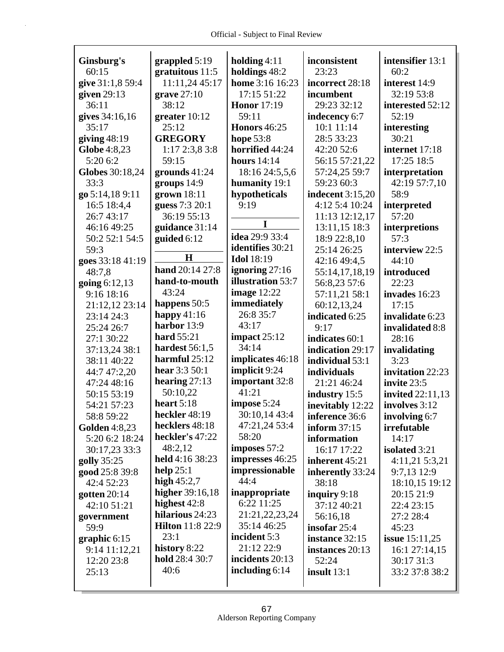| Ginsburg's           | grappled 5:19           | holding $4:11$           | inconsistent            | intensifier 13:1        |
|----------------------|-------------------------|--------------------------|-------------------------|-------------------------|
| 60:15                | gratuitous 11:5         | holdings 48:2            | 23:23                   | 60:2                    |
| give 31:1,8 59:4     | 11:11,24 45:17          | home 3:16 16:23          | incorrect 28:18         | interest 14:9           |
| given $29:13$        | grave $27:10$           | 17:15 51:22              | incumbent               | 32:19 53:8              |
| 36:11                | 38:12                   | <b>Honor</b> 17:19       | 29:23 32:12             | interested 52:12        |
| gives 34:16,16       | greater $10:12$         | 59:11                    | indecency 6:7           | 52:19                   |
| 35:17                | 25:12                   | <b>Honors</b> 46:25      | 10:1 11:14              | interesting             |
| giving $48:19$       | <b>GREGORY</b>          | hope 53:8                | 28:5 33:23              | 30:21                   |
| Globe 4:8,23         | 1:172:3,83:8            | horrified 44:24          | 42:20 52:6              | internet 17:18          |
| 5:20 6:2             | 59:15                   | hours $14:14$            | 56:15 57:21,22          | 17:25 18:5              |
| Globes 30:18,24      | grounds $41:24$         | 18:16 24:5,5,6           | 57:24,25 59:7           | interpretation          |
| 33:3                 | groups 14:9             | humanity 19:1            | 59:23 60:3              | 42:19 57:7,10           |
| go 5:14,18 9:11      | grown 18:11             | hypotheticals            | <b>indecent</b> 3:15,20 | 58:9                    |
| 16:5 18:4,4          | guess 7:3 20:1          | 9:19                     | 4:12 5:4 10:24          | interpreted             |
| 26:7 43:17           | 36:19 55:13             |                          | 11:13 12:12,17          | 57:20                   |
| 46:16 49:25          | guidance 31:14          | I                        | 13:11,15 18:3           | interpretions           |
| 50:2 52:1 54:5       | guided 6:12             | idea 29:9 33:4           | 18:9 22:8,10            | 57:3                    |
| 59:3                 |                         | identifies 30:21         | 25:14 26:25             | interview 22:5          |
| goes 33:18 41:19     | H                       | <b>Idol</b> 18:19        | 42:16 49:4,5            | 44:10                   |
| 48:7.8               | hand 20:14 27:8         | ignoring $27:16$         | 55:14,17,18,19          | introduced              |
| going $6:12,13$      | hand-to-mouth           | <b>illustration</b> 53:7 | 56:8,23 57:6            | 22:23                   |
| 9:16 18:16           | 43:24                   | <b>image</b> 12:22       | 57:11,21 58:1           | invades 16:23           |
| 21:12,12 23:14       | happens 50:5            | immediately              | 60:12,13,24             | 17:15                   |
| 23:14 24:3           | happy $41:16$           | 26:8 35:7                | indicated 6:25          | invalidate 6:23         |
| 25:24 26:7           | harbor 13:9             | 43:17                    | 9:17                    | invalidated 8:8         |
| 27:1 30:22           | hard 55:21              | impact $25:12$           | indicates 60:1          | 28:16                   |
| 37:13,24 38:1        | hardest 56:1,5          | 34:14                    | indication 29:17        | invalidating            |
| 38:11 40:22          | harmful 25:12           | implicates 46:18         | individual 53:1         | 3:23                    |
| 44:7 47:2,20         | hear 3:3 50:1           | implicit 9:24            | individuals             | invitation 22:23        |
| 47:24 48:16          | hearing $27:13$         | important 32:8           | 21:21 46:24             | invite 23:5             |
| 50:15 53:19          | 50:10,22                | 41:21                    | industry 15:5           | <b>invited</b> 22:11,13 |
| 54:21 57:23          | heart $5:18$            | impose 5:24              | inevitably 12:22        | involves 3:12           |
| 58:8 59:22           | heckler 48:19           | 30:10,14 43:4            | inference 36:6          | involving 6:7           |
| <b>Golden</b> 4:8,23 | hecklers 48:18          | 47:21,24 53:4            | inform $37:15$          | irrefutable             |
| 5:20 6:2 18:24       | heckler's 47:22         | 58:20                    | information             | 14:17                   |
| 30:17,23 33:3        | 48:2,12                 | imposes 57:2             | 16:17 17:22             | isolated 3:21           |
| golly 35:25          | held 4:16 38:23         | impresses 46:25          | inherent 45:21          | 4:11,21 5:3,21          |
| good 25:8 39:8       | help $25:1$             | impressionable           | inherently 33:24        | 9:7,13 12:9             |
| 42:4 52:23           | high $45:2,7$           | 44:4                     | 38:18                   | 18:10,15 19:12          |
| gotten $20:14$       | higher 39:16,18         | inappropriate            | inquiry $9:18$          | 20:15 21:9              |
| 42:10 51:21          | highest 42:8            | 6:22 11:25               | 37:12 40:21             | 22:4 23:15              |
| government           | hilarious 24:23         | 21:21,22,23,24           | 56:16,18                | 27:2 28:4               |
| 59:9                 | <b>Hilton</b> 11:8 22:9 | 35:14 46:25              | insofar $25:4$          | 45:23                   |
| graphic $6:15$       | 23:1                    | incident 5:3             | instance 32:15          | <b>issue</b> $15:11,25$ |
| 9:14 11:12,21        | history 8:22            | 21:12 22:9               | instances 20:13         | 16:1 27:14,15           |
| 12:20 23:8           | hold 28:4 30:7          | incidents 20:13          | 52:24                   | 30:17 31:3              |
| 25:13                | 40:6                    | including $6:14$         | insult $13:1$           | 33:2 37:8 38:2          |
|                      |                         |                          |                         |                         |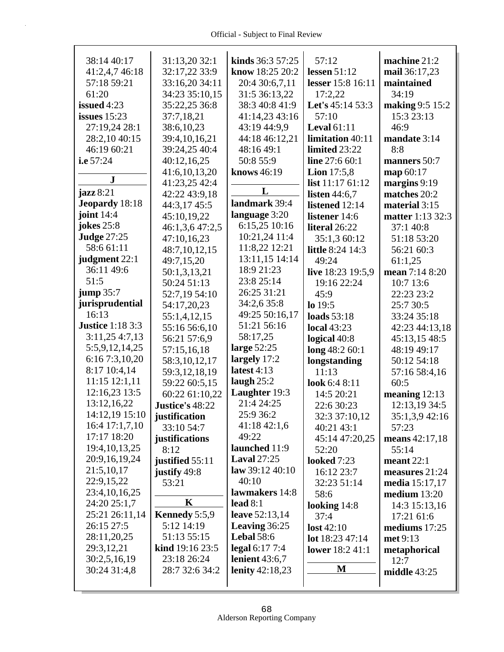| 38:14 40:17             | 31:13,20 32:1              | kinds 36:3 57:25           | 57:12                  | machine 21:2                   |
|-------------------------|----------------------------|----------------------------|------------------------|--------------------------------|
| 41:2,4,7 46:18          | 32:17,22 33:9              | know 18:25 20:2            | lessen $51:12$         | mail 36:17,23                  |
| 57:18 59:21             | 33:16,20 34:11             | 20:4 30:6,7,11             | lesser 15:8 16:11      | maintained                     |
| 61:20                   | 34:23 35:10.15             | 31:5 36:13,22              | 17:2,22                | 34:19                          |
| issued 4:23             | 35:22,25 36:8              | 38:3 40:8 41:9             | Let's 45:14 53:3       | making 9:5 15:2                |
| issues $15:23$          | 37:7,18,21                 | 41:14,23 43:16             | 57:10                  | 15:3 23:13                     |
| 27:19,24 28:1           | 38:6,10,23                 | 43:19 44:9,9               | Leval $61:11$          | 46:9                           |
| 28:2,10 40:15           | 39:4,10,16,21              | 44:18 46:12,21             | limitation 40:11       | mandate 3:14                   |
| 46:19 60:21             | 39:24,25 40:4              | 48:16 49:1                 | limited 23:22          | 8:8                            |
| i.e 57:24               | 40:12,16,25                | 50:8 55:9                  | line 27:6 60:1         | manners 50:7                   |
|                         | 41:6,10,13,20              | <b>knows</b> 46:19         | Lion $17:5,8$          | map 60:17                      |
| ${\bf J}$               | 41:23,25 42:4              |                            | list $11:1761:12$      | margins 9:19                   |
| $j$ azz $8:21$          | 42:22 43:9,18              | L                          | listen $44:6,7$        | matches 20:2                   |
| <b>Jeopardy</b> 18:18   | 44:3,17 45:5               | landmark 39:4              | listened 12:14         | material 3:15                  |
| joint $14:4$            | 45:10,19,22                | language 3:20              | listener 14:6          | matter 1:13 32:3               |
| <b>jokes</b> 25:8       | 46:1,3,6 47:2,5            | 6:15,25 10:16              | literal 26:22          | 37:1 40:8                      |
| <b>Judge 27:25</b>      | 47:10,16,23                | 10:21,24 11:4              | 35:1,3 60:12           | 51:18 53:20                    |
| 58:6 61:11              | 48:7,10,12,15              | 11:8,22 12:21              | little 8:24 14:3       | 56:21 60:3                     |
| judgment 22:1           | 49:7,15,20                 | 13:11,15 14:14             | 49:24                  | 61:1,25                        |
| 36:11 49:6              | 50:1,3,13,21               | 18:9 21:23                 | live 18:23 19:5,9      | mean 7:14 8:20                 |
| 51:5                    | 50:24 51:13                | 23:8 25:14                 | 19:16 22:24            | 10:7 13:6                      |
| jump 35:7               | 52:7,19 54:10              | 26:25 31:21                | 45:9                   | 22:23 23:2                     |
| jurisprudential         | 54:17,20,23                | 34:2,6 35:8                | $lo$ 19:5              | 25:7 30:5                      |
| 16:13                   | 55:1,4,12,15               | 49:25 50:16,17             | loads 53:18            | 33:24 35:18                    |
| <b>Justice 1:18 3:3</b> | 55:16 56:6,10              | 51:21 56:16                | <b>local</b> 43:23     | 42:23 44:13,18                 |
| 3:11,254:7,13           | 56:21 57:6,9               | 58:17,25                   | logical 40:8           | 45:13,15 48:5                  |
| 5:5,9,12,14,25          | 57:15,16,18                | large 52:25                | long 48:2 60:1         | 48:19 49:17                    |
| 6:16 7:3,10,20          | 58:3,10,12,17              | largely 17:2               | longstanding           | 50:12 54:18                    |
| 8:17 10:4,14            | 59:3,12,18,19              | latest $4:13$              | 11:13                  | 57:16 58:4,16                  |
| $11:15$ $12:1,11$       | 59:22 60:5,15              | laugh $25:2$               | look 6:4 8:11          | 60:5                           |
| 12:16,23 13:5           | 60:22 61:10,22             | Laughter 19:3              | 14:5 20:21             | meaning $12:13$                |
| 13:12,16,22             | Justice's 48:22            | 21:4 24:25                 | 22:6 30:23             | 12:13,19 34:5                  |
| 14:12,19 15:10          | justification              | 25:9 36:2                  | 32:3 37:10,12          | 35:1,3,9 42:16                 |
| 16:4 17:1,7,10          | 33:10 54:7                 | 41:1842:1,6                | 40:21 43:1             | 57:23                          |
| 17:17 18:20             | justifications             | 49:22                      | 45:14 47:20,25         | means $42:17,18$               |
| 19:4, 10, 13, 25        | 8:12                       | launched 11:9              | 52:20                  | 55:14                          |
| 20:9,16,19,24           | justified 55:11            | <b>Laval</b> 27:25         | <b>looked</b> 7:23     | meant $22:1$                   |
| 21:5,10,17              | justify 49:8               | $\text{law } 39:12\,40:10$ | 16:12 23:7             | measures 21:24                 |
| 22:9,15,22              | 53:21                      | 40:10                      | 32:23 51:14            |                                |
| 23:4, 10, 16, 25        |                            | lawmakers 14:8             | 58:6                   | media 15:17,17<br>median 13:20 |
| 24:20 25:1,7            | K                          | lead $8:1$                 |                        |                                |
| 25:21 26:11,14          | Kennedy 5:5,9              | leave 52:13,14             | looking $14:8$<br>37:4 | 14:3 15:13,16<br>17:21 61:6    |
| 26:15 27:5              | 5:12 14:19                 | Leaving 36:25              |                        |                                |
| 28:11,20,25             | 51:13 55:15                | <b>Lebal 58:6</b>          | lost $42:10$           | mediums $17:25$                |
| 29:3,12,21              | <b>kind</b> $19:16$ $23:5$ | legal 6:17 7:4             | lot 18:23 47:14        | met 9:13                       |
| 30:2,5,16,19            | 23:18 26:24                | lenient $43:6,7$           | lower 18:2 41:1        | metaphorical<br>12:7           |
| 30:24 31:4,8            | 28:7 32:6 34:2             | lenity 42:18,23            | M                      |                                |
|                         |                            |                            |                        | middle $43:25$                 |
|                         |                            |                            |                        |                                |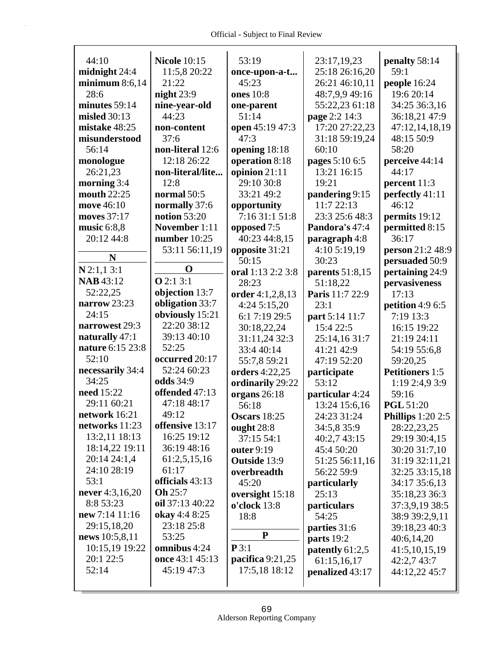Г

| 44:10            | <b>Nicole 10:15</b> | 53:19              | 23:17,19,23       | penalty 58:14          |
|------------------|---------------------|--------------------|-------------------|------------------------|
| midnight 24:4    | 11:5,8 20:22        | once-upon-a-t      | 25:18 26:16,20    | 59:1                   |
| minimum $8:6,14$ | 21:22               | 45:23              | 26:21 46:10,11    | people 16:24           |
| 28:6             | night $23:9$        | ones 10:8          | 48:7,9,9 49:16    | 19:6 20:14             |
| minutes 59:14    | nine-year-old       | one-parent         | 55:22,23 61:18    | 34:25 36:3,16          |
| misled 30:13     | 44:23               | 51:14              | page 2:2 14:3     | 36:18,21 47:9          |
| mistake 48:25    | non-content         | open 45:19 47:3    | 17:20 27:22,23    | 47:12,14,18,19         |
| misunderstood    | 37:6                | 47:3               | 31:18 59:19,24    | 48:15 50:9             |
| 56:14            | non-literal 12:6    | opening 18:18      | 60:10             | 58:20                  |
| monologue        | 12:18 26:22         | operation 8:18     | pages 5:10 6:5    | perceive 44:14         |
| 26:21,23         | non-literal/lite    | opinion 21:11      | 13:21 16:15       | 44:17                  |
| morning $3:4$    | 12:8                | 29:10 30:8         | 19:21             | percent 11:3           |
| mouth 22:25      | normal 50:5         | 33:21 49:2         | pandering 9:15    | perfectly 41:11        |
| move 46:10       | normally 37:6       | opportunity        | 11:7 22:13        | 46:12                  |
| moves 37:17      | notion $53:20$      | 7:16 31:1 51:8     | 23:3 25:6 48:3    | permits 19:12          |
| music $6:8,8$    | November 1:11       | opposed 7:5        | Pandora's 47:4    | permitted 8:15         |
| 20:12 44:8       | number $10:25$      | 40:23 44:8,15      | paragraph 4:8     | 36:17                  |
|                  | 53:11 56:11,19      | opposite 31:21     | 4:10 5:19,19      | person 21:2 48:9       |
| N                |                     | 50:15              | 30:23             | persuaded 50:9         |
| $N$ 2:1,1 3:1    | O                   | oral 1:13 2:2 3:8  | parents $51:8,15$ | pertaining 24:9        |
| <b>NAB</b> 43:12 | Q2:13:1             | 28:23              | 51:18,22          | pervasiveness          |
| 52:22,25         | objection 13:7      | order 4:1,2,8,13   | Paris 11:7 22:9   | 17:13                  |
| narrow 23:23     | obligation 33:7     | 4:24 5:15,20       | 23:1              | petition 4:9 6:5       |
| 24:15            | obviously 15:21     | 6:1 7:19 29:5      | part 5:14 11:7    | 7:19 13:3              |
| narrowest 29:3   | 22:20 38:12         | 30:18,22,24        | 15:4 22:5         | 16:15 19:22            |
| naturally 47:1   | 39:13 40:10         | 31:11,24 32:3      | 25:14,16 31:7     | 21:19 24:11            |
| nature 6:15 23:8 | 52:25               |                    |                   |                        |
| 52:10            | occurred 20:17      | 33:4 40:14         | 41:21 42:9        | 54:19 55:6,8           |
| necessarily 34:4 | 52:24 60:23         | 55:7,8 59:21       | 47:19 52:20       | 59:20,25               |
| 34:25            | odds 34:9           | orders 4:22,25     | participate       | <b>Petitioners</b> 1:5 |
| need 15:22       | offended 47:13      | ordinarily 29:22   | 53:12             | 1:19 2:4,9 3:9         |
| 29:11 60:21      | 47:18 48:17         | organs 26:18       | particular 4:24   | 59:16                  |
| network 16:21    |                     | 56:18              | 13:24 15:6,16     | <b>PGL 51:20</b>       |
| networks 11:23   | 49:12               | Oscars 18:25       | 24:23 31:24       | Phillips $1:202:5$     |
|                  | offensive 13:17     | ought $28:8$       | 34:5,8 35:9       | 28:22,23,25            |
| 13:2,11 18:13    | 16:25 19:12         | 37:15 54:1         | 40:2,7 43:15      | 29:19 30:4,15          |
| 18:14,22 19:11   | 36:19 48:16         | outer 9:19         | 45:4 50:20        | 30:20 31:7,10          |
| 20:14 24:1,4     | 61:2,5,15,16        | Outside 13:9       | 51:25 56:11,16    | 31:19 32:11,21         |
| 24:10 28:19      | 61:17               | overbreadth        | 56:22 59:9        | 32:25 33:15,18         |
| 53:1             | officials 43:13     | 45:20              | particularly      | 34:17 35:6,13          |
| never 4:3,16,20  | Oh 25:7             | oversight 15:18    | 25:13             | 35:18,23 36:3          |
| 8:8 53:23        | oil 37:13 40:22     | o'clock 13:8       | particulars       | 37:3,9,19 38:5         |
| new 7:14 11:16   | okay 4:4 8:25       | 18:8               | 54:25             | 38:9 39:2,9,11         |
| 29:15,18,20      | 23:18 25:8          |                    | parties 31:6      | 39:18,23 40:3          |
| news 10:5,8,11   | 53:25               | ${\bf P}$          | parts 19:2        | 40:6,14,20             |
| 10:15,19 19:22   | omnibus 4:24        | P3:1               | patently 61:2,5   | 41:5,10,15,19          |
| 20:1 22:5        | once 43:1 45:13     | pacifica $9:21,25$ | 61:15,16,17       | 42:2,743:7             |
| 52:14            | 45:19 47:3          | 17:5,18 18:12      | penalized 43:17   | 44:12,22 45:7          |
|                  |                     |                    |                   |                        |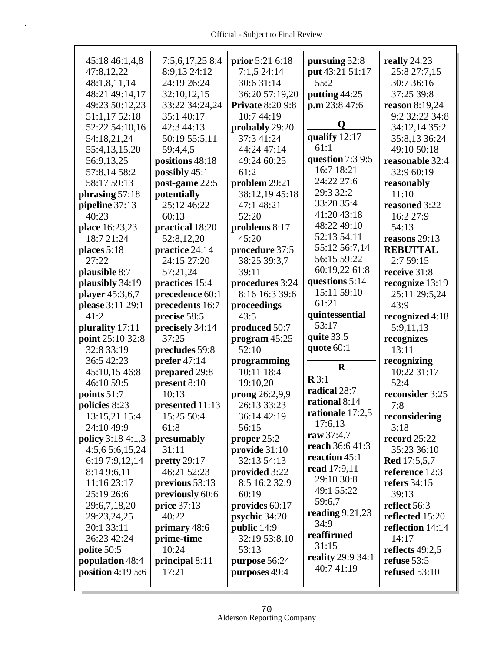| 45:18 46:1,4,8       | 7:5,6,17,25 8:4      | prior 5:21 6:18         | pursuing 52:8     | really 24:23        |
|----------------------|----------------------|-------------------------|-------------------|---------------------|
| 47:8,12,22           | 8:9,13 24:12         | 7:1,524:14              | put 43:21 51:17   | 25:8 27:7,15        |
| 48:1,8,11,14         | 24:19 26:24          | 30:6 31:14              | 55:2              | 30:7 36:16          |
| 48:21 49:14,17       | 32:10,12,15          | 36:20 57:19,20          | putting 44:25     | 37:25 39:8          |
| 49:23 50:12,23       | 33:22 34:24,24       | <b>Private 8:20 9:8</b> | p.m 23:8 47:6     | reason 8:19,24      |
| 51:1,17 52:18        | 35:1 40:17           | 10:7 44:19              |                   | 9:2 32:22 34:8      |
| 52:22 54:10,16       | 42:3 44:13           | probably 29:20          | Q                 | 34:12,14 35:2       |
| 54:18,21,24          | 50:19 55:5,11        | 37:3 41:24              | qualify 12:17     | 35:8,13 36:24       |
| 55:4,13,15,20        | 59:4,4,5             | 44:24 47:14             | 61:1              | 49:10 50:18         |
| 56:9,13,25           | positions 48:18      | 49:24 60:25             | question 7:3 9:5  | reasonable 32:4     |
| 57:8,14 58:2         | possibly 45:1        | 61:2                    | 16:7 18:21        | 32:9 60:19          |
| 58:17 59:13          | post-game 22:5       | problem 29:21           | 24:22 27:6        | reasonably          |
| phrasing 57:18       | potentially          | 38:12,19 45:18          | 29:3 32:2         | 11:10               |
| pipeline 37:13       | 25:12 46:22          | 47:1 48:21              | 33:20 35:4        | reasoned 3:22       |
| 40:23                | 60:13                | 52:20                   | 41:20 43:18       | 16:2 27:9           |
| place 16:23,23       | practical 18:20      | problems 8:17           | 48:22 49:10       | 54:13               |
| 18:7 21:24           | 52:8,12,20           | 45:20                   | 52:13 54:11       | reasons $29:13$     |
|                      |                      | procedure 37:5          | 55:12 56:7,14     | <b>REBUTTAL</b>     |
| places 5:18<br>27:22 | practice 24:14       |                         | 56:15 59:22       |                     |
|                      | 24:15 27:20          | 38:25 39:3,7            | 60:19,22 61:8     | 2:7 59:15           |
| plausible 8:7        | 57:21,24             | 39:11                   | questions 5:14    | receive 31:8        |
| plausibly 34:19      | practices 15:4       | procedures 3:24         | 15:11 59:10       | recognize 13:19     |
| player 45:3,6,7      | precedence 60:1      | 8:16 16:3 39:6          |                   | 25:11 29:5,24       |
| please 3:11 29:1     | precedents 16:7      | proceedings             | 61:21             | 43:9                |
| 41:2                 | precise 58:5         | 43:5                    | quintessential    | recognized 4:18     |
| plurality 17:11      | precisely 34:14      | produced 50:7           | 53:17             | 5:9,11,13           |
| point 25:10 32:8     | 37:25                | program $45:25$         | quite 33:5        | recognizes          |
| 32:8 33:19           | precludes 59:8       | 52:10                   | quote $60:1$      | 13:11               |
| 36:5 42:23           | prefer $47:14$       | programming             |                   | recognizing         |
| 45:10,15 46:8        | prepared 29:8        | 10:11 18:4              | $\bf R$           | 10:22 31:17         |
| 46:10 59:5           | present 8:10         | 19:10,20                | $\mathbf{R} 3:1$  | 52:4                |
| points 51:7          | 10:13                | prong $26:2,9,9$        | radical 28:7      | reconsider 3:25     |
| policies 8:23        | presented 11:13      | 26:13 33:23             | rational 8:14     | 7:8                 |
| 13:15,21 15:4        | 15:25 50:4           | 36:14 42:19             | rationale 17:2,5  | reconsidering       |
| 24:10 49:9           | 61:8                 | 56:15                   | 17:6,13           | 3:18                |
| policy 3:18 4:1,3    | presumably           | proper $25:2$           | raw 37:4,7        | <b>record</b> 25:22 |
| 4:5,65:6,15,24       | 31:11                | provide 31:10           | reach 36:6 41:3   | 35:23 36:10         |
| 6:19 7:9,12,14       | pretty 29:17         | 32:13 54:13             | reaction 45:1     | <b>Red</b> 17:5,5,7 |
| 8:14 9:6,11          | 46:21 52:23          | provided 3:22           | read 17:9,11      | reference 12:3      |
| 11:16 23:17          | previous 53:13       | 8:5 16:2 32:9           | 29:10 30:8        | refers 34:15        |
| 25:19 26:6           | previously 60:6      | 60:19                   | 49:1 55:22        | 39:13               |
|                      |                      |                         | 59:6,7            |                     |
| 29:6,7,18,20         | price 37:13<br>40:22 | provides 60:17          | reading $9:21,23$ | reflect 56:3        |
| 29:23,24,25          |                      | psychic 34:20           | 34:9              | reflected 15:20     |
| 30:1 33:11           | primary 48:6         | public 14:9             | reaffirmed        | reflection 14:14    |
| 36:23 42:24          | prime-time           | 32:19 53:8,10           | 31:15             | 14:17               |
| polite 50:5          |                      | 53:13                   |                   | reflects $49:2,5$   |
|                      | 10:24                |                         |                   |                     |
| population 48:4      | principal 8:11       | purpose 56:24           | reality 29:9 34:1 | refuse 53:5         |
| position $4:195:6$   | 17:21                | purposes 49:4           | 40:741:19         | refused 53:10       |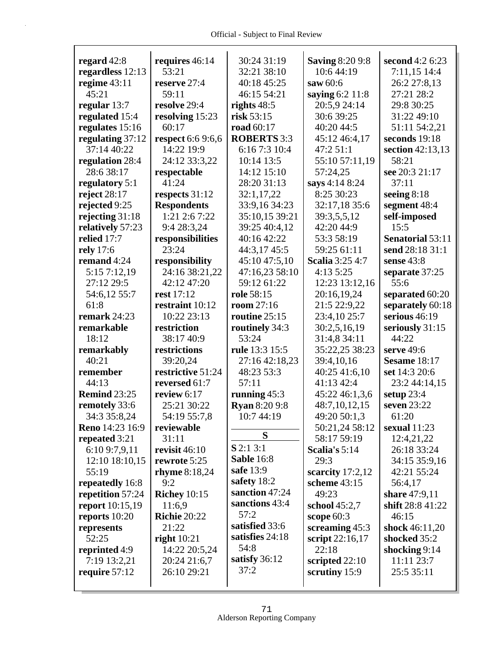Г

| regard $42:8$          | requires 46:14      | 30:24 31:19          | <b>Saving 8:20 9:8</b> | second 4:2 6:23  |
|------------------------|---------------------|----------------------|------------------------|------------------|
| regardless 12:13       | 53:21               | 32:21 38:10          | 10:6 44:19             | 7:11,15 14:4     |
| regime $43:11$         | reserve 27:4        | 40:18 45:25          | saw 60:6               | 26:2 27:8,13     |
| 45:21                  | 59:11               | 46:15 54:21          | saying 6:2 11:8        | 27:21 28:2       |
| regular $13:7$         | resolve 29:4        | rights $48:5$        | 20:5,9 24:14           | 29:8 30:25       |
| regulated 15:4         | resolving 15:23     | risk 53:15           | 30:6 39:25             | 31:22 49:10      |
| regulates 15:16        | 60:17               | road 60:17           | 40:20 44:5             | 51:11 54:2,21    |
| regulating 37:12       | respect 6:6 9:6,6   | <b>ROBERTS 3:3</b>   | 45:12 46:4,17          | seconds 19:18    |
| 37:14 40:22            | 14:22 19:9          | 6:16 7:3 10:4        | 47:2 51:1              | section 42:13,13 |
| regulation 28:4        | 24:12 33:3,22       | 10:14 13:5           | 55:10 57:11,19         | 58:21            |
| 28:6 38:17             | respectable         | 14:12 15:10          | 57:24,25               | see 20:3 21:17   |
| regulatory 5:1         | 41:24               | 28:20 31:13          | says 4:14 8:24         | 37:11            |
| reject $28:17$         | respects 31:12      | 32:1,17,22           | 8:25 30:23             | seeing $8:18$    |
| rejected 9:25          | <b>Respondents</b>  | 33:9,16 34:23        | 32:17,18 35:6          | segment 48:4     |
| rejecting 31:18        | $1:21$ 2:6 7:22     | 35:10,15 39:21       | 39:3,5,5,12            | self-imposed     |
| relatively 57:23       | 9:4 28:3,24         | 39:25 40:4,12        | 42:20 44:9             | 15:5             |
| relied 17:7            | responsibilities    | 40:16 42:22          | 53:3 58:19             | Senatorial 53:11 |
| rely 17:6              | 23:24               | 44:3,17 45:5         | 59:25 61:11            | send 28:18 31:1  |
| remand 4:24            | responsibility      | 45:10 47:5,10        | <b>Scalia</b> 3:25 4:7 | sense 43:8       |
| 5:15 7:12,19           | 24:16 38:21,22      | 47:16,23 58:10       | 4:135:25               | separate 37:25   |
| 27:12 29:5             | 42:12 47:20         | 59:12 61:22          | 12:23 13:12,16         | 55:6             |
| 54:6,12 55:7           | rest 17:12          | role 58:15           | 20:16,19,24            | separated 60:20  |
| 61:8                   | restraint 10:12     | room 27:16           | 21:5 22:9,22           | separately 60:18 |
| remark 24:23           | 10:22 23:13         | routine $25:15$      | 23:4,10 25:7           | serious $46:19$  |
| remarkable             | restriction         | routinely 34:3       | 30:2,5,16,19           | seriously 31:15  |
| 18:12                  | 38:17 40:9          | 53:24                | 31:4,8 34:11           | 44:22            |
| remarkably             | restrictions        | rule 13:3 15:5       | 35:22,25 38:23         | serve 49:6       |
| 40:21                  | 39:20,24            | 27:16 42:18,23       | 39:4,10,16             | Sesame 18:17     |
| remember               | restrictive 51:24   | 48:23 53:3           | 40:25 41:6,10          | set 14:3 20:6    |
| 44:13                  | reversed 61:7       | 57:11                | 41:13 42:4             | 23:2 44:14,15    |
| <b>Remind 23:25</b>    | review 6:17         | running $45:3$       | 45:22 46:1,3,6         | setup $23:4$     |
| remotely 33:6          | 25:21 30:22         | <b>Ryan 8:20 9:8</b> | 48:7,10,12,15          | seven 23:22      |
| 34:3 35:8,24           | 54:19 55:7,8        | 10:7 44:19           | 49:20 50:1,3           | 61:20            |
| Reno 14:23 16:9        | reviewable          |                      | 50:21,24 58:12         | sexual $11:23$   |
| repeated 3:21          | 31:11               | S                    | 58:17 59:19            | 12:4,21,22       |
| 6:10 9:7,9,11          | revisit $46:10$     | $S$ 2:1 3:1          | Scalia's 5:14          | 26:18 33:24      |
| 12:10 18:10,15         | rewrote 5:25        | <b>Sable 16:8</b>    | 29:3                   | 34:15 35:9,16    |
| 55:19                  | rhyme $8:18,24$     | safe 13:9            | scarcity $17:2,12$     | 42:21 55:24      |
| repeatedly 16:8        | 9:2                 | safety 18:2          | scheme 43:15           | 56:4,17          |
| repetition 57:24       | <b>Richey</b> 10:15 | sanction 47:24       | 49:23                  | share 47:9,11    |
| <b>report</b> 10:15,19 | 11:6,9              | sanctions 43:4       | school 45:2,7          | shift 28:8 41:22 |
| reports 10:20          | <b>Richie 20:22</b> | 57:2                 | scope 60:3             | 46:15            |
| represents             | 21:22               | satisfied 33:6       | screaming 45:3         | shock 46:11,20   |
| 52:25                  | right $10:21$       | satisfies 24:18      | script 22:16,17        | shocked 35:2     |
| reprinted 4:9          | 14:22 20:5,24       | 54:8                 | 22:18                  | shocking 9:14    |
| 7:19 13:2,21           | 20:24 21:6,7        | satisfy $36:12$      | scripted 22:10         | 11:11 23:7       |
| require $57:12$        | 26:10 29:21         | 37:2                 | scrutiny 15:9          | 25:5 35:11       |
|                        |                     |                      |                        |                  |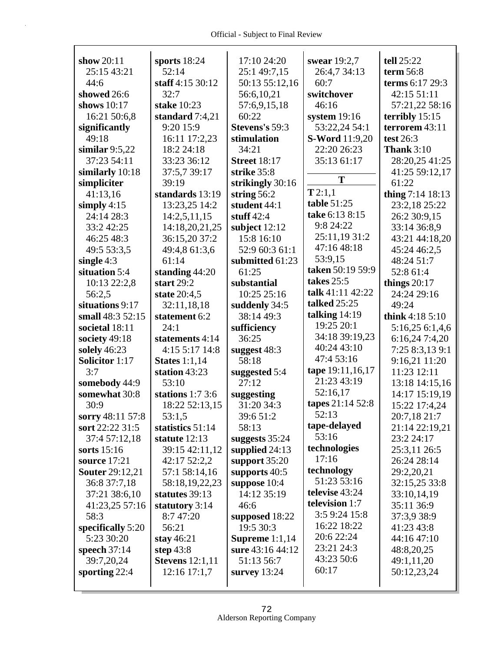| show $20:11$           | sports $18:24$         | 17:10 24:20         | swear 19:2,7          | tell 25:22         |
|------------------------|------------------------|---------------------|-----------------------|--------------------|
| 25:15 43:21            | 52:14                  | 25:1 49:7,15        | 26:4,7 34:13          | term $56:8$        |
| 44:6                   | staff 4:15 30:12       | 50:13 55:12,16      | 60:7                  | terms 6:17 29:3    |
| showed 26:6            | 32:7                   | 56:6,10,21          | switchover            | 42:15 51:11        |
| shows 10:17            | stake 10:23            | 57:6,9,15,18        | 46:16                 | 57:21,22 58:16     |
| 16:21 50:6,8           | standard 7:4,21        | 60:22               | system $19:16$        | terribly $15:15$   |
| significantly          | 9:20 15:9              | Stevens's 59:3      | 53:22,24 54:1         | terrorem 43:11     |
| 49:18                  | 16:11 17:2,23          | stimulation         | <b>S-Word</b> 11:9,20 | test $26:3$        |
| similar $9:5,22$       | 18:2 24:18             | 34:21               | 22:20 26:23           | <b>Thank</b> 3:10  |
| 37:23 54:11            | 33:23 36:12            | <b>Street 18:17</b> | 35:13 61:17           | 28:20,25 41:25     |
| similarly 10:18        | 37:5,7 39:17           | strike 35:8         |                       | 41:25 59:12,17     |
| simpliciter            | 39:19                  | strikingly 30:16    | T                     | 61:22              |
| 41:13,16               | standards 13:19        | string $56:2$       | T2:1,1                | thing $7:14$ 18:13 |
| simply $4:15$          | 13:23,25 14:2          | student 44:1        | table 51:25           | 23:2,18 25:22      |
| 24:14 28:3             | 14:2,5,11,15           | stuff $42:4$        | take 6:13 8:15        | 26:2 30:9,15       |
| 33:2 42:25             | 14:18,20,21,25         | subject 12:12       | 9:8 24:22             | 33:14 36:8,9       |
| 46:25 48:3             | 36:15,20 37:2          | 15:8 16:10          | 25:11,19 31:2         | 43:21 44:18,20     |
| 49:5 53:3,5            | 49:4,8 61:3,6          | 52:9 60:3 61:1      | 47:16 48:18           | 45:24 46:2,5       |
| single $4:3$           | 61:14                  | submitted 61:23     | 53:9,15               | 48:24 51:7         |
| situation 5:4          | standing 44:20         | 61:25               | taken 50:19 59:9      | 52:8 61:4          |
| 10:13 22:2,8           | start $29:2$           | substantial         | takes 25:5            | things $20:17$     |
| 56:2,5                 | state 20:4,5           | 10:25 25:16         | talk 41:11 42:22      | 24:24 29:16        |
| situations 9:17        | 32:11,18,18            | suddenly 34:5       | <b>talked</b> 25:25   | 49:24              |
| small 48:3 52:15       | statement 6:2          | 38:14 49:3          | talking $14:19$       | think $4:185:10$   |
| societal 18:11         | 24:1                   | sufficiency         | 19:25 20:1            | 5:16,25 6:1,4,6    |
| society 49:18          | statements 4:14        | 36:25               | 34:18 39:19,23        | 6:16,24 7:4,20     |
| solely 46:23           | 4:15 5:17 14:8         | suggest 48:3        | 40:24 43:10           | 7:25 8:3,13 9:1    |
| <b>Solicitor</b> 1:17  | States $1:1,14$        | 58:18               | 47:4 53:16            | 9:16,21 11:20      |
| 3:7                    | station 43:23          | suggested 5:4       | tape 19:11,16,17      | 11:23 12:11        |
| somebody 44:9          | 53:10                  | 27:12               | 21:23 43:19           | 13:18 14:15,16     |
| somewhat 30:8          | stations $1:73:6$      | suggesting          | 52:16,17              | 14:17 15:19,19     |
| 30:9                   | 18:22 52:13,15         | 31:20 34:3          | tapes 21:14 52:8      | 15:22 17:4,24      |
| sorry 48:11 57:8       | 53:1,5                 | 39:6 51:2           | 52:13                 | 20:7,18 21:7       |
| sort 22:22 31:5        | statistics 51:14       | 58:13               | tape-delayed          | 21:14 22:19,21     |
| 37:4 57:12,18          | statute 12:13          | suggests 35:24      | 53:16                 | 23:2 24:17         |
| sorts $15:16$          | 39:15 42:11,12         | supplied 24:13      | technologies          | 25:3,11 26:5       |
| source 17:21           | 42:17 52:2,2           | support 35:20       | 17:16                 | 26:24 28:14        |
| <b>Souter 29:12,21</b> | 57:1 58:14,16          | supports 40:5       | technology            | 29:2,20,21         |
| 36:8 37:7,18           | 58:18,19,22,23         | suppose 10:4        | 51:23 53:16           | 32:15,25 33:8      |
| 37:21 38:6,10          | statutes 39:13         | 14:12 35:19         | televise 43:24        | 33:10,14,19        |
| 41:23,25 57:16         | statutory 3:14         | 46:6                | television 1:7        | 35:11 36:9         |
| 58:3                   | 8:7 47:20              | supposed 18:22      | 3:5 9:24 15:8         | 37:3,9 38:9        |
| specifically 5:20      | 56:21                  | 19:5 30:3           | 16:22 18:22           | 41:23 43:8         |
| 5:23 30:20             | stay $46:21$           | Supreme $1:1,14$    | 20:6 22:24            | 44:16 47:10        |
| speech $37:14$         | step $43:8$            | sure 43:16 44:12    | 23:21 24:3            | 48:8,20,25         |
| 39:7,20,24             | <b>Stevens</b> 12:1,11 | 51:13 56:7          | 43:23 50:6            | 49:1,11,20         |
| sporting 22:4          | 12:16 17:1,7           | survey $13:24$      | 60:17                 | 50:12,23,24        |
|                        |                        |                     |                       |                    |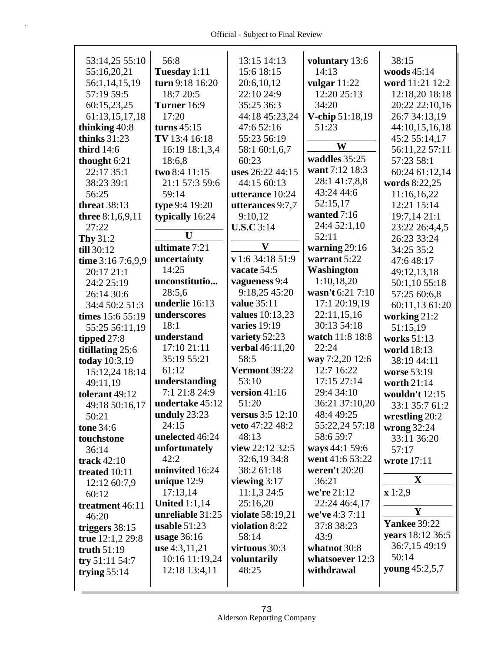| 53:14,25 55:10      | 56:8                 | 13:15 14:13                 | voluntary 13:6   | 38:15               |
|---------------------|----------------------|-----------------------------|------------------|---------------------|
| 55:16,20,21         | Tuesday 1:11         | 15:6 18:15                  | 14:13            | woods 45:14         |
| 56:1,14,15,19       | turn 9:18 16:20      | 20:6,10,12                  | vulgar $11:22$   | word 11:21 12:2     |
| 57:19 59:5          | 18:7 20:5            | 22:10 24:9                  | 12:20 25:13      | 12:18,20 18:18      |
| 60:15,23,25         | Turner 16:9          | 35:25 36:3                  | 34:20            | 20:22 22:10,16      |
| 61:13,15,17,18      | 17:20                | 44:18 45:23,24              | V-chip 51:18,19  | 26:7 34:13,19       |
| thinking 40:8       | turns $45:15$        | 47:6 52:16                  | 51:23            | 44:10,15,16,18      |
| thinks $31:23$      | TV 13:4 16:18        | 55:23 56:19                 |                  | 45:2 55:14,17       |
| third 14:6          | 16:19 18:1,3,4       | 58:1 60:1,6,7               | W                | 56:11,22 57:11      |
| thought 6:21        | 18:6,8               | 60:23                       | waddles 35:25    | 57:23 58:1          |
| 22:17 35:1          | two 8:4 11:15        | uses 26:22 44:15            | want 7:12 18:3   | 60:24 61:12,14      |
| 38:23 39:1          | 21:1 57:3 59:6       | 44:15 60:13                 | 28:1 41:7,8,8    | words 8:22,25       |
| 56:25               | 59:14                | utterance 10:24             | 43:24 44:6       | 11:16,16,22         |
| <b>threat</b> 38:13 | type 9:4 19:20       | utterances 9:7,7            | 52:15,17         | 12:21 15:14         |
| three 8:1,6,9,11    | typically 16:24      | 9:10,12                     | wanted 7:16      | 19:7,14 21:1        |
| 27:22               |                      | U.S.C.3:14                  | 24:4 52:1,10     | 23:22 26:4,4,5      |
| Thy 31:2            | U                    |                             | 52:11            | 26:23 33:24         |
| till 30:12          | ultimate 7:21        | V                           | warning $29:16$  | 34:25 35:2          |
| time 3:16 7:6,9,9   | uncertainty          | $\mathbf{v}$ 1:6 34:18 51:9 | warrant 5:22     | 47:648:17           |
| 20:17 21:1          | 14:25                | vacate 54:5                 | Washington       | 49:12,13,18         |
| 24:2 25:19          | unconstitutio        | vagueness 9:4               | 1:10,18,20       | 50:1,10 55:18       |
| 26:14 30:6          | 28:5,6               | 9:18,25 45:20               | wasn't 6:21 7:10 | 57:25 60:6,8        |
| 34:4 50:2 51:3      | underlie 16:13       | <b>value</b> 35:11          | 17:1 20:19,19    | 60:11,13 61:20      |
| times 15:6 55:19    | underscores          | <b>values</b> 10:13,23      | 22:11,15,16      | working 21:2        |
| 55:25 56:11,19      | 18:1                 | varies 19:19                | 30:13 54:18      | 51:15,19            |
| tipped 27:8         | understand           | variety 52:23               | watch 11:8 18:8  | works 51:13         |
| titillating 25:6    | 17:10 21:11          | verbal 46:11,20             | 22:24            | world 18:13         |
| today 10:3,19       | 35:19 55:21          | 58:5                        | way 7:2,20 12:6  | 38:19 44:11         |
| 15:12,24 18:14      | 61:12                | Vermont 39:22               | 12:7 16:22       | worse 53:19         |
| 49:11,19            | understanding        | 53:10                       | 17:15 27:14      | worth 21:14         |
| tolerant 49:12      | 7:1 21:8 24:9        | version 41:16               | 29:4 34:10       | wouldn't 12:15      |
| 49:18 50:16,17      | undertake 45:12      | 51:20                       | 36:21 37:10,20   | 33:1 35:7 61:2      |
| 50:21               | unduly 23:23         | versus 3:5 12:10            | 48:4 49:25       | wrestling 20:2      |
| tone 34:6           | 24:15                | veto 47:22 48:2             | 55:22,24 57:18   | wrong $32:24$       |
| touchstone          | unelected 46:24      | 48:13                       | 58:6 59:7        | 33:11 36:20         |
| 36:14               | unfortunately        | view 22:12 32:5             | ways 44:1 59:6   | 57:17               |
| track 42:10         | 42:2                 | 32:6,19 34:8                | went 41:6 53:22  | wrote 17:11         |
| treated 10:11       | uninvited 16:24      | 38:2 61:18                  | weren't 20:20    |                     |
| 12:12 60:7,9        | unique $12:9$        | viewing $3:17$              | 36:21            | X                   |
| 60:12               | 17:13,14             | 11:1,324:5                  | we're 21:12      | x 1:2,9             |
| treatment 46:11     | <b>United 1:1,14</b> | 25:16,20                    | 22:24 46:4,17    |                     |
| 46:20               | unreliable 31:25     | <b>violate</b> 58:19,21     | we've 4:3 7:11   | Y                   |
| triggers 38:15      | usable $51:23$       | violation 8:22              | 37:8 38:23       | <b>Yankee 39:22</b> |
| true $12:1,229:8$   | usage $36:16$        | 58:14                       | 43:9             | years 18:12 36:5    |
| truth $51:19$       | use $4:3,11,21$      | virtuous 30:3               | whatnot 30:8     | 36:7,15 49:19       |
| try 51:11 54:7      | 10:16 11:19,24       | voluntarily                 | whatsoever 12:3  | 50:14               |
| trying $55:14$      | 12:18 13:4,11        | 48:25                       | withdrawal       | young 45:2,5,7      |
|                     |                      |                             |                  |                     |